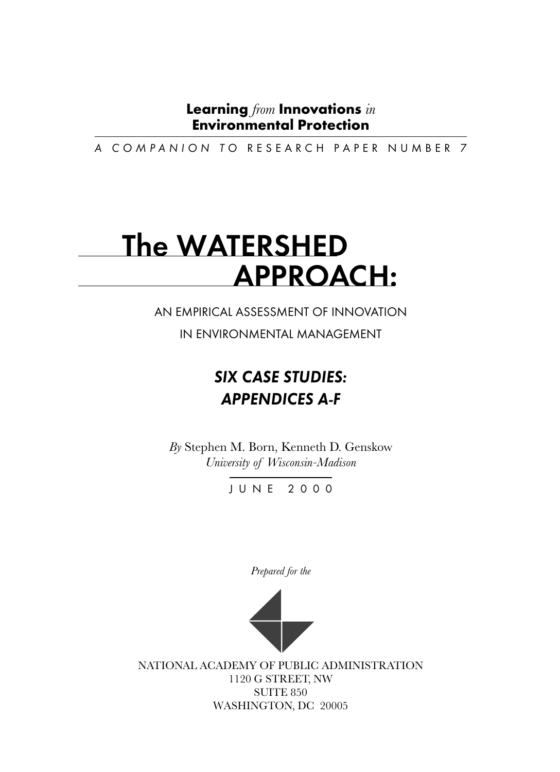A COMPANION TO RESEARCH PAPER NUMBER 7

# The WATERSHED APPROACH:

AN EMPIRICAL ASSESSMENT OF INNOVATION

IN ENVIRONMENTAL MANAGEMENT

# SIX CASE STUDIES: APPENDICES A-F

*By* Stephen M. Born, Kenneth D. Genskow *University of Wisconsin-Madison*

JUNE 2000

*Prepared for the*



NATIONAL ACADEMY OF PUBLIC ADMINISTRATION 1120 G STREET, NW SUITE 850 WASHINGTON, DC 20005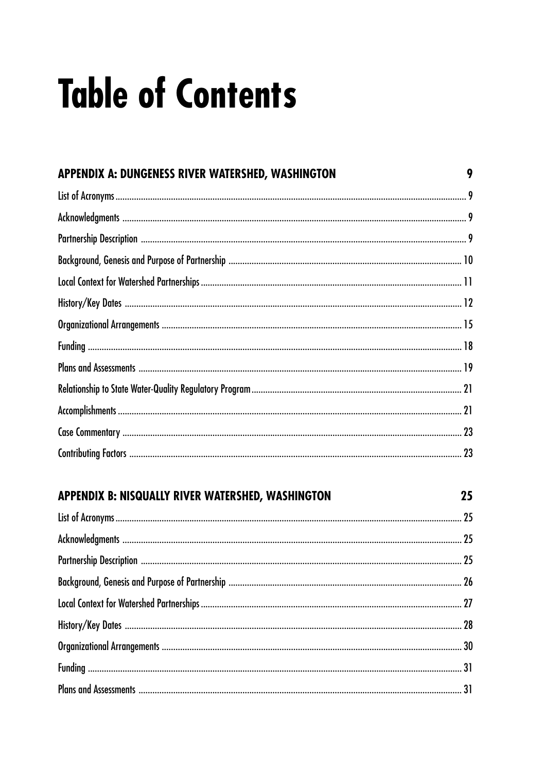# **Table of Contents**

| APPENDIX A: DUNGENESS RIVER WATERSHED, WASHINGTON | 9  |
|---------------------------------------------------|----|
|                                                   |    |
|                                                   |    |
|                                                   |    |
|                                                   |    |
|                                                   |    |
|                                                   |    |
|                                                   |    |
|                                                   |    |
|                                                   |    |
|                                                   |    |
|                                                   |    |
|                                                   |    |
|                                                   |    |
| APPENDIX B: NISQUALLY RIVER WATERSHED, WASHINGTON | 25 |
|                                                   |    |
|                                                   |    |
|                                                   |    |
|                                                   |    |
|                                                   |    |
|                                                   |    |
|                                                   |    |
|                                                   |    |
|                                                   |    |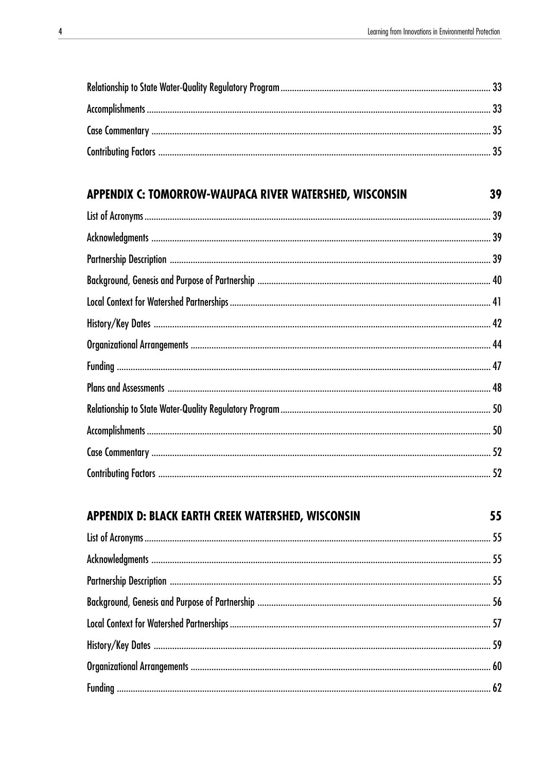| APPENDIX C: TOMORROW-WAUPACA RIVER WATERSHED, WISCONSIN | 39 |
|---------------------------------------------------------|----|
|                                                         |    |
|                                                         |    |
|                                                         |    |
|                                                         |    |
|                                                         |    |
|                                                         |    |
|                                                         |    |
|                                                         |    |
|                                                         |    |
|                                                         |    |
|                                                         |    |
|                                                         |    |
|                                                         |    |

| APPENDIX D: BLACK EARTH CREEK WATERSHED, WISCONSIN | 55 |
|----------------------------------------------------|----|
|                                                    |    |
|                                                    |    |
|                                                    |    |
|                                                    |    |
|                                                    |    |
|                                                    |    |
|                                                    |    |
|                                                    |    |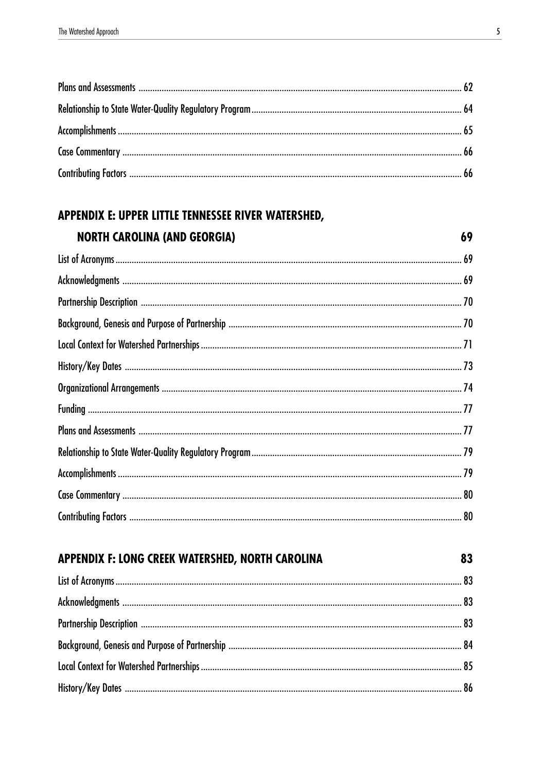# APPENDIX E: UPPER LITTLE TENNESSEE RIVER WATERSHED, **NORTH CAROLINA (AND GEORGIA)**

| APPENDIX F: LONG CREEK WATERSHED, NORTH CAROLINA | 83 |
|--------------------------------------------------|----|
|                                                  |    |
|                                                  |    |
|                                                  |    |
|                                                  |    |
|                                                  |    |
|                                                  |    |

69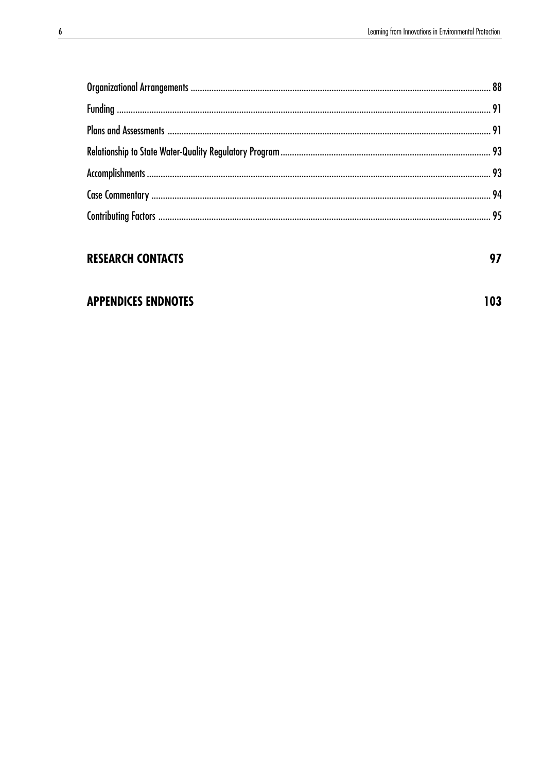<u> 1980 - Johann Barbara, martxa a</u>

| <b>RESEARCH CONTACTS</b>   | 97  |
|----------------------------|-----|
|                            |     |
| <b>APPENDICES ENDNOTES</b> | 103 |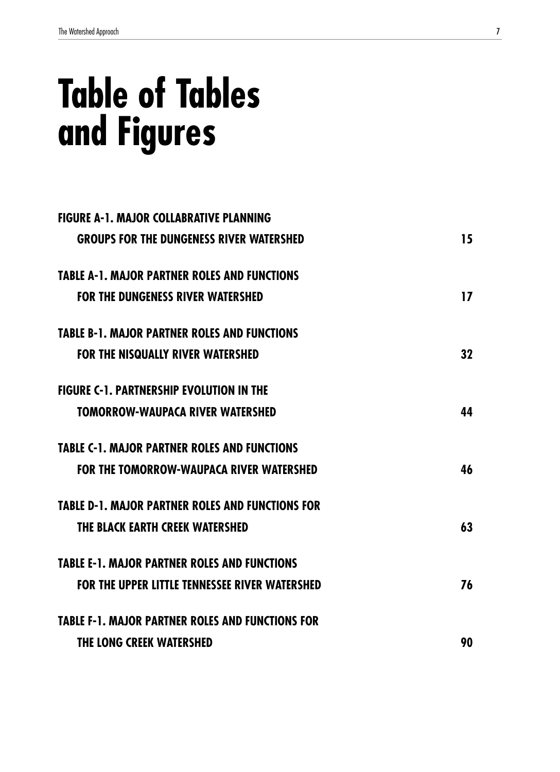# **Table of Tables and Figures**

| <b>FIGURE A-1. MAJOR COLLABRATIVE PLANNING</b>          |    |
|---------------------------------------------------------|----|
| <b>GROUPS FOR THE DUNGENESS RIVER WATERSHED</b>         | 15 |
| <b>TABLE A-1, MAJOR PARTNER ROLES AND FUNCTIONS</b>     |    |
| <b>FOR THE DUNGENESS RIVER WATERSHED</b>                | 17 |
| <b>TABLE B-1, MAJOR PARTNER ROLES AND FUNCTIONS</b>     |    |
| <b>FOR THE NISQUALLY RIVER WATERSHED</b>                | 32 |
| <b>FIGURE C-1. PARTNERSHIP EVOLUTION IN THE</b>         |    |
| <b>TOMORROW-WAUPACA RIVER WATERSHED</b>                 | 44 |
| <b>TABLE C-1. MAJOR PARTNER ROLES AND FUNCTIONS</b>     |    |
| FOR THE TOMORROW-WAUPACA RIVER WATERSHED                | 46 |
| <b>TABLE D-1. MAJOR PARTNER ROLES AND FUNCTIONS FOR</b> |    |
| THE BLACK EARTH CREEK WATERSHED                         | 63 |
| <b>TABLE E-1. MAJOR PARTNER ROLES AND FUNCTIONS</b>     |    |
| <b>FOR THE UPPER LITTLE TENNESSEE RIVER WATERSHED</b>   | 76 |
| <b>TABLE F-1. MAJOR PARTNER ROLES AND FUNCTIONS FOR</b> |    |
| <b>THE LONG CREEK WATERSHED</b>                         | 90 |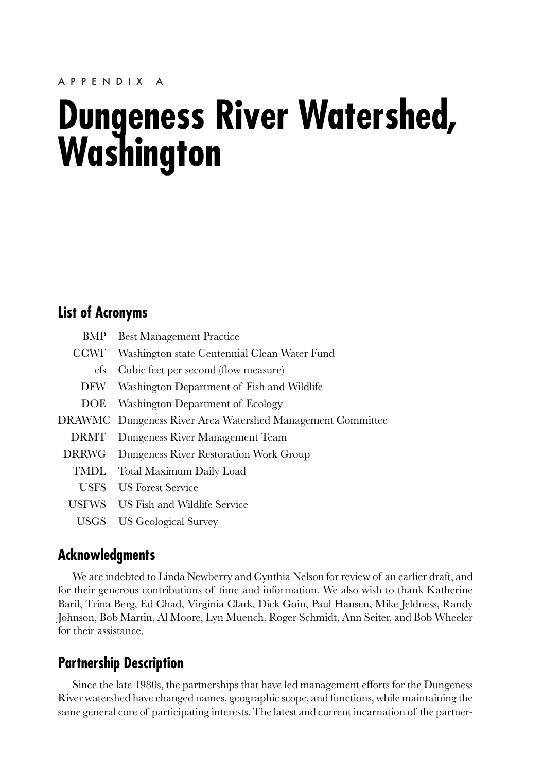# <span id="page-8-0"></span>**Dungeness River Watershed, Washington**

# **List of Acronyms**

| BMP         | <b>Best Management Practice</b>                                   |
|-------------|-------------------------------------------------------------------|
| <b>CCWF</b> | Washington state Centennial Clean Water Fund                      |
| cfs         | Cubic feet per second (flow measure)                              |
| DFW         | Washington Department of Fish and Wildlife                        |
| DOE.        | Washington Department of Ecology                                  |
|             | <b>DRAWMC</b> Dungeness River Area Watershed Management Committee |
|             | DRMT Dungeness River Management Team                              |
| DRRWG       | Dungeness River Restoration Work Group                            |
| TMDL        | Total Maximum Daily Load                                          |
| USFS.       | <b>LIS Forest Service</b>                                         |
|             | USFWS US Fish and Wildlife Service                                |
|             | USGS US Geological Survey                                         |

# **Acknowledgments**

We are indebted to Linda Newberry and Cynthia Nelson for review of an earlier draft, and for their generous contributions of time and information. We also wish to thank Katherine Baril, Trina Berg, Ed Chad, Virginia Clark, Dick Goin, Paul Hansen, Mike Jeldness, Randy Johnson, Bob Martin, Al Moore, Lyn Muench, Roger Schmidt, Ann Seiter, and Bob Wheeler for their assistance.

# **Partnership Description**

Since the late 1980s, the partnerships that have led management efforts for the Dungeness River watershed have changed names, geographic scope, and functions, while maintaining the same general core of participating interests. The latest and current incarnation of the partner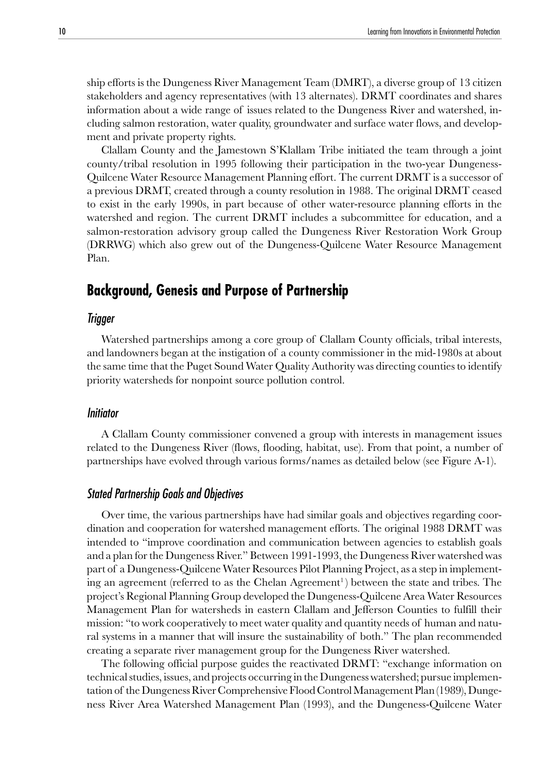<span id="page-9-0"></span>ship efforts is the Dungeness River Management Team (DMRT), a diverse group of 13 citizen stakeholders and agency representatives (with 13 alternates). DRMT coordinates and shares information about a wide range of issues related to the Dungeness River and watershed, including salmon restoration, water quality, groundwater and surface water flows, and development and private property rights.

Clallam County and the Jamestown S'Klallam Tribe initiated the team through a joint county/tribal resolution in 1995 following their participation in the two-year Dungeness-Quilcene Water Resource Management Planning effort. The current DRMT is a successor of a previous DRMT, created through a county resolution in 1988. The original DRMT ceased to exist in the early 1990s, in part because of other water-resource planning efforts in the watershed and region. The current DRMT includes a subcommittee for education, and a salmon-restoration advisory group called the Dungeness River Restoration Work Group (DRRWG) which also grew out of the Dungeness-Quilcene Water Resource Management Plan.

# **Background, Genesis and Purpose of Partnership**

#### Trigger

Watershed partnerships among a core group of Clallam County officials, tribal interests, and landowners began at the instigation of a county commissioner in the mid-1980s at about the same time that the Puget Sound Water Quality Authority was directing counties to identify priority watersheds for nonpoint source pollution control.

#### Initiator

A Clallam County commissioner convened a group with interests in management issues related to the Dungeness River (flows, flooding, habitat, use). From that point, a number of partnerships have evolved through various forms/names as detailed below (see Figure A-1).

#### Stated Partnership Goals and Objectives

Over time, the various partnerships have had similar goals and objectives regarding coordination and cooperation for watershed management efforts. The original 1988 DRMT was intended to "improve coordination and communication between agencies to establish goals and a plan for the Dungeness River." Between 1991-1993, the Dungeness River watershed was part of a Dungeness-Quilcene Water Resources Pilot Planning Project, as a step in implementing an agreement (referred to as the Chelan Agreement<sup>1</sup>) between the state and tribes. The project's Regional Planning Group developed the Dungeness-Quilcene Area Water Resources Management Plan for watersheds in eastern Clallam and Jefferson Counties to fulfill their mission: "to work cooperatively to meet water quality and quantity needs of human and natural systems in a manner that will insure the sustainability of both." The plan recommended creating a separate river management group for the Dungeness River watershed.

The following official purpose guides the reactivated DRMT: "exchange information on technical studies, issues, and projects occurring in the Dungeness watershed; pursue implementation of the Dungeness River Comprehensive Flood Control Management Plan (1989), Dungeness River Area Watershed Management Plan (1993), and the Dungeness-Quilcene Water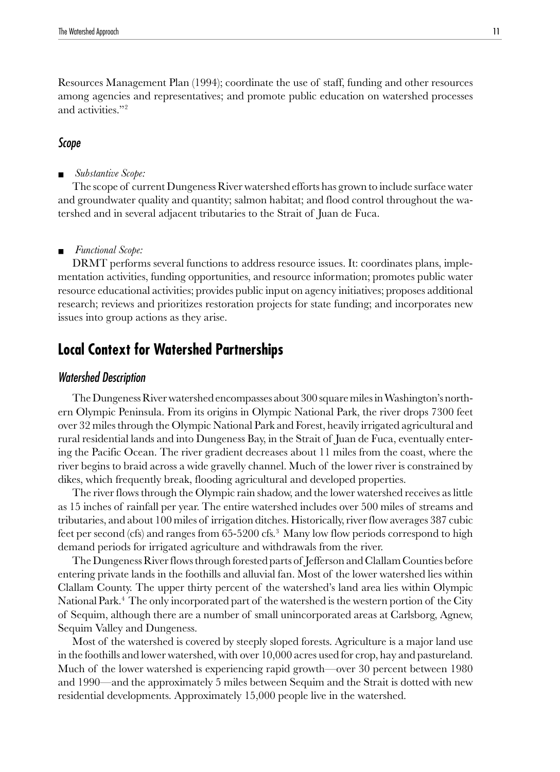<span id="page-10-0"></span>Resources Management Plan (1994); coordinate the use of staff, funding and other resources among agencies and representatives; and promote public education on watershed processes and activities."2

#### Scope

■ *Substantive Scope:*

The scope of current Dungeness River watershed efforts has grown to include surface water and groundwater quality and quantity; salmon habitat; and flood control throughout the watershed and in several adjacent tributaries to the Strait of Juan de Fuca.

#### ■ *Functional Scope:*

DRMT performs several functions to address resource issues. It: coordinates plans, implementation activities, funding opportunities, and resource information; promotes public water resource educational activities; provides public input on agency initiatives; proposes additional research; reviews and prioritizes restoration projects for state funding; and incorporates new issues into group actions as they arise.

# **Local Context for Watershed Partnerships**

#### Watershed Description

The Dungeness River watershed encompasses about 300 square miles in Washington's northern Olympic Peninsula. From its origins in Olympic National Park, the river drops 7300 feet over 32 miles through the Olympic National Park and Forest, heavily irrigated agricultural and rural residential lands and into Dungeness Bay, in the Strait of Juan de Fuca, eventually entering the Pacific Ocean. The river gradient decreases about 11 miles from the coast, where the river begins to braid across a wide gravelly channel. Much of the lower river is constrained by dikes, which frequently break, flooding agricultural and developed properties.

The river flows through the Olympic rain shadow, and the lower watershed receives as little as 15 inches of rainfall per year. The entire watershed includes over 500 miles of streams and tributaries, and about 100 miles of irrigation ditches. Historically, river flow averages 387 cubic feet per second (cfs) and ranges from  $65-5200$  cfs.<sup>3</sup> Many low flow periods correspond to high demand periods for irrigated agriculture and withdrawals from the river.

The Dungeness River flows through forested parts of Jefferson and Clallam Counties before entering private lands in the foothills and alluvial fan. Most of the lower watershed lies within Clallam County. The upper thirty percent of the watershed's land area lies within Olympic National Park.<sup>4</sup> The only incorporated part of the watershed is the western portion of the City of Sequim, although there are a number of small unincorporated areas at Carlsborg, Agnew, Sequim Valley and Dungeness.

Most of the watershed is covered by steeply sloped forests. Agriculture is a major land use in the foothills and lower watershed, with over 10,000 acres used for crop, hay and pastureland. Much of the lower watershed is experiencing rapid growth—over 30 percent between 1980 and 1990—and the approximately 5 miles between Sequim and the Strait is dotted with new residential developments. Approximately 15,000 people live in the watershed.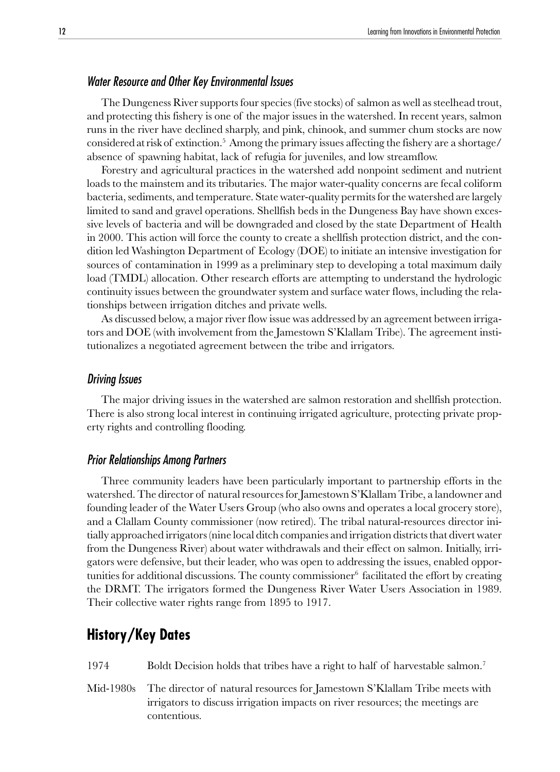#### <span id="page-11-0"></span>Water Resource and Other Key Environmental Issues

The Dungeness River supports four species (five stocks) of salmon as well as steelhead trout, and protecting this fishery is one of the major issues in the watershed. In recent years, salmon runs in the river have declined sharply, and pink, chinook, and summer chum stocks are now considered at risk of extinction.5 Among the primary issues affecting the fishery are a shortage/ absence of spawning habitat, lack of refugia for juveniles, and low streamflow.

Forestry and agricultural practices in the watershed add nonpoint sediment and nutrient loads to the mainstem and its tributaries. The major water-quality concerns are fecal coliform bacteria, sediments, and temperature. State water-quality permits for the watershed are largely limited to sand and gravel operations. Shellfish beds in the Dungeness Bay have shown excessive levels of bacteria and will be downgraded and closed by the state Department of Health in 2000. This action will force the county to create a shellfish protection district, and the condition led Washington Department of Ecology (DOE) to initiate an intensive investigation for sources of contamination in 1999 as a preliminary step to developing a total maximum daily load (TMDL) allocation. Other research efforts are attempting to understand the hydrologic continuity issues between the groundwater system and surface water flows, including the relationships between irrigation ditches and private wells.

As discussed below, a major river flow issue was addressed by an agreement between irrigators and DOE (with involvement from the Jamestown S'Klallam Tribe). The agreement institutionalizes a negotiated agreement between the tribe and irrigators.

#### Driving Issues

The major driving issues in the watershed are salmon restoration and shellfish protection. There is also strong local interest in continuing irrigated agriculture, protecting private property rights and controlling flooding.

### Prior Relationships Among Partners

Three community leaders have been particularly important to partnership efforts in the watershed. The director of natural resources for Jamestown S'Klallam Tribe, a landowner and founding leader of the Water Users Group (who also owns and operates a local grocery store), and a Clallam County commissioner (now retired). The tribal natural-resources director initially approached irrigators (nine local ditch companies and irrigation districts that divert water from the Dungeness River) about water withdrawals and their effect on salmon. Initially, irrigators were defensive, but their leader, who was open to addressing the issues, enabled opportunities for additional discussions. The county commissioner<sup>6</sup> facilitated the effort by creating the DRMT. The irrigators formed the Dungeness River Water Users Association in 1989. Their collective water rights range from 1895 to 1917.

# **History/Key Dates**

1974 Boldt Decision holds that tribes have a right to half of harvestable salmon.7

Mid-1980s The director of natural resources for Jamestown S'Klallam Tribe meets with irrigators to discuss irrigation impacts on river resources; the meetings are contentious.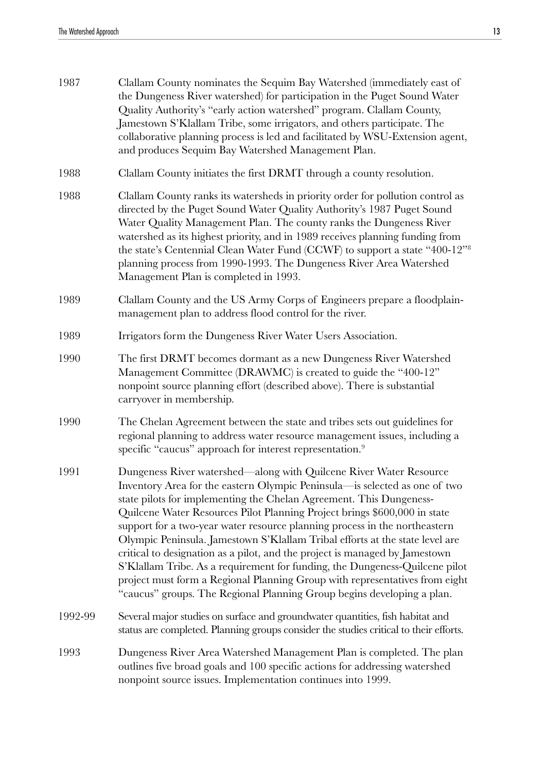| 1987    | Clallam County nominates the Sequim Bay Watershed (immediately east of<br>the Dungeness River watershed) for participation in the Puget Sound Water<br>Quality Authority's "early action watershed" program. Clallam County,<br>Jamestown S'Klallam Tribe, some irrigators, and others participate. The<br>collaborative planning process is led and facilitated by WSU-Extension agent,<br>and produces Sequim Bay Watershed Management Plan.                                                                                                                                                                                                                                                                                                                                            |
|---------|-------------------------------------------------------------------------------------------------------------------------------------------------------------------------------------------------------------------------------------------------------------------------------------------------------------------------------------------------------------------------------------------------------------------------------------------------------------------------------------------------------------------------------------------------------------------------------------------------------------------------------------------------------------------------------------------------------------------------------------------------------------------------------------------|
| 1988    | Clallam County initiates the first DRMT through a county resolution.                                                                                                                                                                                                                                                                                                                                                                                                                                                                                                                                                                                                                                                                                                                      |
| 1988    | Clallam County ranks its watersheds in priority order for pollution control as<br>directed by the Puget Sound Water Quality Authority's 1987 Puget Sound<br>Water Quality Management Plan. The county ranks the Dungeness River<br>watershed as its highest priority, and in 1989 receives planning funding from<br>the state's Centennial Clean Water Fund (CCWF) to support a state "400-12" <sup>8</sup><br>planning process from 1990-1993. The Dungeness River Area Watershed<br>Management Plan is completed in 1993.                                                                                                                                                                                                                                                               |
| 1989    | Clallam County and the US Army Corps of Engineers prepare a floodplain-<br>management plan to address flood control for the river.                                                                                                                                                                                                                                                                                                                                                                                                                                                                                                                                                                                                                                                        |
| 1989    | Irrigators form the Dungeness River Water Users Association.                                                                                                                                                                                                                                                                                                                                                                                                                                                                                                                                                                                                                                                                                                                              |
| 1990    | The first DRMT becomes dormant as a new Dungeness River Watershed<br>Management Committee (DRAWMC) is created to guide the "400-12"<br>nonpoint source planning effort (described above). There is substantial<br>carryover in membership.                                                                                                                                                                                                                                                                                                                                                                                                                                                                                                                                                |
| 1990    | The Chelan Agreement between the state and tribes sets out guidelines for<br>regional planning to address water resource management issues, including a<br>specific "caucus" approach for interest representation. <sup>9</sup>                                                                                                                                                                                                                                                                                                                                                                                                                                                                                                                                                           |
| 1991    | Dungeness River watershed—along with Quilcene River Water Resource<br>Inventory Area for the eastern Olympic Peninsula-is selected as one of two<br>state pilots for implementing the Chelan Agreement. This Dungeness-<br>Quilcene Water Resources Pilot Planning Project brings \$600,000 in state<br>support for a two-year water resource planning process in the northeastern<br>Olympic Peninsula. Jamestown S'Klallam Tribal efforts at the state level are<br>critical to designation as a pilot, and the project is managed by Jamestown<br>S'Klallam Tribe. As a requirement for funding, the Dungeness-Quilcene pilot<br>project must form a Regional Planning Group with representatives from eight<br>"caucus" groups. The Regional Planning Group begins developing a plan. |
| 1992-99 | Several major studies on surface and groundwater quantities, fish habitat and<br>status are completed. Planning groups consider the studies critical to their efforts.                                                                                                                                                                                                                                                                                                                                                                                                                                                                                                                                                                                                                    |
| 1993    | Dungeness River Area Watershed Management Plan is completed. The plan<br>outlines five broad goals and 100 specific actions for addressing watershed<br>nonpoint source issues. Implementation continues into 1999.                                                                                                                                                                                                                                                                                                                                                                                                                                                                                                                                                                       |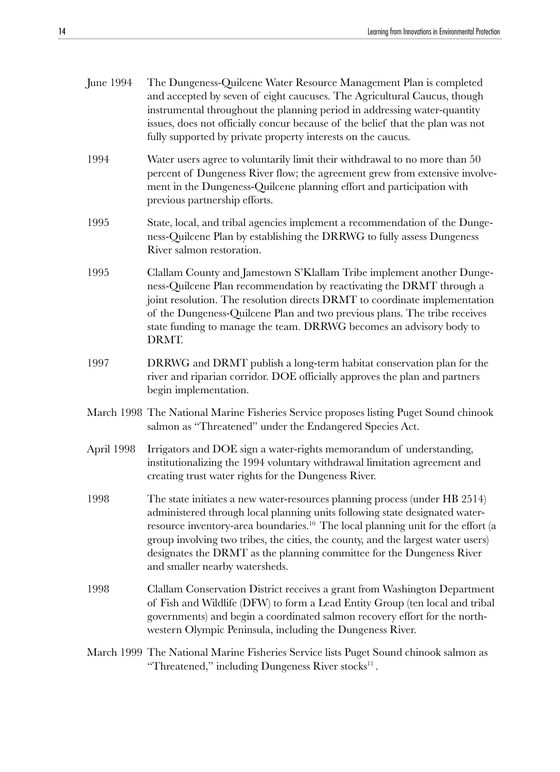| June 1994  | The Dungeness-Quilcene Water Resource Management Plan is completed<br>and accepted by seven of eight caucuses. The Agricultural Caucus, though<br>instrumental throughout the planning period in addressing water-quantity<br>issues, does not officially concur because of the belief that the plan was not<br>fully supported by private property interests on the caucus.                                                                            |
|------------|---------------------------------------------------------------------------------------------------------------------------------------------------------------------------------------------------------------------------------------------------------------------------------------------------------------------------------------------------------------------------------------------------------------------------------------------------------|
| 1994       | Water users agree to voluntarily limit their withdrawal to no more than 50<br>percent of Dungeness River flow; the agreement grew from extensive involve-<br>ment in the Dungeness-Quilcene planning effort and participation with<br>previous partnership efforts.                                                                                                                                                                                     |
| 1995       | State, local, and tribal agencies implement a recommendation of the Dunge-<br>ness-Quilcene Plan by establishing the DRRWG to fully assess Dungeness<br>River salmon restoration.                                                                                                                                                                                                                                                                       |
| 1995       | Clallam County and Jamestown S'Klallam Tribe implement another Dunge-<br>ness-Quilcene Plan recommendation by reactivating the DRMT through a<br>joint resolution. The resolution directs DRMT to coordinate implementation<br>of the Dungeness-Quilcene Plan and two previous plans. The tribe receives<br>state funding to manage the team. DRRWG becomes an advisory body to<br>DRMT.                                                                |
| 1997       | DRRWG and DRMT publish a long-term habitat conservation plan for the<br>river and riparian corridor. DOE officially approves the plan and partners<br>begin implementation.                                                                                                                                                                                                                                                                             |
|            | March 1998 The National Marine Fisheries Service proposes listing Puget Sound chinook<br>salmon as "Threatened" under the Endangered Species Act.                                                                                                                                                                                                                                                                                                       |
| April 1998 | Irrigators and DOE sign a water-rights memorandum of understanding,<br>institutionalizing the 1994 voluntary withdrawal limitation agreement and<br>creating trust water rights for the Dungeness River.                                                                                                                                                                                                                                                |
| 1998       | The state initiates a new water-resources planning process (under HB 2514)<br>administered through local planning units following state designated water-<br>resource inventory-area boundaries. <sup>10</sup> The local planning unit for the effort (a<br>group involving two tribes, the cities, the county, and the largest water users)<br>designates the DRMT as the planning committee for the Dungeness River<br>and smaller nearby watersheds. |
| 1998       | Clallam Conservation District receives a grant from Washington Department<br>of Fish and Wildlife (DFW) to form a Lead Entity Group (ten local and tribal<br>governments) and begin a coordinated salmon recovery effort for the north-<br>western Olympic Peninsula, including the Dungeness River.                                                                                                                                                    |
|            | March 1999 The National Marine Fisheries Service lists Puget Sound chinook salmon as<br>"Threatened," including Dungeness River stocks <sup>11</sup> .                                                                                                                                                                                                                                                                                                  |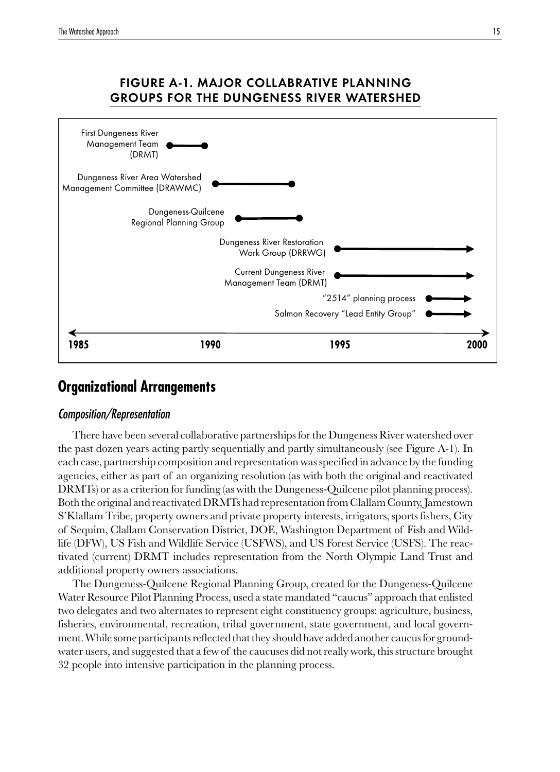<span id="page-14-0"></span>

# FIGURE A-1. MAJOR COLLABRATIVE PLANNING GROUPS FOR THE DUNGENESS RIVER WATERSHED

# **Organizational Arrangements**

# Composition/Representation

There have been several collaborative partnerships for the Dungeness River watershed over the past dozen years acting partly sequentially and partly simultaneously (see Figure A-1). In each case, partnership composition and representation was specified in advance by the funding agencies, either as part of an organizing resolution (as with both the original and reactivated DRMTs) or as a criterion for funding (as with the Dungeness-Quilcene pilot planning process). Both the original and reactivated DRMTs had representation from Clallam County, Jamestown S'Klallam Tribe, property owners and private property interests, irrigators, sports fishers, City of Sequim, Clallam Conservation District, DOE, Washington Department of Fish and Wildlife (DFW), US Fish and Wildlife Service (USFWS), and US Forest Service (USFS). The reactivated (current) DRMT includes representation from the North Olympic Land Trust and additional property owners associations.

The Dungeness-Quilcene Regional Planning Group, created for the Dungeness-Quilcene Water Resource Pilot Planning Process, used a state mandated "caucus" approach that enlisted two delegates and two alternates to represent eight constituency groups: agriculture, business, fisheries, environmental, recreation, tribal government, state government, and local government. While some participants reflected that they should have added another caucus for groundwater users, and suggested that a few of the caucuses did not really work, this structure brought 32 people into intensive participation in the planning process.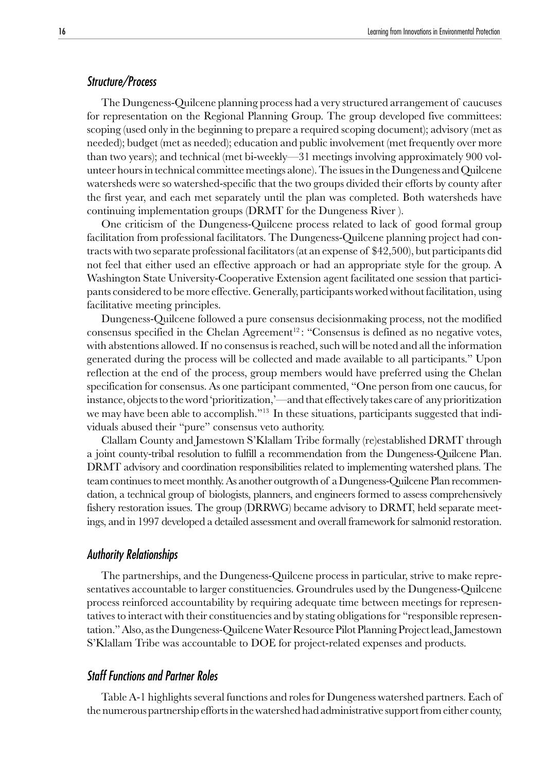## Structure/Process

The Dungeness-Quilcene planning process had a very structured arrangement of caucuses for representation on the Regional Planning Group. The group developed five committees: scoping (used only in the beginning to prepare a required scoping document); advisory (met as needed); budget (met as needed); education and public involvement (met frequently over more than two years); and technical (met bi-weekly—31 meetings involving approximately 900 volunteer hours in technical committee meetings alone). The issues in the Dungeness and Quilcene watersheds were so watershed-specific that the two groups divided their efforts by county after the first year, and each met separately until the plan was completed. Both watersheds have continuing implementation groups (DRMT for the Dungeness River ).

One criticism of the Dungeness-Quilcene process related to lack of good formal group facilitation from professional facilitators. The Dungeness-Quilcene planning project had contracts with two separate professional facilitators (at an expense of \$42,500), but participants did not feel that either used an effective approach or had an appropriate style for the group. A Washington State University-Cooperative Extension agent facilitated one session that participants considered to be more effective. Generally, participants worked without facilitation, using facilitative meeting principles.

Dungeness-Quilcene followed a pure consensus decisionmaking process, not the modified consensus specified in the Chelan Agreement<sup>12</sup>: "Consensus is defined as no negative votes, with abstentions allowed. If no consensus is reached, such will be noted and all the information generated during the process will be collected and made available to all participants." Upon reflection at the end of the process, group members would have preferred using the Chelan specification for consensus. As one participant commented, "One person from one caucus, for instance, objects to the word 'prioritization,'—and that effectively takes care of any prioritization we may have been able to accomplish."<sup>13</sup> In these situations, participants suggested that individuals abused their "pure" consensus veto authority.

Clallam County and Jamestown S'Klallam Tribe formally (re)established DRMT through a joint county-tribal resolution to fulfill a recommendation from the Dungeness-Quilcene Plan. DRMT advisory and coordination responsibilities related to implementing watershed plans. The team continues to meet monthly. As another outgrowth of a Dungeness-Quilcene Plan recommendation, a technical group of biologists, planners, and engineers formed to assess comprehensively fishery restoration issues. The group (DRRWG) became advisory to DRMT, held separate meetings, and in 1997 developed a detailed assessment and overall framework for salmonid restoration.

#### Authority Relationships

The partnerships, and the Dungeness-Quilcene process in particular, strive to make representatives accountable to larger constituencies. Groundrules used by the Dungeness-Quilcene process reinforced accountability by requiring adequate time between meetings for representatives to interact with their constituencies and by stating obligations for "responsible representation." Also, as the Dungeness-Quilcene Water Resource Pilot Planning Project lead, Jamestown S'Klallam Tribe was accountable to DOE for project-related expenses and products.

# Staff Functions and Partner Roles

Table A-1 highlights several functions and roles for Dungeness watershed partners. Each of the numerous partnership efforts in the watershed had administrative support from either county,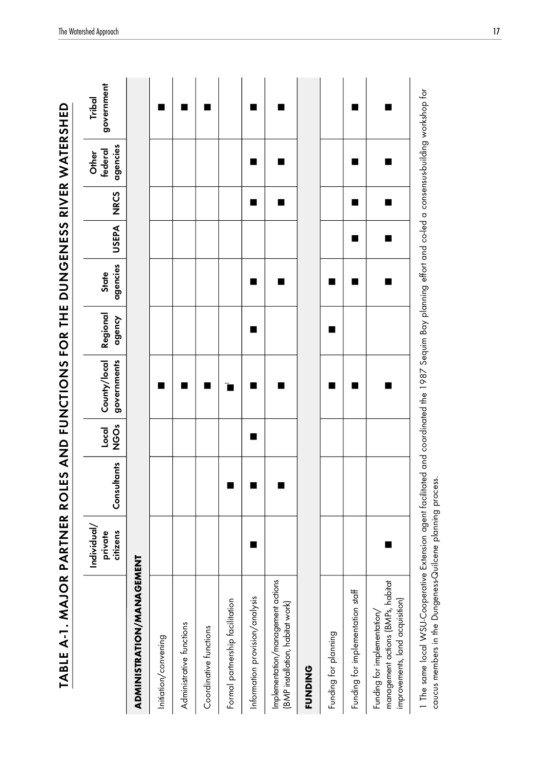| TABLE A-1. MAJOR PARTNER ROLES AND FUNCTIONS TOR THE DUNGENESS RIVER WATERSHED                                                                                                                                              |                                    |             |                  |                             |                    |                   |              |             |                              |                      |
|-----------------------------------------------------------------------------------------------------------------------------------------------------------------------------------------------------------------------------|------------------------------------|-------------|------------------|-----------------------------|--------------------|-------------------|--------------|-------------|------------------------------|----------------------|
|                                                                                                                                                                                                                             | Individual/<br>citizens<br>private | Consultants | Ő<br>OO<br>Local | governments<br>County/local | Regional<br>agency | agencies<br>State | <b>USEPA</b> | <b>NRCS</b> | agencies<br>federal<br>Other | government<br>Tribal |
| ADMINISTRATION/MANGEMEN                                                                                                                                                                                                     | ⊨                                  |             |                  |                             |                    |                   |              |             |                              |                      |
| Initiation/convening                                                                                                                                                                                                        |                                    |             |                  | ٠                           |                    |                   |              |             |                              | ■                    |
| Administrative functions                                                                                                                                                                                                    |                                    |             |                  |                             |                    |                   |              |             |                              | п                    |
| Coordinative functions                                                                                                                                                                                                      |                                    |             |                  | ■                           |                    |                   |              |             |                              | ш                    |
| Formal partnership facilitation                                                                                                                                                                                             |                                    |             |                  | ù                           |                    |                   |              |             |                              |                      |
| Information provision/analysis                                                                                                                                                                                              | ■                                  |             | ■                | ٠                           |                    | ■                 |              | ■           | ■                            | ■                    |
| Implementation/management actions<br>[BMP installation, habitat work]                                                                                                                                                       |                                    |             |                  |                             |                    |                   |              | ■           | ■                            | ш                    |
| <b>FUNDING</b>                                                                                                                                                                                                              |                                    |             |                  |                             |                    |                   |              |             |                              |                      |
| Funding for planning                                                                                                                                                                                                        |                                    |             |                  |                             |                    |                   |              |             |                              |                      |
| Funding for implementation staff                                                                                                                                                                                            |                                    |             |                  | ٠                           |                    | ■                 | ■            | ■           | ■                            | ■                    |
| management actions (BMPs, habitat<br>improvements, land acquisition)<br>Funding for implementation/                                                                                                                         | ■                                  |             |                  |                             |                    | ■                 | ■            | ■           | ■                            | ∎                    |
| 1 The same local WSU-Cooperative Extension agent facilitated and coordinated the 1987 Sequim Bay planning effort and co-led a consensus-building workshop for<br>caucus members in the Dungeness-Quilcene planning process. |                                    |             |                  |                             |                    |                   |              |             |                              |                      |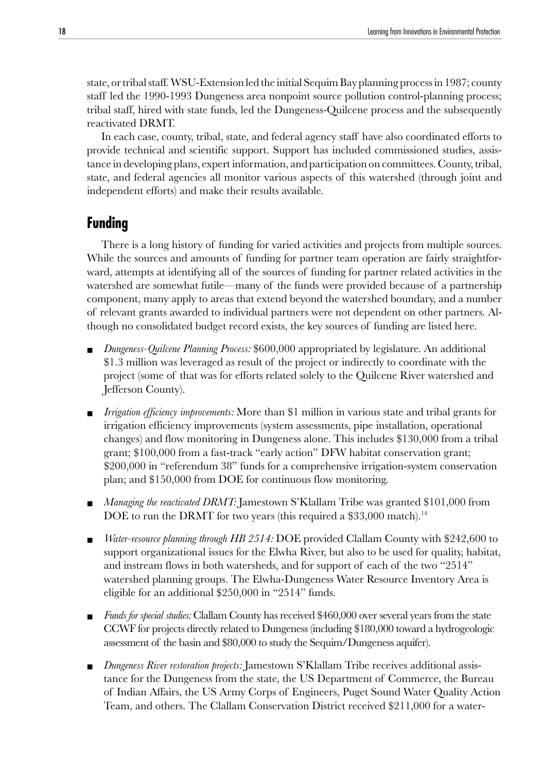<span id="page-17-0"></span>state, or tribal staff. WSU-Extension led the initial Sequim Bay planning process in 1987; county staff led the 1990-1993 Dungeness area nonpoint source pollution control-planning process; tribal staff, hired with state funds, led the Dungeness-Quilcene process and the subsequently reactivated DRMT.

In each case, county, tribal, state, and federal agency staff have also coordinated efforts to provide technical and scientific support. Support has included commissioned studies, assistance in developing plans, expert information, and participation on committees. County, tribal, state, and federal agencies all monitor various aspects of this watershed (through joint and independent efforts) and make their results available.

# **Funding**

There is a long history of funding for varied activities and projects from multiple sources. While the sources and amounts of funding for partner team operation are fairly straightforward, attempts at identifying all of the sources of funding for partner related activities in the watershed are somewhat futile—many of the funds were provided because of a partnership component, many apply to areas that extend beyond the watershed boundary, and a number of relevant grants awarded to individual partners were not dependent on other partners. Although no consolidated budget record exists, the key sources of funding are listed here.

- *Dungeness-Quilcene Planning Process:* \$600,000 appropriated by legislature. An additional \$1.3 million was leveraged as result of the project or indirectly to coordinate with the project (some of that was for efforts related solely to the Quilcene River watershed and Jefferson County).
- *Irrigation efficiency improvements:* More than \$1 million in various state and tribal grants for irrigation efficiency improvements (system assessments, pipe installation, operational changes) and flow monitoring in Dungeness alone. This includes \$130,000 from a tribal grant; \$100,000 from a fast-track "early action" DFW habitat conservation grant; \$200,000 in "referendum 38" funds for a comprehensive irrigation-system conservation plan; and \$150,000 from DOE for continuous flow monitoring.
- *Managing the reactivated DRMT:* Jamestown S'Klallam Tribe was granted \$101,000 from DOE to run the DRMT for two years (this required a  $$33,000$  match).<sup>14</sup>
- *Water-resource planning through HB 2514:* DOE provided Clallam County with \$242,600 to support organizational issues for the Elwha River, but also to be used for quality, habitat, and instream flows in both watersheds, and for support of each of the two "2514" watershed planning groups. The Elwha-Dungeness Water Resource Inventory Area is eligible for an additional \$250,000 in "2514" funds.
- *Funds for special studies:* Clallam County has received \$460,000 over several years from the state CCWF for projects directly related to Dungeness (including \$180,000 toward a hydrogeologic assessment of the basin and \$80,000 to study the Sequim/Dungeness aquifer).
- *Dungeness River restoration projects:* Jamestown S'Klallam Tribe receives additional assistance for the Dungeness from the state, the US Department of Commerce, the Bureau of Indian Affairs, the US Army Corps of Engineers, Puget Sound Water Quality Action Team, and others. The Clallam Conservation District received \$211,000 for a water-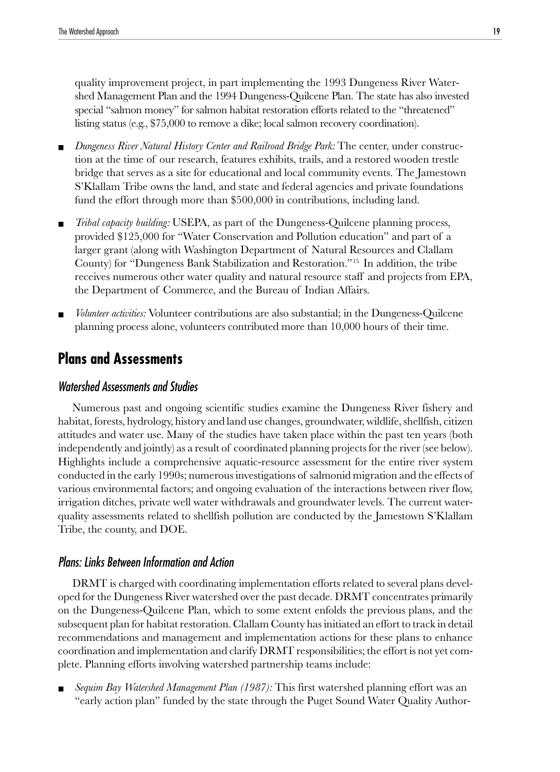<span id="page-18-0"></span>quality improvement project, in part implementing the 1993 Dungeness River Watershed Management Plan and the 1994 Dungeness-Quilcene Plan. The state has also invested special "salmon money" for salmon habitat restoration efforts related to the "threatened" listing status (e.g., \$75,000 to remove a dike; local salmon recovery coordination).

- *Dungeness River Natural History Center and Railroad Bridge Park:* The center, under construction at the time of our research, features exhibits, trails, and a restored wooden trestle bridge that serves as a site for educational and local community events. The Jamestown S'Klallam Tribe owns the land, and state and federal agencies and private foundations fund the effort through more than \$500,000 in contributions, including land.
- *Tribal capacity building:* USEPA, as part of the Dungeness-Quilcene planning process, provided \$125,000 for "Water Conservation and Pollution education" and part of a larger grant (along with Washington Department of Natural Resources and Clallam County) for "Dungeness Bank Stabilization and Restoration."15 In addition, the tribe receives numerous other water quality and natural resource staff and projects from EPA, the Department of Commerce, and the Bureau of Indian Affairs.
- *Volunteer activities:* Volunteer contributions are also substantial; in the Dungeness-Quilcene planning process alone, volunteers contributed more than 10,000 hours of their time.

# **Plans and Assessments**

# Watershed Assessments and Studies

Numerous past and ongoing scientific studies examine the Dungeness River fishery and habitat, forests, hydrology, history and land use changes, groundwater, wildlife, shellfish, citizen attitudes and water use. Many of the studies have taken place within the past ten years (both independently and jointly) as a result of coordinated planning projects for the river (see below). Highlights include a comprehensive aquatic-resource assessment for the entire river system conducted in the early 1990s; numerous investigations of salmonid migration and the effects of various environmental factors; and ongoing evaluation of the interactions between river flow, irrigation ditches, private well water withdrawals and groundwater levels. The current waterquality assessments related to shellfish pollution are conducted by the Jamestown S'Klallam Tribe, the county, and DOE.

## Plans: Links Between Information and Action

DRMT is charged with coordinating implementation efforts related to several plans developed for the Dungeness River watershed over the past decade. DRMT concentrates primarily on the Dungeness-Quilcene Plan, which to some extent enfolds the previous plans, and the subsequent plan for habitat restoration. Clallam County has initiated an effort to track in detail recommendations and management and implementation actions for these plans to enhance coordination and implementation and clarify DRMT responsibilities; the effort is not yet complete. Planning efforts involving watershed partnership teams include:

Sequim Bay Watershed Management Plan (1987): This first watershed planning effort was an "early action plan" funded by the state through the Puget Sound Water Quality Author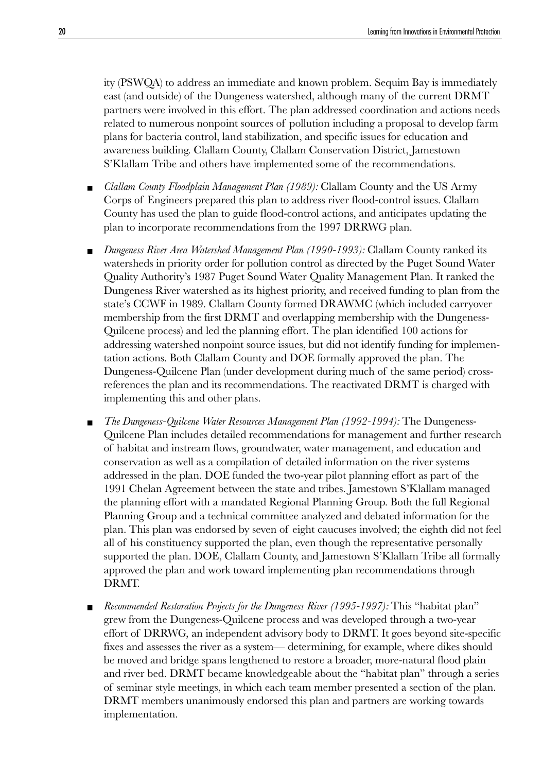ity (PSWQA) to address an immediate and known problem. Sequim Bay is immediately east (and outside) of the Dungeness watershed, although many of the current DRMT partners were involved in this effort. The plan addressed coordination and actions needs related to numerous nonpoint sources of pollution including a proposal to develop farm plans for bacteria control, land stabilization, and specific issues for education and awareness building. Clallam County, Clallam Conservation District, Jamestown S'Klallam Tribe and others have implemented some of the recommendations.

- *Clallam County Floodplain Management Plan (1989):* Clallam County and the US Army Corps of Engineers prepared this plan to address river flood-control issues. Clallam County has used the plan to guide flood-control actions, and anticipates updating the plan to incorporate recommendations from the 1997 DRRWG plan.
- *Dungeness River Area Watershed Management Plan (1990-1993):* Clallam County ranked its watersheds in priority order for pollution control as directed by the Puget Sound Water Quality Authority's 1987 Puget Sound Water Quality Management Plan. It ranked the Dungeness River watershed as its highest priority, and received funding to plan from the state's CCWF in 1989. Clallam County formed DRAWMC (which included carryover membership from the first DRMT and overlapping membership with the Dungeness-Quilcene process) and led the planning effort. The plan identified 100 actions for addressing watershed nonpoint source issues, but did not identify funding for implementation actions. Both Clallam County and DOE formally approved the plan. The Dungeness-Quilcene Plan (under development during much of the same period) crossreferences the plan and its recommendations. The reactivated DRMT is charged with implementing this and other plans.
- The Dungeness-Quilcene Water Resources Management Plan (1992-1994): The Dungeness-Quilcene Plan includes detailed recommendations for management and further research of habitat and instream flows, groundwater, water management, and education and conservation as well as a compilation of detailed information on the river systems addressed in the plan. DOE funded the two-year pilot planning effort as part of the 1991 Chelan Agreement between the state and tribes. Jamestown S'Klallam managed the planning effort with a mandated Regional Planning Group. Both the full Regional Planning Group and a technical committee analyzed and debated information for the plan. This plan was endorsed by seven of eight caucuses involved; the eighth did not feel all of his constituency supported the plan, even though the representative personally supported the plan. DOE, Clallam County, and Jamestown S'Klallam Tribe all formally approved the plan and work toward implementing plan recommendations through DRMT.
- *Recommended Restoration Projects for the Dungeness River (1995-1997):* This "habitat plan" grew from the Dungeness-Quilcene process and was developed through a two-year effort of DRRWG, an independent advisory body to DRMT. It goes beyond site-specific fixes and assesses the river as a system— determining, for example, where dikes should be moved and bridge spans lengthened to restore a broader, more-natural flood plain and river bed. DRMT became knowledgeable about the "habitat plan" through a series of seminar style meetings, in which each team member presented a section of the plan. DRMT members unanimously endorsed this plan and partners are working towards implementation.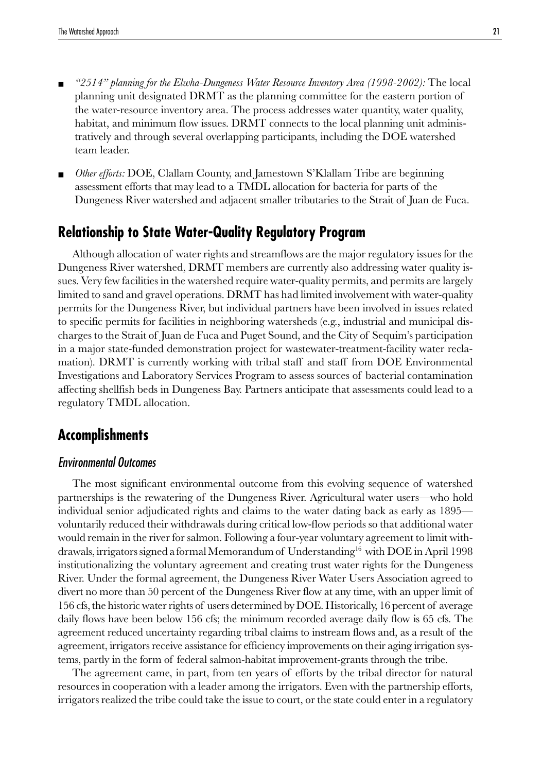- <span id="page-20-0"></span>■ *"2514" planning for the Elwha-Dungeness Water Resource Inventory Area (1998-2002):* The local planning unit designated DRMT as the planning committee for the eastern portion of the water-resource inventory area. The process addresses water quantity, water quality, habitat, and minimum flow issues. DRMT connects to the local planning unit administratively and through several overlapping participants, including the DOE watershed team leader.
- *Other efforts:* DOE, Clallam County, and Jamestown S'Klallam Tribe are beginning assessment efforts that may lead to a TMDL allocation for bacteria for parts of the Dungeness River watershed and adjacent smaller tributaries to the Strait of Juan de Fuca.

# **Relationship to State Water-Quality Regulatory Program**

Although allocation of water rights and streamflows are the major regulatory issues for the Dungeness River watershed, DRMT members are currently also addressing water quality issues. Very few facilities in the watershed require water-quality permits, and permits are largely limited to sand and gravel operations. DRMT has had limited involvement with water-quality permits for the Dungeness River, but individual partners have been involved in issues related to specific permits for facilities in neighboring watersheds (e.g., industrial and municipal discharges to the Strait of Juan de Fuca and Puget Sound, and the City of Sequim's participation in a major state-funded demonstration project for wastewater-treatment-facility water reclamation). DRMT is currently working with tribal staff and staff from DOE Environmental Investigations and Laboratory Services Program to assess sources of bacterial contamination affecting shellfish beds in Dungeness Bay. Partners anticipate that assessments could lead to a regulatory TMDL allocation.

# **Accomplishments**

## Environmental Outcomes

The most significant environmental outcome from this evolving sequence of watershed partnerships is the rewatering of the Dungeness River. Agricultural water users—who hold individual senior adjudicated rights and claims to the water dating back as early as 1895 voluntarily reduced their withdrawals during critical low-flow periods so that additional water would remain in the river for salmon. Following a four-year voluntary agreement to limit withdrawals, irrigators signed a formal Memorandum of Understanding<sup>16</sup> with DOE in April 1998 institutionalizing the voluntary agreement and creating trust water rights for the Dungeness River. Under the formal agreement, the Dungeness River Water Users Association agreed to divert no more than 50 percent of the Dungeness River flow at any time, with an upper limit of 156 cfs, the historic water rights of users determined by DOE. Historically, 16 percent of average daily flows have been below 156 cfs; the minimum recorded average daily flow is 65 cfs. The agreement reduced uncertainty regarding tribal claims to instream flows and, as a result of the agreement, irrigators receive assistance for efficiency improvements on their aging irrigation systems, partly in the form of federal salmon-habitat improvement-grants through the tribe.

The agreement came, in part, from ten years of efforts by the tribal director for natural resources in cooperation with a leader among the irrigators. Even with the partnership efforts, irrigators realized the tribe could take the issue to court, or the state could enter in a regulatory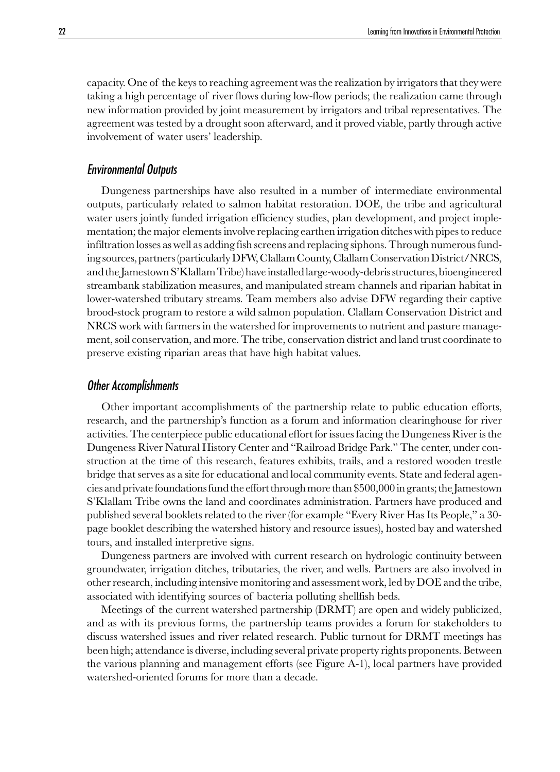capacity. One of the keys to reaching agreement was the realization by irrigators that they were taking a high percentage of river flows during low-flow periods; the realization came through new information provided by joint measurement by irrigators and tribal representatives. The agreement was tested by a drought soon afterward, and it proved viable, partly through active involvement of water users' leadership.

#### Environmental Outputs

Dungeness partnerships have also resulted in a number of intermediate environmental outputs, particularly related to salmon habitat restoration. DOE, the tribe and agricultural water users jointly funded irrigation efficiency studies, plan development, and project implementation; the major elements involve replacing earthen irrigation ditches with pipes to reduce infiltration losses as well as adding fish screens and replacing siphons. Through numerous funding sources, partners (particularly DFW, Clallam County, Clallam Conservation District/NRCS, and the Jamestown S'Klallam Tribe) have installed large-woody-debris structures, bioengineered streambank stabilization measures, and manipulated stream channels and riparian habitat in lower-watershed tributary streams. Team members also advise DFW regarding their captive brood-stock program to restore a wild salmon population. Clallam Conservation District and NRCS work with farmers in the watershed for improvements to nutrient and pasture management, soil conservation, and more. The tribe, conservation district and land trust coordinate to preserve existing riparian areas that have high habitat values.

#### Other Accomplishments

Other important accomplishments of the partnership relate to public education efforts, research, and the partnership's function as a forum and information clearinghouse for river activities. The centerpiece public educational effort for issues facing the Dungeness River is the Dungeness River Natural History Center and "Railroad Bridge Park." The center, under construction at the time of this research, features exhibits, trails, and a restored wooden trestle bridge that serves as a site for educational and local community events. State and federal agencies and private foundations fund the effort through more than \$500,000 in grants; the Jamestown S'Klallam Tribe owns the land and coordinates administration. Partners have produced and published several booklets related to the river (for example "Every River Has Its People," a 30 page booklet describing the watershed history and resource issues), hosted bay and watershed tours, and installed interpretive signs.

Dungeness partners are involved with current research on hydrologic continuity between groundwater, irrigation ditches, tributaries, the river, and wells. Partners are also involved in other research, including intensive monitoring and assessment work, led by DOE and the tribe, associated with identifying sources of bacteria polluting shellfish beds.

Meetings of the current watershed partnership (DRMT) are open and widely publicized, and as with its previous forms, the partnership teams provides a forum for stakeholders to discuss watershed issues and river related research. Public turnout for DRMT meetings has been high; attendance is diverse, including several private property rights proponents. Between the various planning and management efforts (see Figure A-1), local partners have provided watershed-oriented forums for more than a decade.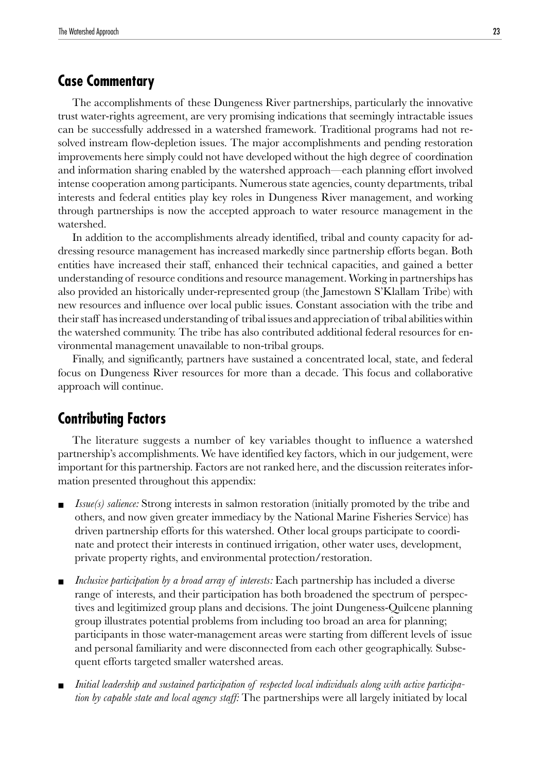# <span id="page-22-0"></span>**Case Commentary**

The accomplishments of these Dungeness River partnerships, particularly the innovative trust water-rights agreement, are very promising indications that seemingly intractable issues can be successfully addressed in a watershed framework. Traditional programs had not resolved instream flow-depletion issues. The major accomplishments and pending restoration improvements here simply could not have developed without the high degree of coordination and information sharing enabled by the watershed approach—each planning effort involved intense cooperation among participants. Numerous state agencies, county departments, tribal interests and federal entities play key roles in Dungeness River management, and working through partnerships is now the accepted approach to water resource management in the watershed.

In addition to the accomplishments already identified, tribal and county capacity for addressing resource management has increased markedly since partnership efforts began. Both entities have increased their staff, enhanced their technical capacities, and gained a better understanding of resource conditions and resource management. Working in partnerships has also provided an historically under-represented group (the Jamestown S'Klallam Tribe) with new resources and influence over local public issues. Constant association with the tribe and their staff has increased understanding of tribal issues and appreciation of tribal abilities within the watershed community. The tribe has also contributed additional federal resources for environmental management unavailable to non-tribal groups.

Finally, and significantly, partners have sustained a concentrated local, state, and federal focus on Dungeness River resources for more than a decade. This focus and collaborative approach will continue.

# **Contributing Factors**

The literature suggests a number of key variables thought to influence a watershed partnership's accomplishments. We have identified key factors, which in our judgement, were important for this partnership. Factors are not ranked here, and the discussion reiterates information presented throughout this appendix:

- *Issue(s) salience:* Strong interests in salmon restoration (initially promoted by the tribe and others, and now given greater immediacy by the National Marine Fisheries Service) has driven partnership efforts for this watershed. Other local groups participate to coordinate and protect their interests in continued irrigation, other water uses, development, private property rights, and environmental protection/restoration.
- *Inclusive participation by a broad array of interests:* Each partnership has included a diverse range of interests, and their participation has both broadened the spectrum of perspectives and legitimized group plans and decisions. The joint Dungeness-Quilcene planning group illustrates potential problems from including too broad an area for planning; participants in those water-management areas were starting from different levels of issue and personal familiarity and were disconnected from each other geographically. Subsequent efforts targeted smaller watershed areas.
- Initial leadership and sustained participation of respected local individuals along with active participa*tion by capable state and local agency staff:* The partnerships were all largely initiated by local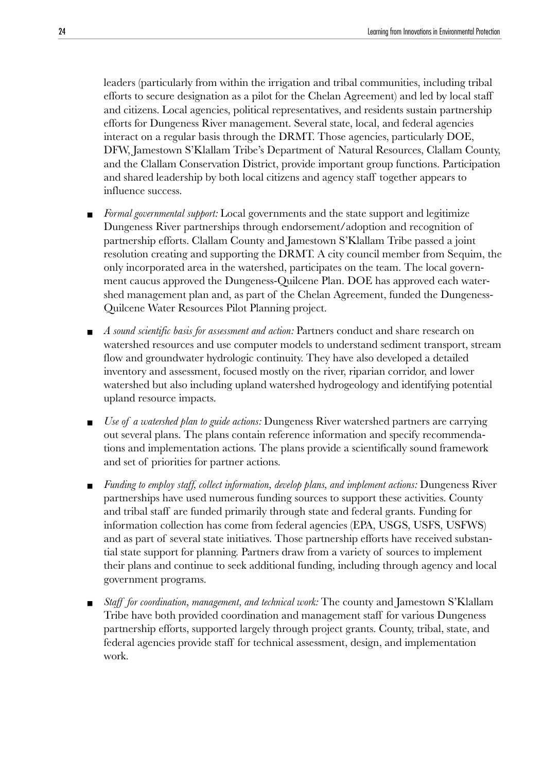leaders (particularly from within the irrigation and tribal communities, including tribal efforts to secure designation as a pilot for the Chelan Agreement) and led by local staff and citizens. Local agencies, political representatives, and residents sustain partnership efforts for Dungeness River management. Several state, local, and federal agencies interact on a regular basis through the DRMT. Those agencies, particularly DOE, DFW, Jamestown S'Klallam Tribe's Department of Natural Resources, Clallam County, and the Clallam Conservation District, provide important group functions. Participation and shared leadership by both local citizens and agency staff together appears to influence success.

- Formal governmental support: Local governments and the state support and legitimize Dungeness River partnerships through endorsement/adoption and recognition of partnership efforts. Clallam County and Jamestown S'Klallam Tribe passed a joint resolution creating and supporting the DRMT. A city council member from Sequim, the only incorporated area in the watershed, participates on the team. The local government caucus approved the Dungeness-Quilcene Plan. DOE has approved each watershed management plan and, as part of the Chelan Agreement, funded the Dungeness-Quilcene Water Resources Pilot Planning project.
- *A sound scientific basis for assessment and action:* Partners conduct and share research on watershed resources and use computer models to understand sediment transport, stream flow and groundwater hydrologic continuity. They have also developed a detailed inventory and assessment, focused mostly on the river, riparian corridor, and lower watershed but also including upland watershed hydrogeology and identifying potential upland resource impacts.
- *Use of a watershed plan to guide actions:* Dungeness River watershed partners are carrying out several plans. The plans contain reference information and specify recommendations and implementation actions. The plans provide a scientifically sound framework and set of priorities for partner actions.
- *Funding to employ staff, collect information, develop plans, and implement actions:* Dungeness River partnerships have used numerous funding sources to support these activities. County and tribal staff are funded primarily through state and federal grants. Funding for information collection has come from federal agencies (EPA, USGS, USFS, USFWS) and as part of several state initiatives. Those partnership efforts have received substantial state support for planning. Partners draw from a variety of sources to implement their plans and continue to seek additional funding, including through agency and local government programs.
- Staff for coordination, management, and technical work: The county and Jamestown S'Klallam Tribe have both provided coordination and management staff for various Dungeness partnership efforts, supported largely through project grants. County, tribal, state, and federal agencies provide staff for technical assessment, design, and implementation work.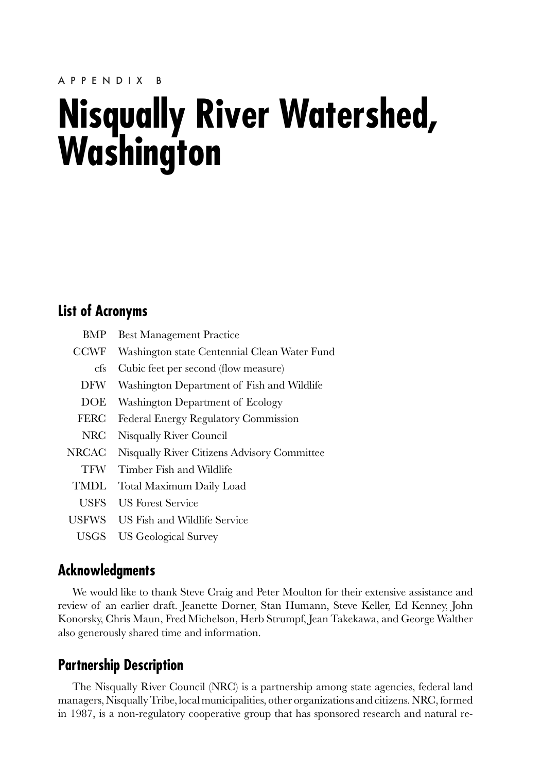# <span id="page-24-0"></span>**Nisqually River Watershed, Washington**

# **List of Acronyms**

| BMP         | <b>Best Management Practice</b>              |
|-------------|----------------------------------------------|
| <b>CCWF</b> | Washington state Centennial Clean Water Fund |
| cfs         | Cubic feet per second (flow measure)         |
| DFW         | Washington Department of Fish and Wildlife   |
| <b>DOE</b>  | Washington Department of Ecology             |
| <b>FERC</b> | Federal Energy Regulatory Commission         |
| NRC         | Nisqually River Council                      |
| NRCAC       | Nisqually River Citizens Advisory Committee  |
| <b>TFW</b>  | Timber Fish and Wildlife                     |
| <b>TMDL</b> | Total Maximum Daily Load                     |
| <b>USFS</b> | US Forest Service                            |
| USFWS       | US Fish and Wildlife Service                 |
| USGS        | US Geological Survey                         |

# **Acknowledgments**

We would like to thank Steve Craig and Peter Moulton for their extensive assistance and review of an earlier draft. Jeanette Dorner, Stan Humann, Steve Keller, Ed Kenney, John Konorsky, Chris Maun, Fred Michelson, Herb Strumpf, Jean Takekawa, and George Walther also generously shared time and information.

# **Partnership Description**

The Nisqually River Council (NRC) is a partnership among state agencies, federal land managers, Nisqually Tribe, local municipalities, other organizations and citizens. NRC, formed in 1987, is a non-regulatory cooperative group that has sponsored research and natural re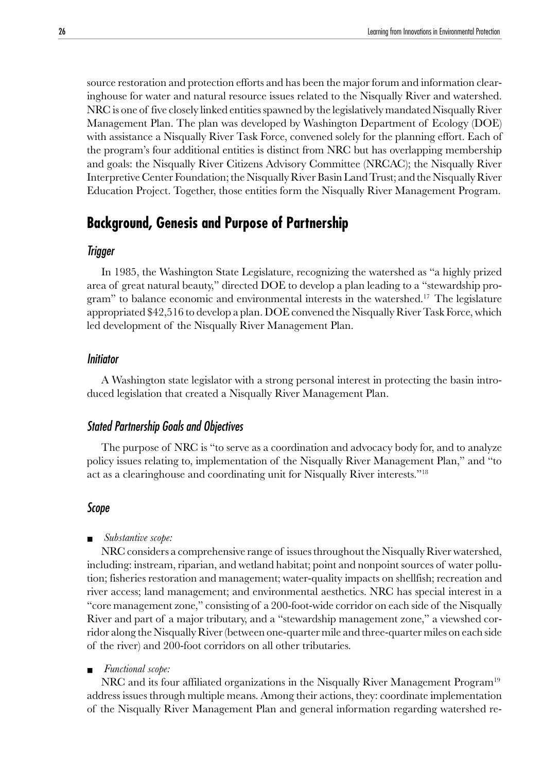<span id="page-25-0"></span>source restoration and protection efforts and has been the major forum and information clearinghouse for water and natural resource issues related to the Nisqually River and watershed. NRC is one of five closely linked entities spawned by the legislatively mandated Nisqually River Management Plan. The plan was developed by Washington Department of Ecology (DOE) with assistance a Nisqually River Task Force, convened solely for the planning effort. Each of the program's four additional entities is distinct from NRC but has overlapping membership and goals: the Nisqually River Citizens Advisory Committee (NRCAC); the Nisqually River Interpretive Center Foundation; the Nisqually River Basin Land Trust; and the Nisqually River Education Project. Together, those entities form the Nisqually River Management Program.

# **Background, Genesis and Purpose of Partnership**

### Trigger

In 1985, the Washington State Legislature, recognizing the watershed as "a highly prized area of great natural beauty," directed DOE to develop a plan leading to a "stewardship program" to balance economic and environmental interests in the watershed.<sup>17</sup> The legislature appropriated \$42,516 to develop a plan. DOE convened the Nisqually River Task Force, which led development of the Nisqually River Management Plan.

### Initiator

A Washington state legislator with a strong personal interest in protecting the basin introduced legislation that created a Nisqually River Management Plan.

#### Stated Partnership Goals and Objectives

The purpose of NRC is "to serve as a coordination and advocacy body for, and to analyze policy issues relating to, implementation of the Nisqually River Management Plan," and "to act as a clearinghouse and coordinating unit for Nisqually River interests."18

#### Scope

#### ■ *Substantive scope:*

NRC considers a comprehensive range of issues throughout the Nisqually River watershed, including: instream, riparian, and wetland habitat; point and nonpoint sources of water pollution; fisheries restoration and management; water-quality impacts on shellfish; recreation and river access; land management; and environmental aesthetics. NRC has special interest in a "core management zone," consisting of a 200-foot-wide corridor on each side of the Nisqually River and part of a major tributary, and a "stewardship management zone," a viewshed corridor along the Nisqually River (between one-quarter mile and three-quarter miles on each side of the river) and 200-foot corridors on all other tributaries.

#### ■ *Functional scope:*

NRC and its four affiliated organizations in the Nisqually River Management Program<sup>19</sup> address issues through multiple means. Among their actions, they: coordinate implementation of the Nisqually River Management Plan and general information regarding watershed re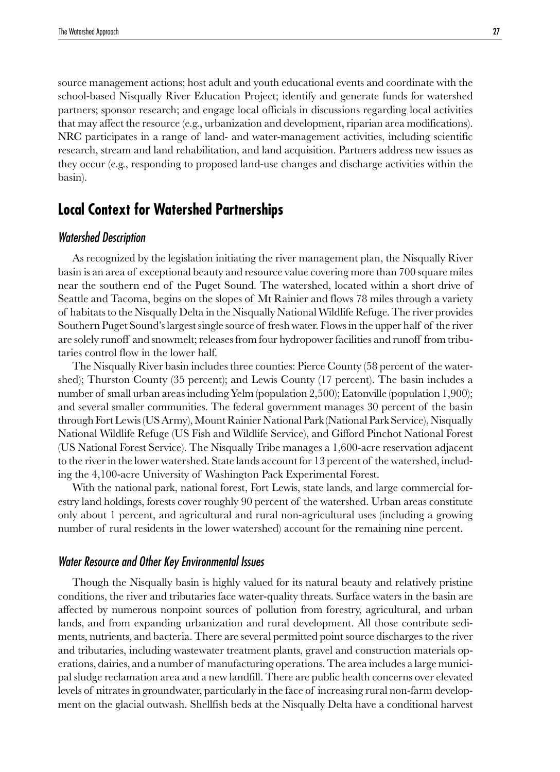<span id="page-26-0"></span>source management actions; host adult and youth educational events and coordinate with the school-based Nisqually River Education Project; identify and generate funds for watershed partners; sponsor research; and engage local officials in discussions regarding local activities that may affect the resource (e.g., urbanization and development, riparian area modifications). NRC participates in a range of land- and water-management activities, including scientific research, stream and land rehabilitation, and land acquisition. Partners address new issues as they occur (e.g., responding to proposed land-use changes and discharge activities within the basin).

# **Local Context for Watershed Partnerships**

# Watershed Description

As recognized by the legislation initiating the river management plan, the Nisqually River basin is an area of exceptional beauty and resource value covering more than 700 square miles near the southern end of the Puget Sound. The watershed, located within a short drive of Seattle and Tacoma, begins on the slopes of Mt Rainier and flows 78 miles through a variety of habitats to the Nisqually Delta in the Nisqually National Wildlife Refuge. The river provides Southern Puget Sound's largest single source of fresh water. Flows in the upper half of the river are solely runoff and snowmelt; releases from four hydropower facilities and runoff from tributaries control flow in the lower half.

The Nisqually River basin includes three counties: Pierce County (58 percent of the watershed); Thurston County (35 percent); and Lewis County (17 percent). The basin includes a number of small urban areas including Yelm (population 2,500); Eatonville (population 1,900); and several smaller communities. The federal government manages 30 percent of the basin through Fort Lewis (US Army), Mount Rainier National Park (National Park Service), Nisqually National Wildlife Refuge (US Fish and Wildlife Service), and Gifford Pinchot National Forest (US National Forest Service). The Nisqually Tribe manages a 1,600-acre reservation adjacent to the river in the lower watershed. State lands account for 13 percent of the watershed, including the 4,100-acre University of Washington Pack Experimental Forest.

With the national park, national forest, Fort Lewis, state lands, and large commercial forestry land holdings, forests cover roughly 90 percent of the watershed. Urban areas constitute only about 1 percent, and agricultural and rural non-agricultural uses (including a growing number of rural residents in the lower watershed) account for the remaining nine percent.

#### Water Resource and Other Key Environmental Issues

Though the Nisqually basin is highly valued for its natural beauty and relatively pristine conditions, the river and tributaries face water-quality threats. Surface waters in the basin are affected by numerous nonpoint sources of pollution from forestry, agricultural, and urban lands, and from expanding urbanization and rural development. All those contribute sediments, nutrients, and bacteria. There are several permitted point source discharges to the river and tributaries, including wastewater treatment plants, gravel and construction materials operations, dairies, and a number of manufacturing operations. The area includes a large municipal sludge reclamation area and a new landfill. There are public health concerns over elevated levels of nitrates in groundwater, particularly in the face of increasing rural non-farm development on the glacial outwash. Shellfish beds at the Nisqually Delta have a conditional harvest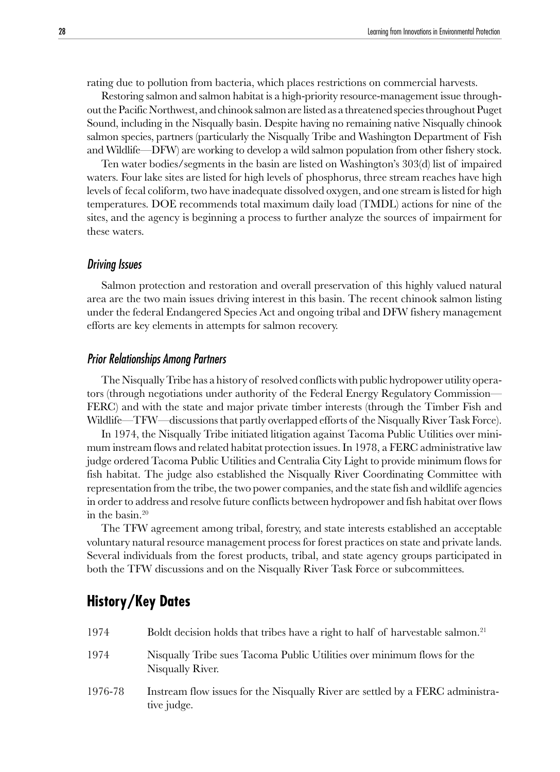<span id="page-27-0"></span>rating due to pollution from bacteria, which places restrictions on commercial harvests.

Restoring salmon and salmon habitat is a high-priority resource-management issue throughout the Pacific Northwest, and chinook salmon are listed as a threatened species throughout Puget Sound, including in the Nisqually basin. Despite having no remaining native Nisqually chinook salmon species, partners (particularly the Nisqually Tribe and Washington Department of Fish and Wildlife—DFW) are working to develop a wild salmon population from other fishery stock.

Ten water bodies/segments in the basin are listed on Washington's 303(d) list of impaired waters. Four lake sites are listed for high levels of phosphorus, three stream reaches have high levels of fecal coliform, two have inadequate dissolved oxygen, and one stream is listed for high temperatures. DOE recommends total maximum daily load (TMDL) actions for nine of the sites, and the agency is beginning a process to further analyze the sources of impairment for these waters.

#### Driving Issues

Salmon protection and restoration and overall preservation of this highly valued natural area are the two main issues driving interest in this basin. The recent chinook salmon listing under the federal Endangered Species Act and ongoing tribal and DFW fishery management efforts are key elements in attempts for salmon recovery.

#### Prior Relationships Among Partners

The Nisqually Tribe has a history of resolved conflicts with public hydropower utility operators (through negotiations under authority of the Federal Energy Regulatory Commission— FERC) and with the state and major private timber interests (through the Timber Fish and Wildlife—TFW—discussions that partly overlapped efforts of the Nisqually River Task Force).

In 1974, the Nisqually Tribe initiated litigation against Tacoma Public Utilities over minimum instream flows and related habitat protection issues. In 1978, a FERC administrative law judge ordered Tacoma Public Utilities and Centralia City Light to provide minimum flows for fish habitat. The judge also established the Nisqually River Coordinating Committee with representation from the tribe, the two power companies, and the state fish and wildlife agencies in order to address and resolve future conflicts between hydropower and fish habitat over flows in the basin.20

The TFW agreement among tribal, forestry, and state interests established an acceptable voluntary natural resource management process for forest practices on state and private lands. Several individuals from the forest products, tribal, and state agency groups participated in both the TFW discussions and on the Nisqually River Task Force or subcommittees.

# **History/Key Dates**

| 1974    | Boldt decision holds that tribes have a right to half of harvestable salmon. <sup>21</sup>    |
|---------|-----------------------------------------------------------------------------------------------|
| 1974    | Nisqually Tribe sues Tacoma Public Utilities over minimum flows for the<br>Nisqually River.   |
| 1976-78 | Instream flow issues for the Nisqually River are settled by a FERC administra-<br>tive judge. |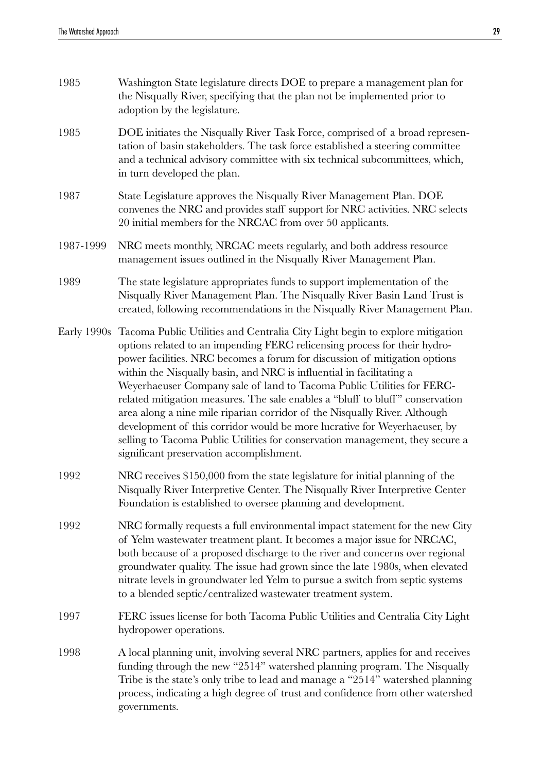| 1985      | Washington State legislature directs DOE to prepare a management plan for<br>the Nisqually River, specifying that the plan not be implemented prior to<br>adoption by the legislature.                                                                                                                                                                                                                                                                                                                                                                                                                                                                                                                                                                                        |
|-----------|-------------------------------------------------------------------------------------------------------------------------------------------------------------------------------------------------------------------------------------------------------------------------------------------------------------------------------------------------------------------------------------------------------------------------------------------------------------------------------------------------------------------------------------------------------------------------------------------------------------------------------------------------------------------------------------------------------------------------------------------------------------------------------|
| 1985      | DOE initiates the Nisqually River Task Force, comprised of a broad represen-<br>tation of basin stakeholders. The task force established a steering committee<br>and a technical advisory committee with six technical subcommittees, which,<br>in turn developed the plan.                                                                                                                                                                                                                                                                                                                                                                                                                                                                                                   |
| 1987      | State Legislature approves the Nisqually River Management Plan. DOE<br>convenes the NRC and provides staff support for NRC activities. NRC selects<br>20 initial members for the NRCAC from over 50 applicants.                                                                                                                                                                                                                                                                                                                                                                                                                                                                                                                                                               |
| 1987-1999 | NRC meets monthly, NRCAC meets regularly, and both address resource<br>management issues outlined in the Nisqually River Management Plan.                                                                                                                                                                                                                                                                                                                                                                                                                                                                                                                                                                                                                                     |
| 1989      | The state legislature appropriates funds to support implementation of the<br>Nisqually River Management Plan. The Nisqually River Basin Land Trust is<br>created, following recommendations in the Nisqually River Management Plan.                                                                                                                                                                                                                                                                                                                                                                                                                                                                                                                                           |
|           | Early 1990s Tacoma Public Utilities and Centralia City Light begin to explore mitigation<br>options related to an impending FERC relicensing process for their hydro-<br>power facilities. NRC becomes a forum for discussion of mitigation options<br>within the Nisqually basin, and NRC is influential in facilitating a<br>Weyerhaeuser Company sale of land to Tacoma Public Utilities for FERC-<br>related mitigation measures. The sale enables a "bluff to bluff" conservation<br>area along a nine mile riparian corridor of the Nisqually River. Although<br>development of this corridor would be more lucrative for Weyerhaeuser, by<br>selling to Tacoma Public Utilities for conservation management, they secure a<br>significant preservation accomplishment. |
| 1992      | NRC receives \$150,000 from the state legislature for initial planning of the<br>Nisqually River Interpretive Center. The Nisqually River Interpretive Center<br>Foundation is established to oversee planning and development.                                                                                                                                                                                                                                                                                                                                                                                                                                                                                                                                               |
| 1992      | NRC formally requests a full environmental impact statement for the new City<br>of Yelm wastewater treatment plant. It becomes a major issue for NRCAC,<br>both because of a proposed discharge to the river and concerns over regional<br>groundwater quality. The issue had grown since the late 1980s, when elevated<br>nitrate levels in groundwater led Yelm to pursue a switch from septic systems<br>to a blended septic/centralized wastewater treatment system.                                                                                                                                                                                                                                                                                                      |
| 1997      | FERC issues license for both Tacoma Public Utilities and Centralia City Light<br>hydropower operations.                                                                                                                                                                                                                                                                                                                                                                                                                                                                                                                                                                                                                                                                       |
| 1998      | A local planning unit, involving several NRC partners, applies for and receives<br>funding through the new "2514" watershed planning program. The Nisqually<br>Tribe is the state's only tribe to lead and manage a "2514" watershed planning<br>process, indicating a high degree of trust and confidence from other watershed<br>governments.                                                                                                                                                                                                                                                                                                                                                                                                                               |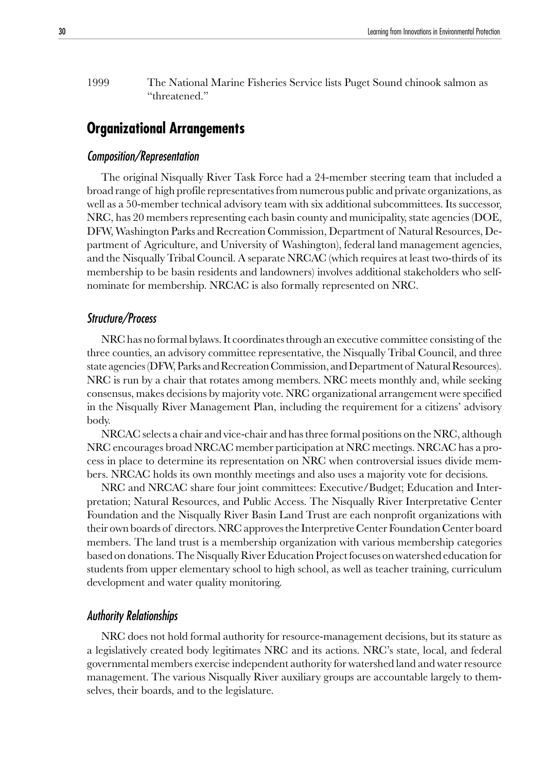<span id="page-29-0"></span>1999 The National Marine Fisheries Service lists Puget Sound chinook salmon as "threatened."

# **Organizational Arrangements**

#### Composition/Representation

The original Nisqually River Task Force had a 24-member steering team that included a broad range of high profile representatives from numerous public and private organizations, as well as a 50-member technical advisory team with six additional subcommittees. Its successor, NRC, has 20 members representing each basin county and municipality, state agencies (DOE, DFW, Washington Parks and Recreation Commission, Department of Natural Resources, Department of Agriculture, and University of Washington), federal land management agencies, and the Nisqually Tribal Council. A separate NRCAC (which requires at least two-thirds of its membership to be basin residents and landowners) involves additional stakeholders who selfnominate for membership. NRCAC is also formally represented on NRC.

#### Structure/Process

NRC has no formal bylaws. It coordinates through an executive committee consisting of the three counties, an advisory committee representative, the Nisqually Tribal Council, and three state agencies (DFW, Parks and Recreation Commission, and Department of Natural Resources). NRC is run by a chair that rotates among members. NRC meets monthly and, while seeking consensus, makes decisions by majority vote. NRC organizational arrangement were specified in the Nisqually River Management Plan, including the requirement for a citizens' advisory body.

NRCAC selects a chair and vice-chair and has three formal positions on the NRC, although NRC encourages broad NRCAC member participation at NRC meetings. NRCAC has a process in place to determine its representation on NRC when controversial issues divide members. NRCAC holds its own monthly meetings and also uses a majority vote for decisions.

NRC and NRCAC share four joint committees: Executive/Budget; Education and Interpretation; Natural Resources, and Public Access. The Nisqually River Interpretative Center Foundation and the Nisqually River Basin Land Trust are each nonprofit organizations with their own boards of directors. NRC approves the Interpretive Center Foundation Center board members. The land trust is a membership organization with various membership categories based on donations. The Nisqually River Education Project focuses on watershed education for students from upper elementary school to high school, as well as teacher training, curriculum development and water quality monitoring.

#### Authority Relationships

NRC does not hold formal authority for resource-management decisions, but its stature as a legislatively created body legitimates NRC and its actions. NRC's state, local, and federal governmental members exercise independent authority for watershed land and water resource management. The various Nisqually River auxiliary groups are accountable largely to themselves, their boards, and to the legislature.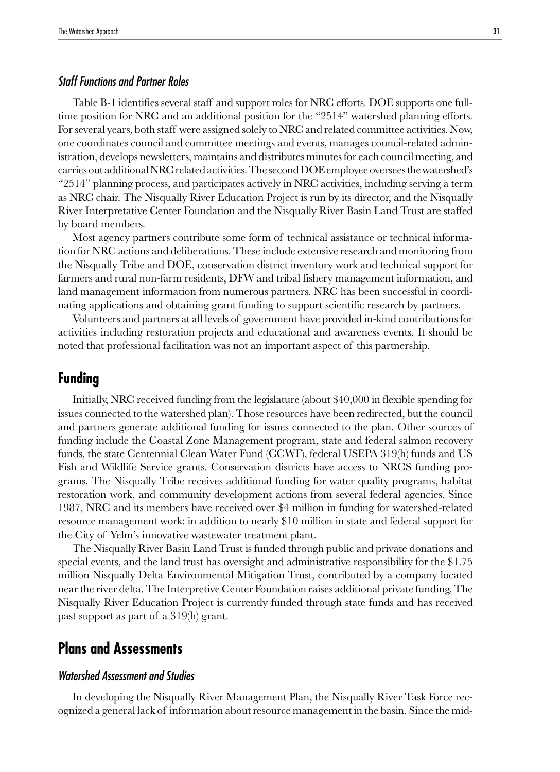# <span id="page-30-0"></span>Staff Functions and Partner Roles

Table B-1 identifies several staff and support roles for NRC efforts. DOE supports one fulltime position for NRC and an additional position for the "2514" watershed planning efforts. For several years, both staff were assigned solely to NRC and related committee activities. Now, one coordinates council and committee meetings and events, manages council-related administration, develops newsletters, maintains and distributes minutes for each council meeting, and carries out additional NRC related activities. The second DOE employee oversees the watershed's "2514" planning process, and participates actively in NRC activities, including serving a term as NRC chair. The Nisqually River Education Project is run by its director, and the Nisqually River Interpretative Center Foundation and the Nisqually River Basin Land Trust are staffed by board members.

Most agency partners contribute some form of technical assistance or technical information for NRC actions and deliberations. These include extensive research and monitoring from the Nisqually Tribe and DOE, conservation district inventory work and technical support for farmers and rural non-farm residents, DFW and tribal fishery management information, and land management information from numerous partners. NRC has been successful in coordinating applications and obtaining grant funding to support scientific research by partners.

Volunteers and partners at all levels of government have provided in-kind contributions for activities including restoration projects and educational and awareness events. It should be noted that professional facilitation was not an important aspect of this partnership.

# **Funding**

Initially, NRC received funding from the legislature (about \$40,000 in flexible spending for issues connected to the watershed plan). Those resources have been redirected, but the council and partners generate additional funding for issues connected to the plan. Other sources of funding include the Coastal Zone Management program, state and federal salmon recovery funds, the state Centennial Clean Water Fund (CCWF), federal USEPA 319(h) funds and US Fish and Wildlife Service grants. Conservation districts have access to NRCS funding programs. The Nisqually Tribe receives additional funding for water quality programs, habitat restoration work, and community development actions from several federal agencies. Since 1987, NRC and its members have received over \$4 million in funding for watershed-related resource management work: in addition to nearly \$10 million in state and federal support for the City of Yelm's innovative wastewater treatment plant.

The Nisqually River Basin Land Trust is funded through public and private donations and special events, and the land trust has oversight and administrative responsibility for the \$1.75 million Nisqually Delta Environmental Mitigation Trust, contributed by a company located near the river delta. The Interpretive Center Foundation raises additional private funding. The Nisqually River Education Project is currently funded through state funds and has received past support as part of a 319(h) grant.

# **Plans and Assessments**

# Watershed Assessment and Studies

In developing the Nisqually River Management Plan, the Nisqually River Task Force recognized a general lack of information about resource management in the basin. Since the mid-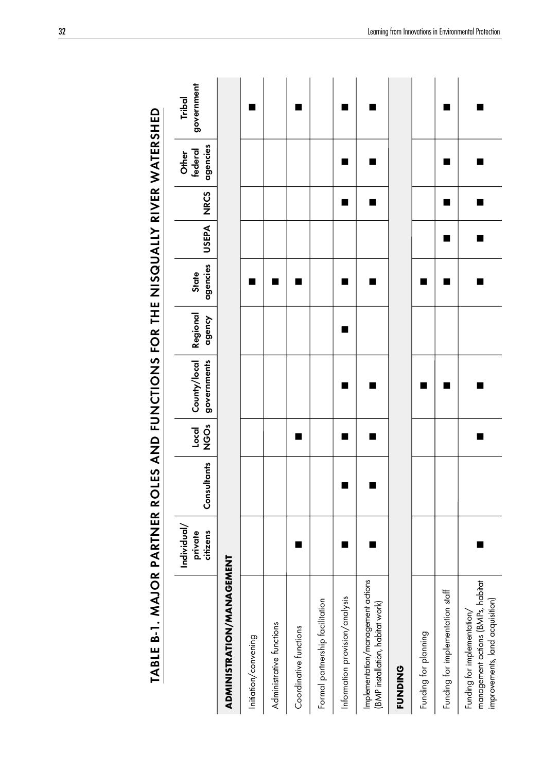|                                                                                                     | Individual/<br>private<br>citizens | Consultants | <b>ÖS</b><br>$local$ | County/local<br>governments | Regional<br>dgency | agencies<br>State | USEPA NRCS |   | agencies<br>federal<br>Other | government<br>Tribal |
|-----------------------------------------------------------------------------------------------------|------------------------------------|-------------|----------------------|-----------------------------|--------------------|-------------------|------------|---|------------------------------|----------------------|
| ADMINISTRATION/MANESEMENT                                                                           |                                    |             |                      |                             |                    |                   |            |   |                              |                      |
| Initiation/convening                                                                                |                                    |             |                      |                             |                    |                   |            |   |                              |                      |
| Administrative functions                                                                            |                                    |             |                      |                             |                    | ■                 |            |   |                              |                      |
| Coordinative functions                                                                              |                                    |             | ■                    |                             |                    |                   |            |   |                              |                      |
| Formal partnership facilitation                                                                     |                                    |             |                      |                             |                    |                   |            |   |                              |                      |
| Information provision/analysis                                                                      |                                    |             | ■                    | ٠                           | ٠                  |                   |            |   |                              |                      |
| Implementation/management actions<br>(BMP installation, habitat work)                               |                                    |             | ■                    |                             |                    | ▄                 |            |   |                              |                      |
| <b>FUNDING</b>                                                                                      |                                    |             |                      |                             |                    |                   |            |   |                              |                      |
| Funding for planning                                                                                |                                    |             |                      |                             |                    | ٠                 |            |   |                              |                      |
| Funding for implementation staff                                                                    |                                    |             |                      |                             |                    | ■                 |            | ٠ |                              |                      |
| management actions (BMPs, habitat<br>improvements, land acquisition)<br>Funding for implementation/ |                                    |             | ■                    |                             |                    | ┓                 |            |   |                              |                      |

# TABLE B-1. MAJOR PARTNER ROLES AND FUNCTIONS FOR THE NISQUALLY RIVER WATERSHED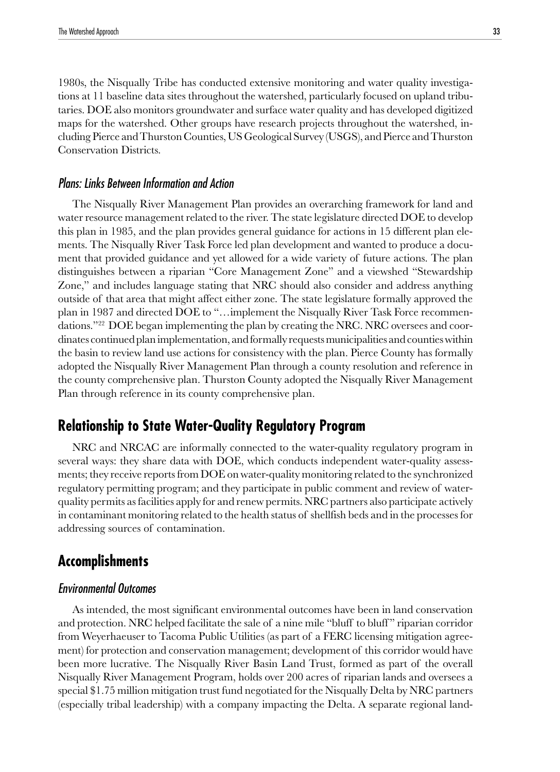<span id="page-32-0"></span>1980s, the Nisqually Tribe has conducted extensive monitoring and water quality investigations at 11 baseline data sites throughout the watershed, particularly focused on upland tributaries. DOE also monitors groundwater and surface water quality and has developed digitized maps for the watershed. Other groups have research projects throughout the watershed, including Pierce and Thurston Counties, US Geological Survey (USGS), and Pierce and Thurston Conservation Districts.

#### Plans: Links Between Information and Action

The Nisqually River Management Plan provides an overarching framework for land and water resource management related to the river. The state legislature directed DOE to develop this plan in 1985, and the plan provides general guidance for actions in 15 different plan elements. The Nisqually River Task Force led plan development and wanted to produce a document that provided guidance and yet allowed for a wide variety of future actions. The plan distinguishes between a riparian "Core Management Zone" and a viewshed "Stewardship Zone," and includes language stating that NRC should also consider and address anything outside of that area that might affect either zone. The state legislature formally approved the plan in 1987 and directed DOE to "…implement the Nisqually River Task Force recommendations."<sup>22</sup> DOE began implementing the plan by creating the NRC. NRC oversees and coordinates continued plan implementation, and formally requests municipalities and counties within the basin to review land use actions for consistency with the plan. Pierce County has formally adopted the Nisqually River Management Plan through a county resolution and reference in the county comprehensive plan. Thurston County adopted the Nisqually River Management Plan through reference in its county comprehensive plan.

# **Relationship to State Water-Quality Regulatory Program**

NRC and NRCAC are informally connected to the water-quality regulatory program in several ways: they share data with DOE, which conducts independent water-quality assessments; they receive reports from DOE on water-quality monitoring related to the synchronized regulatory permitting program; and they participate in public comment and review of waterquality permits as facilities apply for and renew permits. NRC partners also participate actively in contaminant monitoring related to the health status of shellfish beds and in the processes for addressing sources of contamination.

# **Accomplishments**

#### Environmental Outcomes

As intended, the most significant environmental outcomes have been in land conservation and protection. NRC helped facilitate the sale of a nine mile "bluff to bluff " riparian corridor from Weyerhaeuser to Tacoma Public Utilities (as part of a FERC licensing mitigation agreement) for protection and conservation management; development of this corridor would have been more lucrative. The Nisqually River Basin Land Trust, formed as part of the overall Nisqually River Management Program, holds over 200 acres of riparian lands and oversees a special \$1.75 million mitigation trust fund negotiated for the Nisqually Delta by NRC partners (especially tribal leadership) with a company impacting the Delta. A separate regional land-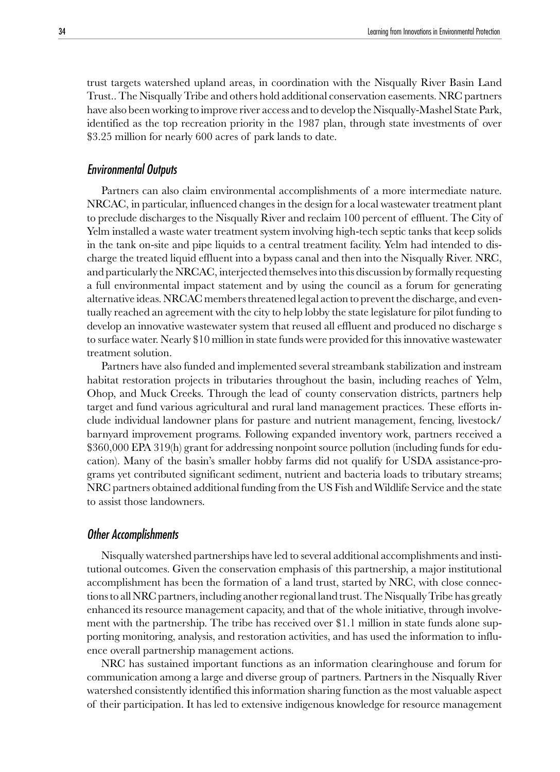trust targets watershed upland areas, in coordination with the Nisqually River Basin Land Trust.. The Nisqually Tribe and others hold additional conservation easements. NRC partners have also been working to improve river access and to develop the Nisqually-Mashel State Park, identified as the top recreation priority in the 1987 plan, through state investments of over \$3.25 million for nearly 600 acres of park lands to date.

#### Environmental Outputs

Partners can also claim environmental accomplishments of a more intermediate nature. NRCAC, in particular, influenced changes in the design for a local wastewater treatment plant to preclude discharges to the Nisqually River and reclaim 100 percent of effluent. The City of Yelm installed a waste water treatment system involving high-tech septic tanks that keep solids in the tank on-site and pipe liquids to a central treatment facility. Yelm had intended to discharge the treated liquid effluent into a bypass canal and then into the Nisqually River. NRC, and particularly the NRCAC, interjected themselves into this discussion by formally requesting a full environmental impact statement and by using the council as a forum for generating alternative ideas. NRCAC members threatened legal action to prevent the discharge, and eventually reached an agreement with the city to help lobby the state legislature for pilot funding to develop an innovative wastewater system that reused all effluent and produced no discharge s to surface water. Nearly \$10 million in state funds were provided for this innovative wastewater treatment solution.

Partners have also funded and implemented several streambank stabilization and instream habitat restoration projects in tributaries throughout the basin, including reaches of Yelm, Ohop, and Muck Creeks. Through the lead of county conservation districts, partners help target and fund various agricultural and rural land management practices. These efforts include individual landowner plans for pasture and nutrient management, fencing, livestock/ barnyard improvement programs. Following expanded inventory work, partners received a \$360,000 EPA 319(h) grant for addressing nonpoint source pollution (including funds for education). Many of the basin's smaller hobby farms did not qualify for USDA assistance-programs yet contributed significant sediment, nutrient and bacteria loads to tributary streams; NRC partners obtained additional funding from the US Fish and Wildlife Service and the state to assist those landowners.

#### Other Accomplishments

Nisqually watershed partnerships have led to several additional accomplishments and institutional outcomes. Given the conservation emphasis of this partnership, a major institutional accomplishment has been the formation of a land trust, started by NRC, with close connections to all NRC partners, including another regional land trust. The Nisqually Tribe has greatly enhanced its resource management capacity, and that of the whole initiative, through involvement with the partnership. The tribe has received over \$1.1 million in state funds alone supporting monitoring, analysis, and restoration activities, and has used the information to influence overall partnership management actions.

NRC has sustained important functions as an information clearinghouse and forum for communication among a large and diverse group of partners. Partners in the Nisqually River watershed consistently identified this information sharing function as the most valuable aspect of their participation. It has led to extensive indigenous knowledge for resource management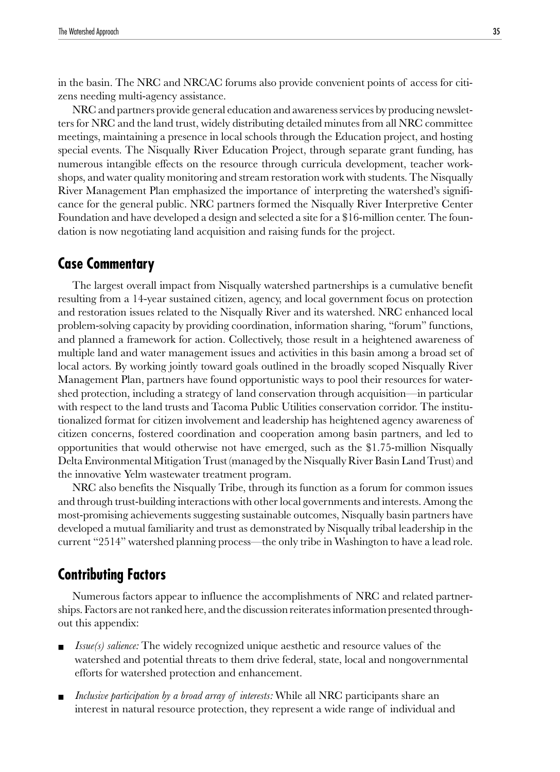<span id="page-34-0"></span>in the basin. The NRC and NRCAC forums also provide convenient points of access for citizens needing multi-agency assistance.

NRC and partners provide general education and awareness services by producing newsletters for NRC and the land trust, widely distributing detailed minutes from all NRC committee meetings, maintaining a presence in local schools through the Education project, and hosting special events. The Nisqually River Education Project, through separate grant funding, has numerous intangible effects on the resource through curricula development, teacher workshops, and water quality monitoring and stream restoration work with students. The Nisqually River Management Plan emphasized the importance of interpreting the watershed's significance for the general public. NRC partners formed the Nisqually River Interpretive Center Foundation and have developed a design and selected a site for a \$16-million center. The foundation is now negotiating land acquisition and raising funds for the project.

# **Case Commentary**

The largest overall impact from Nisqually watershed partnerships is a cumulative benefit resulting from a 14-year sustained citizen, agency, and local government focus on protection and restoration issues related to the Nisqually River and its watershed. NRC enhanced local problem-solving capacity by providing coordination, information sharing, "forum" functions, and planned a framework for action. Collectively, those result in a heightened awareness of multiple land and water management issues and activities in this basin among a broad set of local actors. By working jointly toward goals outlined in the broadly scoped Nisqually River Management Plan, partners have found opportunistic ways to pool their resources for watershed protection, including a strategy of land conservation through acquisition—in particular with respect to the land trusts and Tacoma Public Utilities conservation corridor. The institutionalized format for citizen involvement and leadership has heightened agency awareness of citizen concerns, fostered coordination and cooperation among basin partners, and led to opportunities that would otherwise not have emerged, such as the \$1.75-million Nisqually Delta Environmental Mitigation Trust (managed by the Nisqually River Basin Land Trust) and the innovative Yelm wastewater treatment program.

NRC also benefits the Nisqually Tribe, through its function as a forum for common issues and through trust-building interactions with other local governments and interests. Among the most-promising achievements suggesting sustainable outcomes, Nisqually basin partners have developed a mutual familiarity and trust as demonstrated by Nisqually tribal leadership in the current "2514" watershed planning process—the only tribe in Washington to have a lead role.

# **Contributing Factors**

Numerous factors appear to influence the accomplishments of NRC and related partnerships. Factors are not ranked here, and the discussion reiterates information presented throughout this appendix:

- *Issue(s) salience:* The widely recognized unique aesthetic and resource values of the watershed and potential threats to them drive federal, state, local and nongovernmental efforts for watershed protection and enhancement.
- *Inclusive participation by a broad array of interests:* While all NRC participants share an interest in natural resource protection, they represent a wide range of individual and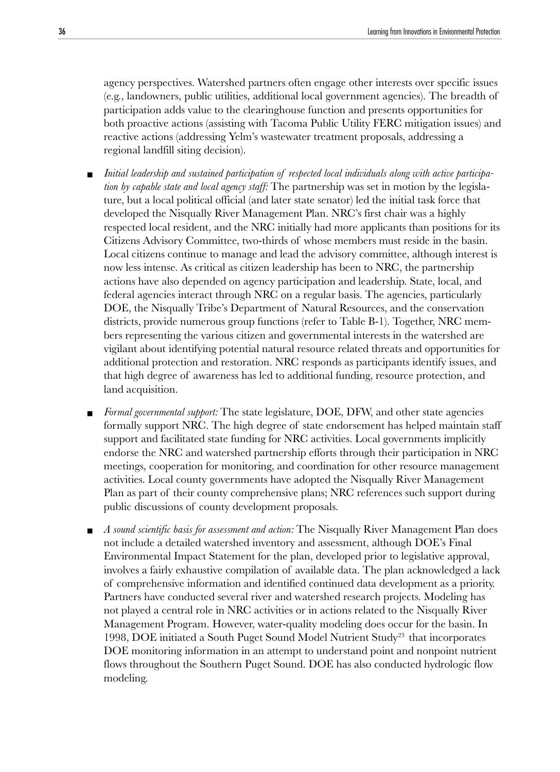agency perspectives. Watershed partners often engage other interests over specific issues (e.g., landowners, public utilities, additional local government agencies). The breadth of participation adds value to the clearinghouse function and presents opportunities for both proactive actions (assisting with Tacoma Public Utility FERC mitigation issues) and reactive actions (addressing Yelm's wastewater treatment proposals, addressing a regional landfill siting decision).

- *Initial leadership and sustained participation of respected local individuals along with active participation by capable state and local agency staff:* The partnership was set in motion by the legislature, but a local political official (and later state senator) led the initial task force that developed the Nisqually River Management Plan. NRC's first chair was a highly respected local resident, and the NRC initially had more applicants than positions for its Citizens Advisory Committee, two-thirds of whose members must reside in the basin. Local citizens continue to manage and lead the advisory committee, although interest is now less intense. As critical as citizen leadership has been to NRC, the partnership actions have also depended on agency participation and leadership. State, local, and federal agencies interact through NRC on a regular basis. The agencies, particularly DOE, the Nisqually Tribe's Department of Natural Resources, and the conservation districts, provide numerous group functions (refer to Table B-1). Together, NRC members representing the various citizen and governmental interests in the watershed are vigilant about identifying potential natural resource related threats and opportunities for additional protection and restoration. NRC responds as participants identify issues, and that high degree of awareness has led to additional funding, resource protection, and land acquisition*.*
- *Formal governmental support:* The state legislature, DOE, DFW, and other state agencies formally support NRC. The high degree of state endorsement has helped maintain staff support and facilitated state funding for NRC activities. Local governments implicitly endorse the NRC and watershed partnership efforts through their participation in NRC meetings, cooperation for monitoring, and coordination for other resource management activities. Local county governments have adopted the Nisqually River Management Plan as part of their county comprehensive plans; NRC references such support during public discussions of county development proposals.
- *A sound scientific basis for assessment and action:* The Nisqually River Management Plan does not include a detailed watershed inventory and assessment, although DOE's Final Environmental Impact Statement for the plan, developed prior to legislative approval, involves a fairly exhaustive compilation of available data. The plan acknowledged a lack of comprehensive information and identified continued data development as a priority. Partners have conducted several river and watershed research projects. Modeling has not played a central role in NRC activities or in actions related to the Nisqually River Management Program. However, water-quality modeling does occur for the basin. In 1998, DOE initiated a South Puget Sound Model Nutrient Study<sup>23</sup> that incorporates DOE monitoring information in an attempt to understand point and nonpoint nutrient flows throughout the Southern Puget Sound. DOE has also conducted hydrologic flow modeling.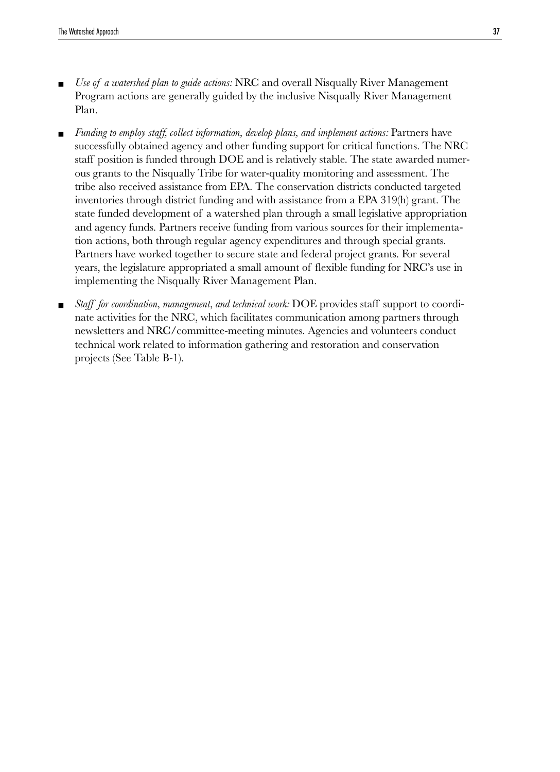- *Use of a watershed plan to guide actions:* NRC and overall Nisqually River Management Program actions are generally guided by the inclusive Nisqually River Management Plan.
- *Funding to employ staff, collect information, develop plans, and implement actions:* Partners have successfully obtained agency and other funding support for critical functions. The NRC staff position is funded through DOE and is relatively stable. The state awarded numerous grants to the Nisqually Tribe for water-quality monitoring and assessment. The tribe also received assistance from EPA. The conservation districts conducted targeted inventories through district funding and with assistance from a EPA 319(h) grant. The state funded development of a watershed plan through a small legislative appropriation and agency funds. Partners receive funding from various sources for their implementation actions, both through regular agency expenditures and through special grants. Partners have worked together to secure state and federal project grants. For several years, the legislature appropriated a small amount of flexible funding for NRC's use in implementing the Nisqually River Management Plan.
- Staff for coordination, management, and technical work: DOE provides staff support to coordinate activities for the NRC, which facilitates communication among partners through newsletters and NRC/committee-meeting minutes. Agencies and volunteers conduct technical work related to information gathering and restoration and conservation projects (See Table B-1).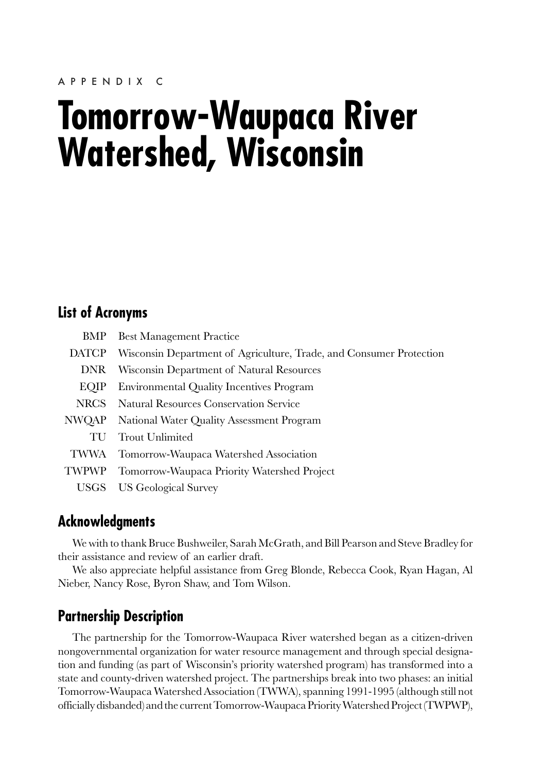# **Tomorrow-Waupaca River Watershed, Wisconsin**

## **List of Acronyms**

|              | <b>BMP</b> Best Management Practice                                 |
|--------------|---------------------------------------------------------------------|
| <b>DATCP</b> | Wisconsin Department of Agriculture, Trade, and Consumer Protection |
| <b>DNR</b>   | Wisconsin Department of Natural Resources                           |
| EOIP         | Environmental Quality Incentives Program                            |
| <b>NRCS</b>  | <b>Natural Resources Conservation Service</b>                       |
| NWQAP        | National Water Quality Assessment Program                           |
| TU           | <b>Trout Unlimited</b>                                              |
| TWWA         | Tomorrow-Waupaca Watershed Association                              |
| <b>TWPWP</b> | Tomorrow-Waupaca Priority Watershed Project                         |
| USGS         | US Geological Survey                                                |

# **Acknowledgments**

We with to thank Bruce Bushweiler, Sarah McGrath, and Bill Pearson and Steve Bradley for their assistance and review of an earlier draft.

We also appreciate helpful assistance from Greg Blonde, Rebecca Cook, Ryan Hagan, Al Nieber, Nancy Rose, Byron Shaw, and Tom Wilson.

# **Partnership Description**

The partnership for the Tomorrow-Waupaca River watershed began as a citizen-driven nongovernmental organization for water resource management and through special designation and funding (as part of Wisconsin's priority watershed program) has transformed into a state and county-driven watershed project. The partnerships break into two phases: an initial Tomorrow-Waupaca Watershed Association (TWWA), spanning 1991-1995 (although still not officially disbanded) and the current Tomorrow-Waupaca Priority Watershed Project (TWPWP),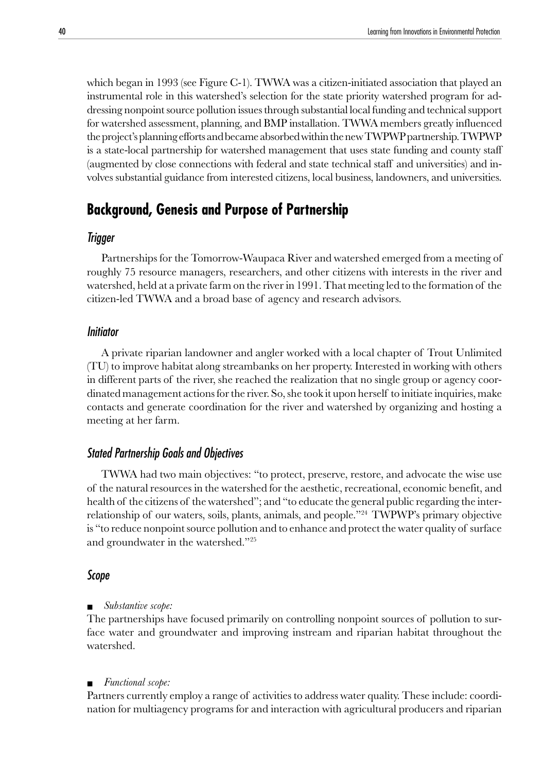which began in 1993 (see Figure C-1). TWWA was a citizen-initiated association that played an instrumental role in this watershed's selection for the state priority watershed program for addressing nonpoint source pollution issues through substantial local funding and technical support for watershed assessment, planning, and BMP installation. TWWA members greatly influenced the project's planning efforts and became absorbed within the new TWPWP partnership. TWPWP is a state-local partnership for watershed management that uses state funding and county staff (augmented by close connections with federal and state technical staff and universities) and involves substantial guidance from interested citizens, local business, landowners, and universities.

## **Background, Genesis and Purpose of Partnership**

## Trigger

Partnerships for the Tomorrow-Waupaca River and watershed emerged from a meeting of roughly 75 resource managers, researchers, and other citizens with interests in the river and watershed, held at a private farm on the river in 1991. That meeting led to the formation of the citizen-led TWWA and a broad base of agency and research advisors.

#### **Initiator**

A private riparian landowner and angler worked with a local chapter of Trout Unlimited (TU) to improve habitat along streambanks on her property. Interested in working with others in different parts of the river, she reached the realization that no single group or agency coordinated management actions for the river. So, she took it upon herself to initiate inquiries, make contacts and generate coordination for the river and watershed by organizing and hosting a meeting at her farm.

## Stated Partnership Goals and Objectives

TWWA had two main objectives: "to protect, preserve, restore, and advocate the wise use of the natural resources in the watershed for the aesthetic, recreational, economic benefit, and health of the citizens of the watershed"; and "to educate the general public regarding the interrelationship of our waters, soils, plants, animals, and people."24 TWPWP's primary objective is "to reduce nonpoint source pollution and to enhance and protect the water quality of surface and groundwater in the watershed."25

#### Scope

#### Substantive scope:

The partnerships have focused primarily on controlling nonpoint sources of pollution to surface water and groundwater and improving instream and riparian habitat throughout the watershed.

#### ■ *Functional scope:*

Partners currently employ a range of activities to address water quality. These include: coordination for multiagency programs for and interaction with agricultural producers and riparian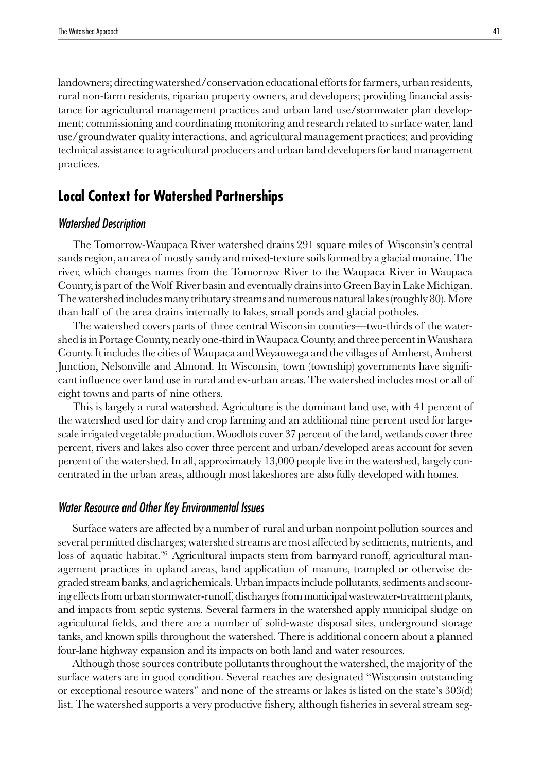landowners; directing watershed/conservation educational efforts for farmers, urban residents, rural non-farm residents, riparian property owners, and developers; providing financial assistance for agricultural management practices and urban land use/stormwater plan development; commissioning and coordinating monitoring and research related to surface water, land use/groundwater quality interactions, and agricultural management practices; and providing technical assistance to agricultural producers and urban land developers for land management practices.

# **Local Context for Watershed Partnerships**

## Watershed Description

The Tomorrow-Waupaca River watershed drains 291 square miles of Wisconsin's central sands region, an area of mostly sandy and mixed-texture soils formed by a glacial moraine. The river, which changes names from the Tomorrow River to the Waupaca River in Waupaca County, is part of the Wolf River basin and eventually drains into Green Bay in Lake Michigan. The watershed includes many tributary streams and numerous natural lakes (roughly 80). More than half of the area drains internally to lakes, small ponds and glacial potholes.

The watershed covers parts of three central Wisconsin counties—two-thirds of the watershed is in Portage County, nearly one-third in Waupaca County, and three percent in Waushara County. It includes the cities of Waupaca and Weyauwega and the villages of Amherst, Amherst Junction, Nelsonville and Almond. In Wisconsin, town (township) governments have significant influence over land use in rural and ex-urban areas. The watershed includes most or all of eight towns and parts of nine others.

This is largely a rural watershed. Agriculture is the dominant land use, with 41 percent of the watershed used for dairy and crop farming and an additional nine percent used for largescale irrigated vegetable production. Woodlots cover 37 percent of the land, wetlands cover three percent, rivers and lakes also cover three percent and urban/developed areas account for seven percent of the watershed. In all, approximately 13,000 people live in the watershed, largely concentrated in the urban areas, although most lakeshores are also fully developed with homes.

#### Water Resource and Other Key Environmental Issues

Surface waters are affected by a number of rural and urban nonpoint pollution sources and several permitted discharges; watershed streams are most affected by sediments, nutrients, and loss of aquatic habitat.<sup>26</sup> Agricultural impacts stem from barnyard runoff, agricultural management practices in upland areas, land application of manure, trampled or otherwise degraded stream banks, and agrichemicals. Urban impacts include pollutants, sediments and scouring effects from urban stormwater-runoff, discharges from municipal wastewater-treatment plants, and impacts from septic systems. Several farmers in the watershed apply municipal sludge on agricultural fields, and there are a number of solid-waste disposal sites, underground storage tanks, and known spills throughout the watershed. There is additional concern about a planned four-lane highway expansion and its impacts on both land and water resources.

Although those sources contribute pollutants throughout the watershed, the majority of the surface waters are in good condition. Several reaches are designated "Wisconsin outstanding or exceptional resource waters" and none of the streams or lakes is listed on the state's 303(d) list. The watershed supports a very productive fishery, although fisheries in several stream seg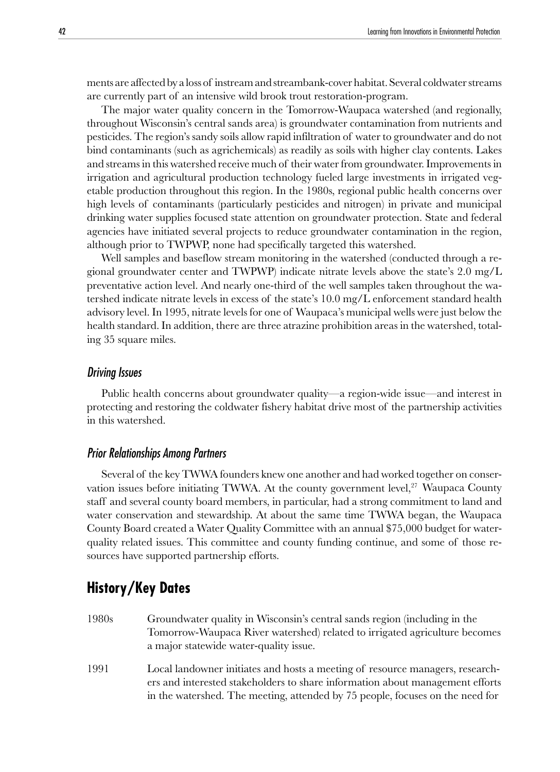ments are affected by a loss of instream and streambank-cover habitat. Several coldwater streams are currently part of an intensive wild brook trout restoration-program.

The major water quality concern in the Tomorrow-Waupaca watershed (and regionally, throughout Wisconsin's central sands area) is groundwater contamination from nutrients and pesticides. The region's sandy soils allow rapid infiltration of water to groundwater and do not bind contaminants (such as agrichemicals) as readily as soils with higher clay contents. Lakes and streams in this watershed receive much of their water from groundwater. Improvements in irrigation and agricultural production technology fueled large investments in irrigated vegetable production throughout this region. In the 1980s, regional public health concerns over high levels of contaminants (particularly pesticides and nitrogen) in private and municipal drinking water supplies focused state attention on groundwater protection. State and federal agencies have initiated several projects to reduce groundwater contamination in the region, although prior to TWPWP, none had specifically targeted this watershed.

Well samples and baseflow stream monitoring in the watershed (conducted through a regional groundwater center and TWPWP) indicate nitrate levels above the state's 2.0 mg/L preventative action level. And nearly one-third of the well samples taken throughout the watershed indicate nitrate levels in excess of the state's 10.0 mg/L enforcement standard health advisory level. In 1995, nitrate levels for one of Waupaca's municipal wells were just below the health standard. In addition, there are three atrazine prohibition areas in the watershed, totaling 35 square miles.

#### Driving Issues

Public health concerns about groundwater quality—a region-wide issue—and interest in protecting and restoring the coldwater fishery habitat drive most of the partnership activities in this watershed.

## Prior Relationships Among Partners

Several of the key TWWA founders knew one another and had worked together on conservation issues before initiating TWWA. At the county government level, $27$  Waupaca County staff and several county board members, in particular, had a strong commitment to land and water conservation and stewardship. At about the same time TWWA began, the Waupaca County Board created a Water Quality Committee with an annual \$75,000 budget for waterquality related issues. This committee and county funding continue, and some of those resources have supported partnership efforts.

# **History/Key Dates**

- 1980s Groundwater quality in Wisconsin's central sands region (including in the Tomorrow-Waupaca River watershed) related to irrigated agriculture becomes a major statewide water-quality issue.
- 1991 Local landowner initiates and hosts a meeting of resource managers, researchers and interested stakeholders to share information about management efforts in the watershed. The meeting, attended by 75 people, focuses on the need for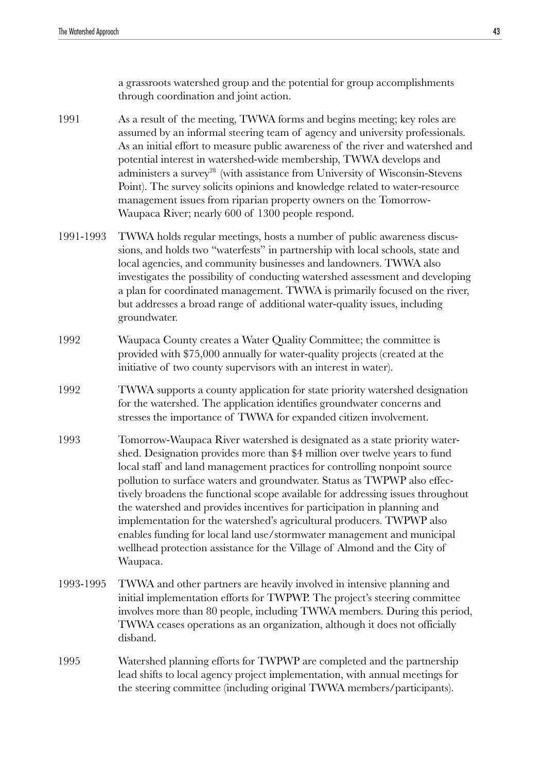a grassroots watershed group and the potential for group accomplishments through coordination and joint action.

- 1991 As a result of the meeting, TWWA forms and begins meeting; key roles are assumed by an informal steering team of agency and university professionals. As an initial effort to measure public awareness of the river and watershed and potential interest in watershed-wide membership, TWWA develops and administers a survey<sup>28</sup> (with assistance from University of Wisconsin-Stevens Point). The survey solicits opinions and knowledge related to water-resource management issues from riparian property owners on the Tomorrow-Waupaca River; nearly 600 of 1300 people respond.
- 1991-1993 TWWA holds regular meetings, hosts a number of public awareness discussions, and holds two "waterfests" in partnership with local schools, state and local agencies, and community businesses and landowners. TWWA also investigates the possibility of conducting watershed assessment and developing a plan for coordinated management. TWWA is primarily focused on the river, but addresses a broad range of additional water-quality issues, including groundwater.
- 1992 Waupaca County creates a Water Quality Committee; the committee is provided with \$75,000 annually for water-quality projects (created at the initiative of two county supervisors with an interest in water).
- 1992 TWWA supports a county application for state priority watershed designation for the watershed. The application identifies groundwater concerns and stresses the importance of TWWA for expanded citizen involvement.
- 1993 Tomorrow-Waupaca River watershed is designated as a state priority watershed. Designation provides more than \$4 million over twelve years to fund local staff and land management practices for controlling nonpoint source pollution to surface waters and groundwater. Status as TWPWP also effectively broadens the functional scope available for addressing issues throughout the watershed and provides incentives for participation in planning and implementation for the watershed's agricultural producers. TWPWP also enables funding for local land use/stormwater management and municipal wellhead protection assistance for the Village of Almond and the City of Waupaca.
- 1993-1995 TWWA and other partners are heavily involved in intensive planning and initial implementation efforts for TWPWP. The project's steering committee involves more than 80 people, including TWWA members. During this period, TWWA ceases operations as an organization, although it does not officially disband.
- 1995 Watershed planning efforts for TWPWP are completed and the partnership lead shifts to local agency project implementation, with annual meetings for the steering committee (including original TWWA members/participants).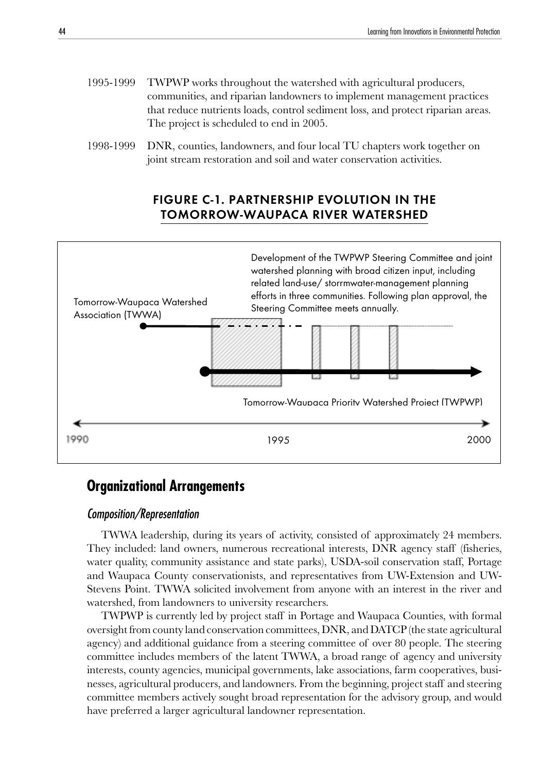- 1995-1999 TWPWP works throughout the watershed with agricultural producers, communities, and riparian landowners to implement management practices that reduce nutrients loads, control sediment loss, and protect riparian areas. The project is scheduled to end in 2005.
- 1998-1999 DNR, counties, landowners, and four local TU chapters work together on joint stream restoration and soil and water conservation activities.

## FIGURE C-1. PARTNERSHIP EVOLUTION IN THE TOMORROW-WAUPACA RIVER WATERSHED



## **Organizational Arrangements**

## Composition/Representation

TWWA leadership, during its years of activity, consisted of approximately 24 members. They included: land owners, numerous recreational interests, DNR agency staff (fisheries, water quality, community assistance and state parks), USDA-soil conservation staff, Portage and Waupaca County conservationists, and representatives from UW-Extension and UW-Stevens Point. TWWA solicited involvement from anyone with an interest in the river and watershed, from landowners to university researchers.

TWPWP is currently led by project staff in Portage and Waupaca Counties, with formal oversight from county land conservation committees, DNR, and DATCP (the state agricultural agency) and additional guidance from a steering committee of over 80 people. The steering committee includes members of the latent TWWA, a broad range of agency and university interests, county agencies, municipal governments, lake associations, farm cooperatives, businesses, agricultural producers, and landowners. From the beginning, project staff and steering committee members actively sought broad representation for the advisory group, and would have preferred a larger agricultural landowner representation.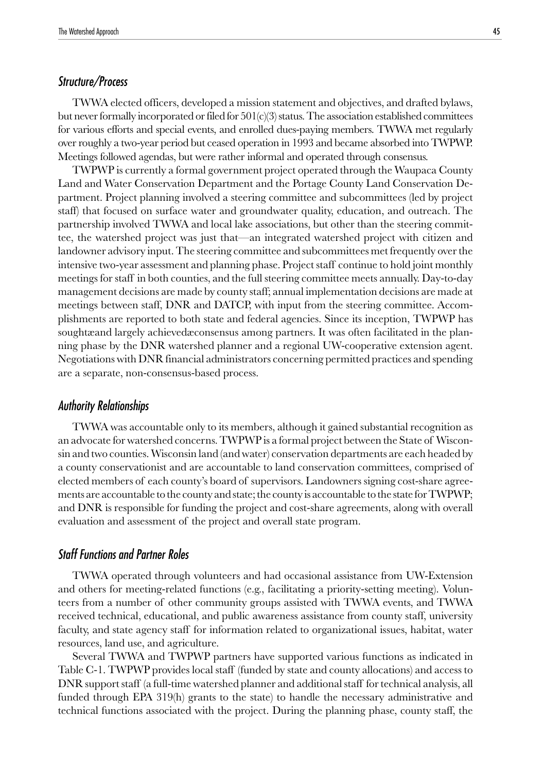## Structure/Process

TWWA elected officers, developed a mission statement and objectives, and drafted bylaws, but never formally incorporated or filed for  $501(c)(3)$  status. The association established committees for various efforts and special events, and enrolled dues-paying members. TWWA met regularly over roughly a two-year period but ceased operation in 1993 and became absorbed into TWPWP. Meetings followed agendas, but were rather informal and operated through consensus.

TWPWP is currently a formal government project operated through the Waupaca County Land and Water Conservation Department and the Portage County Land Conservation Department. Project planning involved a steering committee and subcommittees (led by project staff) that focused on surface water and groundwater quality, education, and outreach. The partnership involved TWWA and local lake associations, but other than the steering committee, the watershed project was just that—an integrated watershed project with citizen and landowner advisory input. The steering committee and subcommittees met frequently over the intensive two-year assessment and planning phase. Project staff continue to hold joint monthly meetings for staff in both counties, and the full steering committee meets annually. Day-to-day management decisions are made by county staff; annual implementation decisions are made at meetings between staff, DNR and DATCP, with input from the steering committee. Accomplishments are reported to both state and federal agencies. Since its inception, TWPWP has soughtæand largely achievedæconsensus among partners. It was often facilitated in the planning phase by the DNR watershed planner and a regional UW-cooperative extension agent. Negotiations with DNR financial administrators concerning permitted practices and spending are a separate, non-consensus-based process.

## Authority Relationships

TWWA was accountable only to its members, although it gained substantial recognition as an advocate for watershed concerns. TWPWP is a formal project between the State of Wisconsin and two counties. Wisconsin land (and water) conservation departments are each headed by a county conservationist and are accountable to land conservation committees, comprised of elected members of each county's board of supervisors. Landowners signing cost-share agreements are accountable to the county and state; the county is accountable to the state for TWPWP; and DNR is responsible for funding the project and cost-share agreements, along with overall evaluation and assessment of the project and overall state program.

#### Staff Functions and Partner Roles

TWWA operated through volunteers and had occasional assistance from UW-Extension and others for meeting-related functions (e.g., facilitating a priority-setting meeting). Volunteers from a number of other community groups assisted with TWWA events, and TWWA received technical, educational, and public awareness assistance from county staff, university faculty, and state agency staff for information related to organizational issues, habitat, water resources, land use, and agriculture.

Several TWWA and TWPWP partners have supported various functions as indicated in Table C-1. TWPWP provides local staff (funded by state and county allocations) and access to DNR support staff (a full-time watershed planner and additional staff for technical analysis, all funded through EPA 319(h) grants to the state) to handle the necessary administrative and technical functions associated with the project. During the planning phase, county staff, the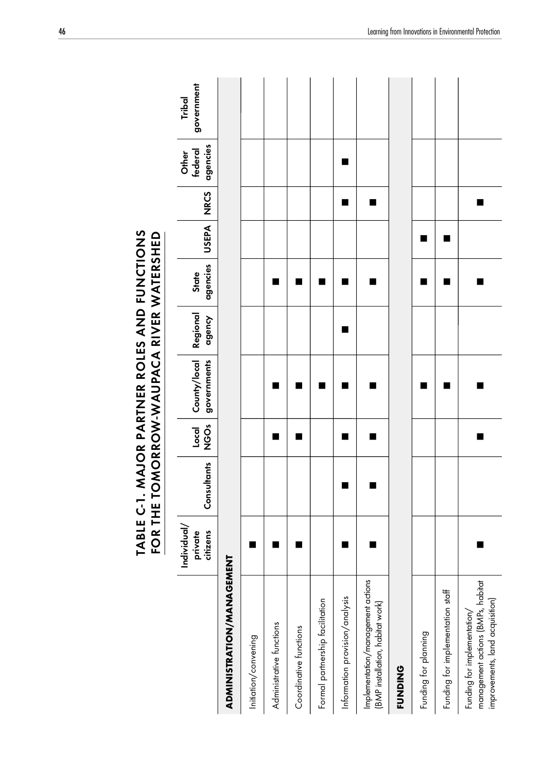|                                                                                                     |                                    |             |                    | TABLE C-1. MAJOR PARTNER ROLES AND FUNCTIONS<br>FOR THE TOMORROW-WAUPACA RIVER WATERSHED |                    |                          |                |             |                              |                      |
|-----------------------------------------------------------------------------------------------------|------------------------------------|-------------|--------------------|------------------------------------------------------------------------------------------|--------------------|--------------------------|----------------|-------------|------------------------------|----------------------|
|                                                                                                     | Individual/<br>private<br>citizens | Consultants | <b>ÖS</b><br>Local | County/local<br>governments                                                              | Regional<br>agency | agencies<br><b>State</b> | <b>USEPA</b>   | <b>NRCS</b> | agencies<br>federal<br>Other | government<br>Tribal |
| ADMINISTRATION/MANAGEMENT                                                                           |                                    |             |                    |                                                                                          |                    |                          |                |             |                              |                      |
| Initiation/convening                                                                                |                                    |             |                    |                                                                                          |                    |                          |                |             |                              |                      |
| Administrative functions                                                                            |                                    |             |                    |                                                                                          |                    |                          |                |             |                              |                      |
| Coordinative functions                                                                              |                                    |             |                    |                                                                                          |                    |                          |                |             |                              |                      |
| Formal partnership facilitation                                                                     |                                    |             |                    |                                                                                          |                    |                          |                |             |                              |                      |
| Information provision/analysis                                                                      |                                    | ٠           | ■                  |                                                                                          | ■                  |                          |                | ■           | ■                            |                      |
| Implementation/management actions<br>(BMP installation, habitat work)                               |                                    |             |                    |                                                                                          |                    |                          |                | ٠           |                              |                      |
| <b>FUNDING</b>                                                                                      |                                    |             |                    |                                                                                          |                    |                          |                |             |                              |                      |
| Funding for planning                                                                                |                                    |             |                    |                                                                                          |                    |                          | п              |             |                              |                      |
| Funding for implementation staff                                                                    |                                    |             |                    | ∎                                                                                        |                    | ٠                        | $\blacksquare$ |             |                              |                      |
| management actions (BMPs, habitat<br>improvements, land acquisition)<br>Funding for implementation/ |                                    |             |                    |                                                                                          |                    | ٠                        |                | ٠           |                              |                      |

**TABLE C-1. MAJOR PARTNER ROLES AND FUNCTIONS<br>FOR THE TOMORROW-WAUPACA RIVER WATERSHED**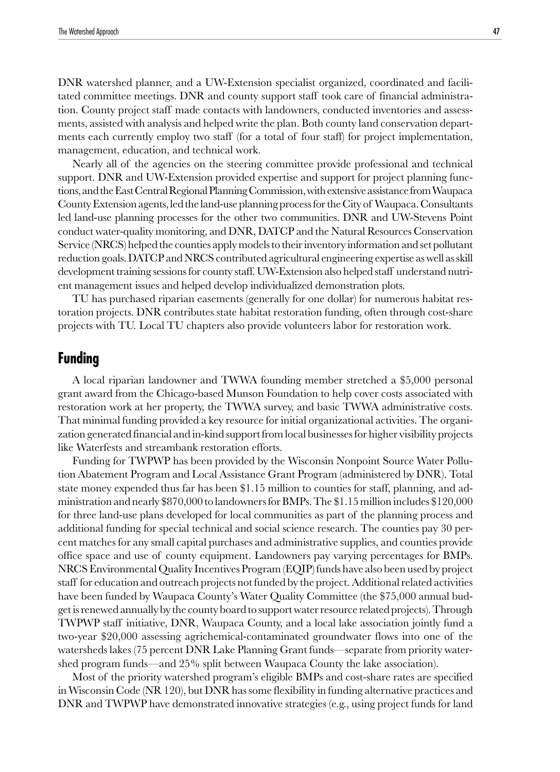DNR watershed planner, and a UW-Extension specialist organized, coordinated and facilitated committee meetings. DNR and county support staff took care of financial administration. County project staff made contacts with landowners, conducted inventories and assessments, assisted with analysis and helped write the plan. Both county land conservation departments each currently employ two staff (for a total of four staff) for project implementation, management, education, and technical work.

Nearly all of the agencies on the steering committee provide professional and technical support. DNR and UW-Extension provided expertise and support for project planning functions, and the East Central Regional Planning Commission, with extensive assistance from Waupaca County Extension agents, led the land-use planning process for the City of Waupaca. Consultants led land-use planning processes for the other two communities. DNR and UW-Stevens Point conduct water-quality monitoring, and DNR, DATCP and the Natural Resources Conservation Service (NRCS) helped the counties apply models to their inventory information and set pollutant reduction goals. DATCP and NRCS contributed agricultural engineering expertise as well as skill development training sessions for county staff. UW-Extension also helped staff understand nutrient management issues and helped develop individualized demonstration plots.

TU has purchased riparian easements (generally for one dollar) for numerous habitat restoration projects. DNR contributes state habitat restoration funding, often through cost-share projects with TU. Local TU chapters also provide volunteers labor for restoration work.

## **Funding**

A local riparian landowner and TWWA founding member stretched a \$5,000 personal grant award from the Chicago-based Munson Foundation to help cover costs associated with restoration work at her property, the TWWA survey, and basic TWWA administrative costs. That minimal funding provided a key resource for initial organizational activities. The organization generated financial and in-kind support from local businesses for higher visibility projects like Waterfests and streambank restoration efforts.

Funding for TWPWP has been provided by the Wisconsin Nonpoint Source Water Pollution Abatement Program and Local Assistance Grant Program (administered by DNR). Total state money expended thus far has been \$1.15 million to counties for staff, planning, and administration and nearly \$870,000 to landowners for BMPs. The \$1.15 million includes \$120,000 for three land-use plans developed for local communities as part of the planning process and additional funding for special technical and social science research. The counties pay 30 percent matches for any small capital purchases and administrative supplies, and counties provide office space and use of county equipment. Landowners pay varying percentages for BMPs. NRCS Environmental Quality Incentives Program (EQIP) funds have also been used by project staff for education and outreach projects not funded by the project. Additional related activities have been funded by Waupaca County's Water Quality Committee (the \$75,000 annual budget is renewed annually by the county board to support water resource related projects). Through TWPWP staff initiative, DNR, Waupaca County, and a local lake association jointly fund a two-year \$20,000 assessing agrichemical-contaminated groundwater flows into one of the watersheds lakes (75 percent DNR Lake Planning Grant funds—separate from priority watershed program funds—and 25% split between Waupaca County the lake association).

Most of the priority watershed program's eligible BMPs and cost-share rates are specified in Wisconsin Code (NR 120), but DNR has some flexibility in funding alternative practices and DNR and TWPWP have demonstrated innovative strategies (e.g., using project funds for land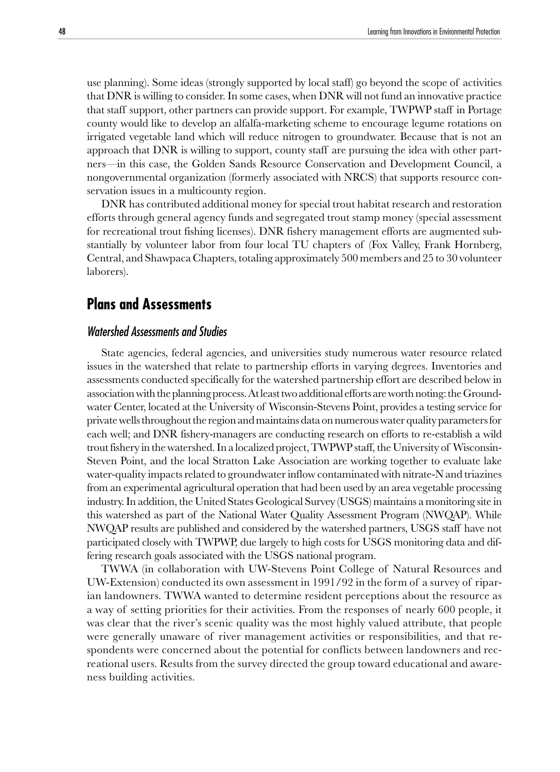use planning). Some ideas (strongly supported by local staff) go beyond the scope of activities that DNR is willing to consider. In some cases, when DNR will not fund an innovative practice that staff support, other partners can provide support. For example, TWPWP staff in Portage county would like to develop an alfalfa-marketing scheme to encourage legume rotations on irrigated vegetable land which will reduce nitrogen to groundwater. Because that is not an approach that DNR is willing to support, county staff are pursuing the idea with other partners—in this case, the Golden Sands Resource Conservation and Development Council, a nongovernmental organization (formerly associated with NRCS) that supports resource conservation issues in a multicounty region.

DNR has contributed additional money for special trout habitat research and restoration efforts through general agency funds and segregated trout stamp money (special assessment for recreational trout fishing licenses). DNR fishery management efforts are augmented substantially by volunteer labor from four local TU chapters of (Fox Valley, Frank Hornberg, Central, and Shawpaca Chapters, totaling approximately 500 members and 25 to 30 volunteer laborers).

## **Plans and Assessments**

## Watershed Assessments and Studies

State agencies, federal agencies, and universities study numerous water resource related issues in the watershed that relate to partnership efforts in varying degrees. Inventories and assessments conducted specifically for the watershed partnership effort are described below in association with the planning process. At least two additional efforts are worth noting: the Groundwater Center, located at the University of Wisconsin-Stevens Point, provides a testing service for private wells throughout the region and maintains data on numerous water quality parameters for each well; and DNR fishery-managers are conducting research on efforts to re-establish a wild trout fishery in the watershed. In a localized project, TWPWP staff, the University of Wisconsin-Steven Point, and the local Stratton Lake Association are working together to evaluate lake water-quality impacts related to groundwater inflow contaminated with nitrate-N and triazines from an experimental agricultural operation that had been used by an area vegetable processing industry. In addition, the United States Geological Survey (USGS) maintains a monitoring site in this watershed as part of the National Water Quality Assessment Program (NWQAP). While NWQAP results are published and considered by the watershed partners, USGS staff have not participated closely with TWPWP, due largely to high costs for USGS monitoring data and differing research goals associated with the USGS national program.

TWWA (in collaboration with UW-Stevens Point College of Natural Resources and UW-Extension) conducted its own assessment in 1991/92 in the form of a survey of riparian landowners. TWWA wanted to determine resident perceptions about the resource as a way of setting priorities for their activities. From the responses of nearly 600 people, it was clear that the river's scenic quality was the most highly valued attribute, that people were generally unaware of river management activities or responsibilities, and that respondents were concerned about the potential for conflicts between landowners and recreational users. Results from the survey directed the group toward educational and awareness building activities.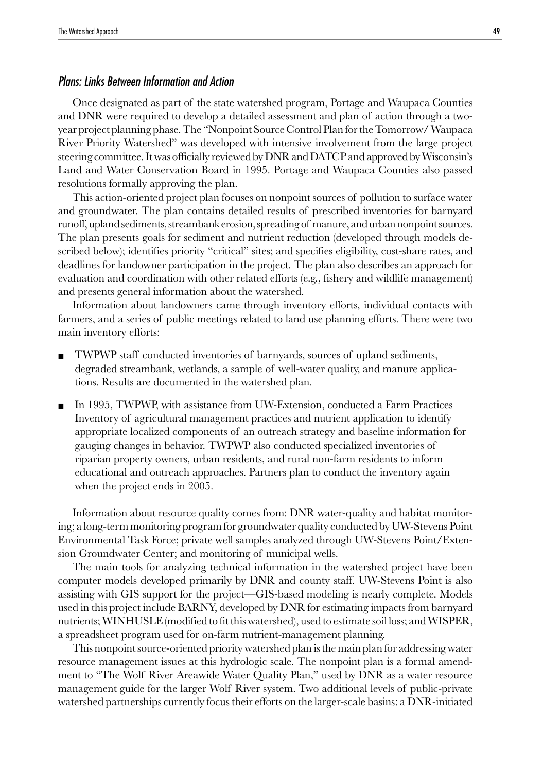## Plans: Links Between Information and Action

Once designated as part of the state watershed program, Portage and Waupaca Counties and DNR were required to develop a detailed assessment and plan of action through a twoyear project planning phase. The "Nonpoint Source Control Plan for the Tomorrow/ Waupaca River Priority Watershed" was developed with intensive involvement from the large project steering committee. It was officially reviewed by DNR and DATCP and approved by Wisconsin's Land and Water Conservation Board in 1995. Portage and Waupaca Counties also passed resolutions formally approving the plan.

This action-oriented project plan focuses on nonpoint sources of pollution to surface water and groundwater. The plan contains detailed results of prescribed inventories for barnyard runoff, upland sediments, streambank erosion, spreading of manure, and urban nonpoint sources. The plan presents goals for sediment and nutrient reduction (developed through models described below); identifies priority "critical" sites; and specifies eligibility, cost-share rates, and deadlines for landowner participation in the project. The plan also describes an approach for evaluation and coordination with other related efforts (e.g., fishery and wildlife management) and presents general information about the watershed.

Information about landowners came through inventory efforts, individual contacts with farmers, and a series of public meetings related to land use planning efforts. There were two main inventory efforts:

- TWPWP staff conducted inventories of barnyards, sources of upland sediments, degraded streambank, wetlands, a sample of well-water quality, and manure applications. Results are documented in the watershed plan.
- In 1995, TWPWP, with assistance from UW-Extension, conducted a Farm Practices Inventory of agricultural management practices and nutrient application to identify appropriate localized components of an outreach strategy and baseline information for gauging changes in behavior. TWPWP also conducted specialized inventories of riparian property owners, urban residents, and rural non-farm residents to inform educational and outreach approaches. Partners plan to conduct the inventory again when the project ends in 2005.

Information about resource quality comes from: DNR water-quality and habitat monitoring; a long-term monitoring program for groundwater quality conducted by UW-Stevens Point Environmental Task Force; private well samples analyzed through UW-Stevens Point/Extension Groundwater Center; and monitoring of municipal wells.

The main tools for analyzing technical information in the watershed project have been computer models developed primarily by DNR and county staff. UW-Stevens Point is also assisting with GIS support for the project—GIS-based modeling is nearly complete. Models used in this project include BARNY, developed by DNR for estimating impacts from barnyard nutrients; WINHUSLE (modified to fit this watershed), used to estimate soil loss; and WISPER, a spreadsheet program used for on-farm nutrient-management planning.

This nonpoint source-oriented priority watershed plan is the main plan for addressing water resource management issues at this hydrologic scale. The nonpoint plan is a formal amendment to "The Wolf River Areawide Water Quality Plan," used by DNR as a water resource management guide for the larger Wolf River system. Two additional levels of public-private watershed partnerships currently focus their efforts on the larger-scale basins: a DNR-initiated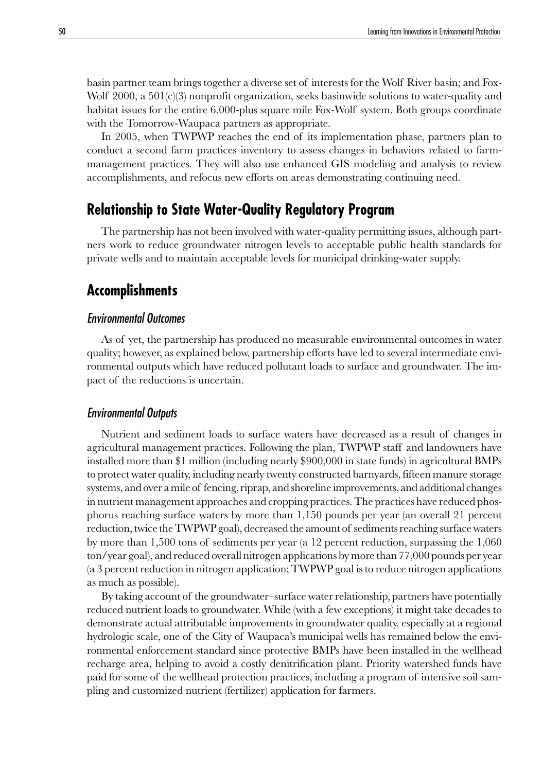basin partner team brings together a diverse set of interests for the Wolf River basin; and Fox-Wolf  $2000$ , a  $501(c)(3)$  nonprofit organization, seeks basinwide solutions to water-quality and habitat issues for the entire 6,000-plus square mile Fox-Wolf system. Both groups coordinate with the Tomorrow-Waupaca partners as appropriate.

In 2005, when TWPWP reaches the end of its implementation phase, partners plan to conduct a second farm practices inventory to assess changes in behaviors related to farmmanagement practices. They will also use enhanced GIS modeling and analysis to review accomplishments, and refocus new efforts on areas demonstrating continuing need.

## **Relationship to State Water-Quality Regulatory Program**

The partnership has not been involved with water-quality permitting issues, although partners work to reduce groundwater nitrogen levels to acceptable public health standards for private wells and to maintain acceptable levels for municipal drinking-water supply.

## **Accomplishments**

## Environmental Outcomes

As of yet, the partnership has produced no measurable environmental outcomes in water quality; however, as explained below, partnership efforts have led to several intermediate environmental outputs which have reduced pollutant loads to surface and groundwater. The impact of the reductions is uncertain.

#### Environmental Outputs

Nutrient and sediment loads to surface waters have decreased as a result of changes in agricultural management practices. Following the plan, TWPWP staff and landowners have installed more than \$1 million (including nearly \$900,000 in state funds) in agricultural BMPs to protect water quality, including nearly twenty constructed barnyards, fifteen manure storage systems, and over a mile of fencing, riprap, and shoreline improvements, and additional changes in nutrient management approaches and cropping practices. The practices have reduced phosphorus reaching surface waters by more than 1,150 pounds per year (an overall 21 percent reduction, twice the TWPWP goal), decreased the amount of sediments reaching surface waters by more than 1,500 tons of sediments per year (a 12 percent reduction, surpassing the 1,060 ton/year goal), and reduced overall nitrogen applications by more than 77,000 pounds per year (a 3 percent reduction in nitrogen application; TWPWP goal is to reduce nitrogen applications as much as possible).

By taking account of the groundwater–surface water relationship, partners have potentially reduced nutrient loads to groundwater. While (with a few exceptions) it might take decades to demonstrate actual attributable improvements in groundwater quality, especially at a regional hydrologic scale, one of the City of Waupaca's municipal wells has remained below the environmental enforcement standard since protective BMPs have been installed in the wellhead recharge area, helping to avoid a costly denitrification plant. Priority watershed funds have paid for some of the wellhead protection practices, including a program of intensive soil sampling and customized nutrient (fertilizer) application for farmers.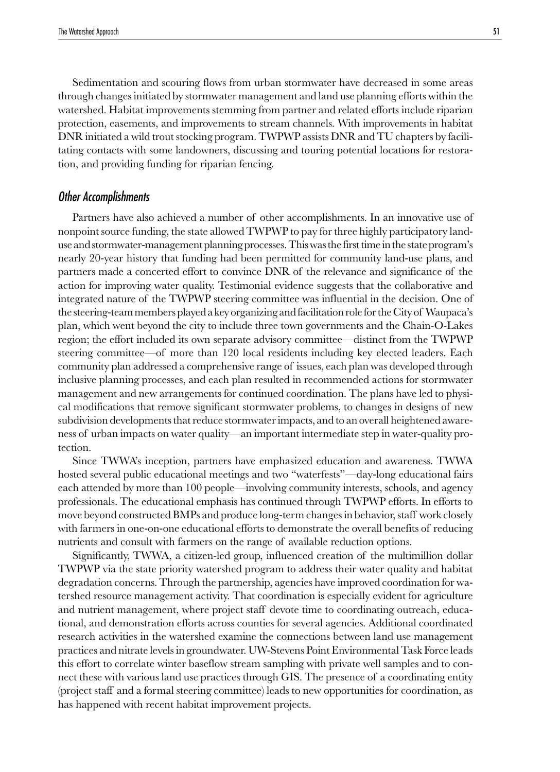Sedimentation and scouring flows from urban stormwater have decreased in some areas through changes initiated by stormwater management and land use planning efforts within the watershed. Habitat improvements stemming from partner and related efforts include riparian protection, easements, and improvements to stream channels. With improvements in habitat DNR initiated a wild trout stocking program. TWPWP assists DNR and TU chapters by facilitating contacts with some landowners, discussing and touring potential locations for restoration, and providing funding for riparian fencing.

### Other Accomplishments

Partners have also achieved a number of other accomplishments. In an innovative use of nonpoint source funding, the state allowed TWPWP to pay for three highly participatory landuse and stormwater-management planning processes. This was the first time in the state program's nearly 20-year history that funding had been permitted for community land-use plans, and partners made a concerted effort to convince DNR of the relevance and significance of the action for improving water quality. Testimonial evidence suggests that the collaborative and integrated nature of the TWPWP steering committee was influential in the decision. One of the steering-team members played a key organizing and facilitation role for the City of Waupaca's plan, which went beyond the city to include three town governments and the Chain-O-Lakes region; the effort included its own separate advisory committee—distinct from the TWPWP steering committee—of more than 120 local residents including key elected leaders. Each community plan addressed a comprehensive range of issues, each plan was developed through inclusive planning processes, and each plan resulted in recommended actions for stormwater management and new arrangements for continued coordination. The plans have led to physical modifications that remove significant stormwater problems, to changes in designs of new subdivision developments that reduce stormwater impacts, and to an overall heightened awareness of urban impacts on water quality—an important intermediate step in water-quality protection.

Since TWWA's inception, partners have emphasized education and awareness. TWWA hosted several public educational meetings and two "waterfests"—day-long educational fairs each attended by more than 100 people—involving community interests, schools, and agency professionals. The educational emphasis has continued through TWPWP efforts. In efforts to move beyond constructed BMPs and produce long-term changes in behavior, staff work closely with farmers in one-on-one educational efforts to demonstrate the overall benefits of reducing nutrients and consult with farmers on the range of available reduction options.

Significantly, TWWA, a citizen-led group, influenced creation of the multimillion dollar TWPWP via the state priority watershed program to address their water quality and habitat degradation concerns. Through the partnership, agencies have improved coordination for watershed resource management activity. That coordination is especially evident for agriculture and nutrient management, where project staff devote time to coordinating outreach, educational, and demonstration efforts across counties for several agencies. Additional coordinated research activities in the watershed examine the connections between land use management practices and nitrate levels in groundwater. UW-Stevens Point Environmental Task Force leads this effort to correlate winter baseflow stream sampling with private well samples and to connect these with various land use practices through GIS. The presence of a coordinating entity (project staff and a formal steering committee) leads to new opportunities for coordination, as has happened with recent habitat improvement projects.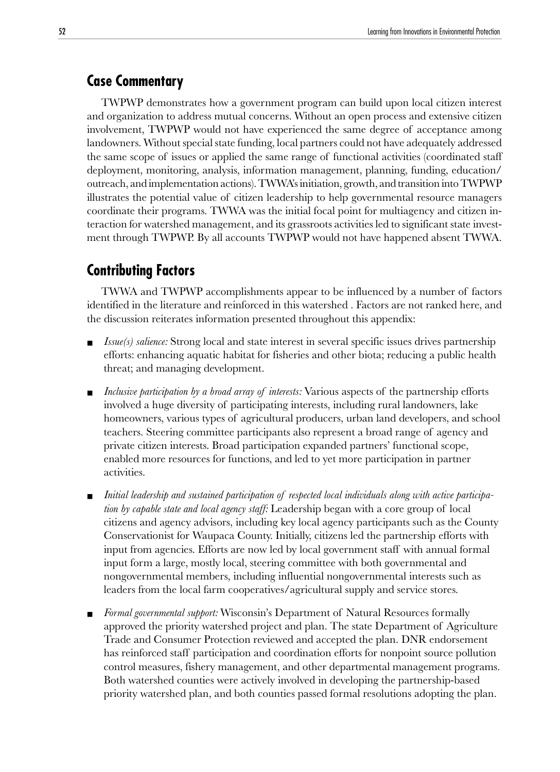## **Case Commentary**

TWPWP demonstrates how a government program can build upon local citizen interest and organization to address mutual concerns. Without an open process and extensive citizen involvement, TWPWP would not have experienced the same degree of acceptance among landowners. Without special state funding, local partners could not have adequately addressed the same scope of issues or applied the same range of functional activities (coordinated staff deployment, monitoring, analysis, information management, planning, funding, education/ outreach, and implementation actions). TWWA's initiation, growth, and transition into TWPWP illustrates the potential value of citizen leadership to help governmental resource managers coordinate their programs. TWWA was the initial focal point for multiagency and citizen interaction for watershed management, and its grassroots activities led to significant state investment through TWPWP. By all accounts TWPWP would not have happened absent TWWA.

## **Contributing Factors**

TWWA and TWPWP accomplishments appear to be influenced by a number of factors identified in the literature and reinforced in this watershed . Factors are not ranked here, and the discussion reiterates information presented throughout this appendix:

- *Issue(s) salience:* Strong local and state interest in several specific issues drives partnership efforts: enhancing aquatic habitat for fisheries and other biota; reducing a public health threat; and managing development.
- *Inclusive participation by a broad array of interests:* Various aspects of the partnership efforts involved a huge diversity of participating interests, including rural landowners, lake homeowners, various types of agricultural producers, urban land developers, and school teachers. Steering committee participants also represent a broad range of agency and private citizen interests. Broad participation expanded partners' functional scope, enabled more resources for functions, and led to yet more participation in partner activities.
- *Initial leadership and sustained participation of respected local individuals along with active participation by capable state and local agency staff:* Leadership began with a core group of local citizens and agency advisors, including key local agency participants such as the County Conservationist for Waupaca County. Initially, citizens led the partnership efforts with input from agencies. Efforts are now led by local government staff with annual formal input form a large, mostly local, steering committee with both governmental and nongovernmental members, including influential nongovernmental interests such as leaders from the local farm cooperatives/agricultural supply and service stores.
- *Formal governmental support:* Wisconsin's Department of Natural Resources formally approved the priority watershed project and plan. The state Department of Agriculture Trade and Consumer Protection reviewed and accepted the plan. DNR endorsement has reinforced staff participation and coordination efforts for nonpoint source pollution control measures, fishery management, and other departmental management programs*.* Both watershed counties were actively involved in developing the partnership-based priority watershed plan, and both counties passed formal resolutions adopting the plan.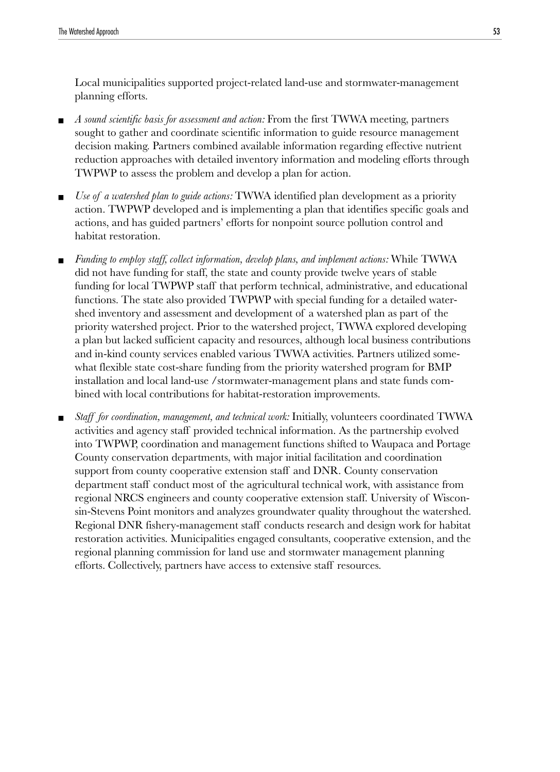Local municipalities supported project-related land-use and stormwater-management planning efforts.

- *A sound scientific basis for assessment and action:* From the first TWWA meeting, partners sought to gather and coordinate scientific information to guide resource management decision making. Partners combined available information regarding effective nutrient reduction approaches with detailed inventory information and modeling efforts through TWPWP to assess the problem and develop a plan for action.
- *Use of a watershed plan to guide actions:* TWWA identified plan development as a priority action. TWPWP developed and is implementing a plan that identifies specific goals and actions, and has guided partners' efforts for nonpoint source pollution control and habitat restoration.
- *Funding to employ staff, collect information, develop plans, and implement actions:* While TWWA did not have funding for staff, the state and county provide twelve years of stable funding for local TWPWP staff that perform technical, administrative, and educational functions. The state also provided TWPWP with special funding for a detailed watershed inventory and assessment and development of a watershed plan as part of the priority watershed project. Prior to the watershed project, TWWA explored developing a plan but lacked sufficient capacity and resources, although local business contributions and in-kind county services enabled various TWWA activities. Partners utilized somewhat flexible state cost-share funding from the priority watershed program for BMP installation and local land-use /stormwater-management plans and state funds combined with local contributions for habitat-restoration improvements.
- *Staff for coordination, management, and technical work:* Initially, volunteers coordinated TWWA activities and agency staff provided technical information. As the partnership evolved into TWPWP, coordination and management functions shifted to Waupaca and Portage County conservation departments, with major initial facilitation and coordination support from county cooperative extension staff and DNR. County conservation department staff conduct most of the agricultural technical work, with assistance from regional NRCS engineers and county cooperative extension staff. University of Wisconsin-Stevens Point monitors and analyzes groundwater quality throughout the watershed. Regional DNR fishery-management staff conducts research and design work for habitat restoration activities. Municipalities engaged consultants, cooperative extension, and the regional planning commission for land use and stormwater management planning efforts. Collectively, partners have access to extensive staff resources.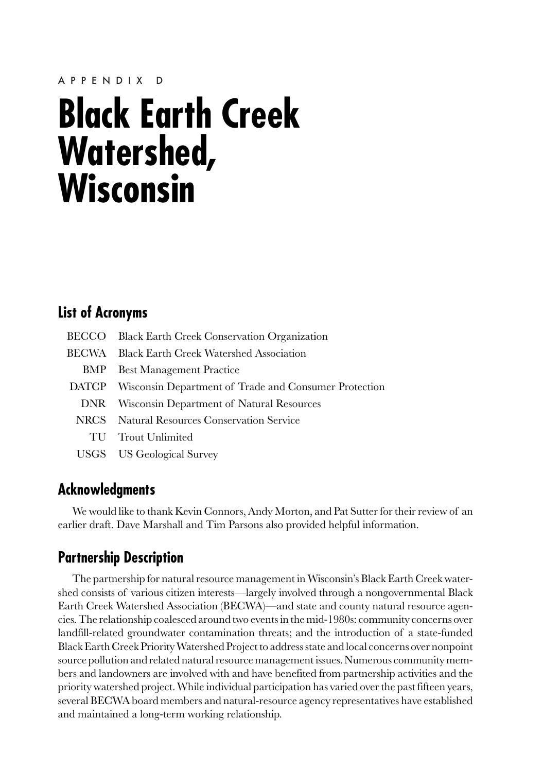# **Black Earth Creek Watershed, Wisconsin**

# **List of Acronyms**

| BECCO Black Earth Creek Conservation Organization           |
|-------------------------------------------------------------|
| BECWA Black Earth Creek Watershed Association               |
| <b>BMP</b> Best Management Practice                         |
| DATCP Wisconsin Department of Trade and Consumer Protection |
| DNR Wisconsin Department of Natural Resources               |
| NRCS Natural Resources Conservation Service                 |
| TU Trout Unlimited                                          |
| <b>USGS</b> US Geological Survey                            |

## **Acknowledgments**

We would like to thank Kevin Connors, Andy Morton, and Pat Sutter for their review of an earlier draft. Dave Marshall and Tim Parsons also provided helpful information.

# **Partnership Description**

The partnership for natural resource management in Wisconsin's Black Earth Creek watershed consists of various citizen interests—largely involved through a nongovernmental Black Earth Creek Watershed Association (BECWA)—and state and county natural resource agencies. The relationship coalesced around two events in the mid-1980s: community concerns over landfill-related groundwater contamination threats; and the introduction of a state-funded Black Earth Creek Priority Watershed Project to address state and local concerns over nonpoint source pollution and related natural resource management issues. Numerous community members and landowners are involved with and have benefited from partnership activities and the priority watershed project. While individual participation has varied over the past fifteen years, several BECWA board members and natural-resource agency representatives have established and maintained a long-term working relationship.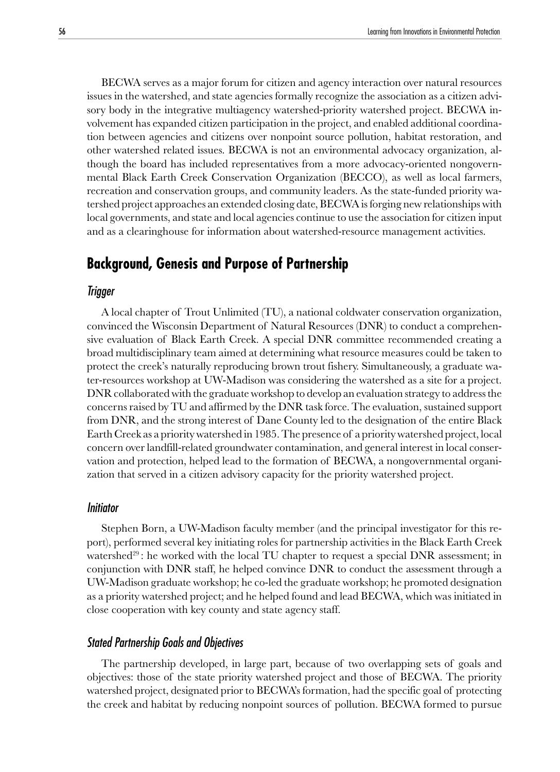BECWA serves as a major forum for citizen and agency interaction over natural resources issues in the watershed, and state agencies formally recognize the association as a citizen advisory body in the integrative multiagency watershed-priority watershed project. BECWA involvement has expanded citizen participation in the project, and enabled additional coordination between agencies and citizens over nonpoint source pollution, habitat restoration, and other watershed related issues. BECWA is not an environmental advocacy organization, although the board has included representatives from a more advocacy-oriented nongovernmental Black Earth Creek Conservation Organization (BECCO), as well as local farmers, recreation and conservation groups, and community leaders. As the state-funded priority watershed project approaches an extended closing date, BECWA is forging new relationships with local governments, and state and local agencies continue to use the association for citizen input and as a clearinghouse for information about watershed-resource management activities.

## **Background, Genesis and Purpose of Partnership**

#### Trigger

A local chapter of Trout Unlimited (TU), a national coldwater conservation organization, convinced the Wisconsin Department of Natural Resources (DNR) to conduct a comprehensive evaluation of Black Earth Creek. A special DNR committee recommended creating a broad multidisciplinary team aimed at determining what resource measures could be taken to protect the creek's naturally reproducing brown trout fishery. Simultaneously, a graduate water-resources workshop at UW-Madison was considering the watershed as a site for a project. DNR collaborated with the graduate workshop to develop an evaluation strategy to address the concerns raised by TU and affirmed by the DNR task force. The evaluation, sustained support from DNR, and the strong interest of Dane County led to the designation of the entire Black Earth Creek as a priority watershed in 1985. The presence of a priority watershed project, local concern over landfill-related groundwater contamination, and general interest in local conservation and protection, helped lead to the formation of BECWA, a nongovernmental organization that served in a citizen advisory capacity for the priority watershed project.

#### Initiator

Stephen Born, a UW-Madison faculty member (and the principal investigator for this report), performed several key initiating roles for partnership activities in the Black Earth Creek watershed<sup>29</sup>: he worked with the local TU chapter to request a special DNR assessment; in conjunction with DNR staff, he helped convince DNR to conduct the assessment through a UW-Madison graduate workshop; he co-led the graduate workshop; he promoted designation as a priority watershed project; and he helped found and lead BECWA, which was initiated in close cooperation with key county and state agency staff.

#### Stated Partnership Goals and Objectives

The partnership developed, in large part, because of two overlapping sets of goals and objectives: those of the state priority watershed project and those of BECWA. The priority watershed project, designated prior to BECWA's formation, had the specific goal of protecting the creek and habitat by reducing nonpoint sources of pollution. BECWA formed to pursue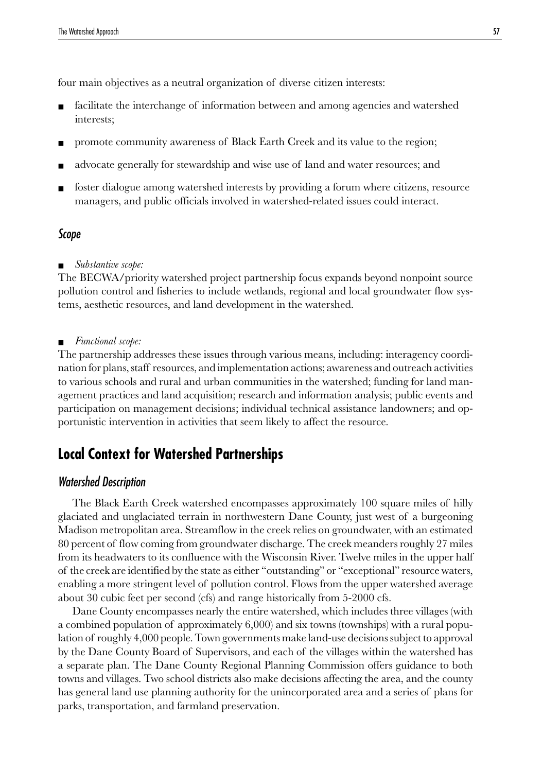four main objectives as a neutral organization of diverse citizen interests:

- facilitate the interchange of information between and among agencies and watershed interests;
- promote community awareness of Black Earth Creek and its value to the region;
- advocate generally for stewardship and wise use of land and water resources; and
- foster dialogue among watershed interests by providing a forum where citizens, resource managers, and public officials involved in watershed-related issues could interact.

#### Scope

■ *Substantive scope:*

The BECWA/priority watershed project partnership focus expands beyond nonpoint source pollution control and fisheries to include wetlands, regional and local groundwater flow systems, aesthetic resources, and land development in the watershed.

#### ■ *Functional scope:*

The partnership addresses these issues through various means, including: interagency coordination for plans, staff resources, and implementation actions; awareness and outreach activities to various schools and rural and urban communities in the watershed; funding for land management practices and land acquisition; research and information analysis; public events and participation on management decisions; individual technical assistance landowners; and opportunistic intervention in activities that seem likely to affect the resource.

## **Local Context for Watershed Partnerships**

## Watershed Description

The Black Earth Creek watershed encompasses approximately 100 square miles of hilly glaciated and unglaciated terrain in northwestern Dane County, just west of a burgeoning Madison metropolitan area. Streamflow in the creek relies on groundwater, with an estimated 80 percent of flow coming from groundwater discharge. The creek meanders roughly 27 miles from its headwaters to its confluence with the Wisconsin River. Twelve miles in the upper half of the creek are identified by the state as either "outstanding" or "exceptional" resource waters, enabling a more stringent level of pollution control. Flows from the upper watershed average about 30 cubic feet per second (cfs) and range historically from 5-2000 cfs.

Dane County encompasses nearly the entire watershed, which includes three villages (with a combined population of approximately 6,000) and six towns (townships) with a rural population of roughly 4,000 people. Town governments make land-use decisions subject to approval by the Dane County Board of Supervisors, and each of the villages within the watershed has a separate plan. The Dane County Regional Planning Commission offers guidance to both towns and villages. Two school districts also make decisions affecting the area, and the county has general land use planning authority for the unincorporated area and a series of plans for parks, transportation, and farmland preservation.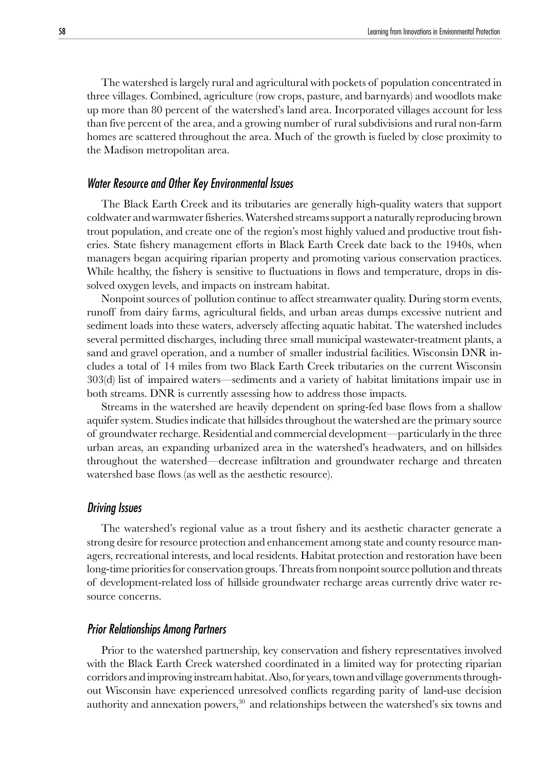The watershed is largely rural and agricultural with pockets of population concentrated in three villages. Combined, agriculture (row crops, pasture, and barnyards) and woodlots make up more than 80 percent of the watershed's land area. Incorporated villages account for less than five percent of the area, and a growing number of rural subdivisions and rural non-farm homes are scattered throughout the area. Much of the growth is fueled by close proximity to the Madison metropolitan area.

## Water Resource and Other Key Environmental Issues

The Black Earth Creek and its tributaries are generally high-quality waters that support coldwater and warmwater fisheries. Watershed streams support a naturally reproducing brown trout population, and create one of the region's most highly valued and productive trout fisheries. State fishery management efforts in Black Earth Creek date back to the 1940s, when managers began acquiring riparian property and promoting various conservation practices. While healthy, the fishery is sensitive to fluctuations in flows and temperature, drops in dissolved oxygen levels, and impacts on instream habitat.

Nonpoint sources of pollution continue to affect streamwater quality. During storm events, runoff from dairy farms, agricultural fields, and urban areas dumps excessive nutrient and sediment loads into these waters, adversely affecting aquatic habitat. The watershed includes several permitted discharges, including three small municipal wastewater-treatment plants, a sand and gravel operation, and a number of smaller industrial facilities. Wisconsin DNR includes a total of 14 miles from two Black Earth Creek tributaries on the current Wisconsin 303(d) list of impaired waters—sediments and a variety of habitat limitations impair use in both streams. DNR is currently assessing how to address those impacts.

Streams in the watershed are heavily dependent on spring-fed base flows from a shallow aquifer system. Studies indicate that hillsides throughout the watershed are the primary source of groundwater recharge. Residential and commercial development—particularly in the three urban areas, an expanding urbanized area in the watershed's headwaters, and on hillsides throughout the watershed—decrease infiltration and groundwater recharge and threaten watershed base flows (as well as the aesthetic resource).

#### Driving Issues

The watershed's regional value as a trout fishery and its aesthetic character generate a strong desire for resource protection and enhancement among state and county resource managers, recreational interests, and local residents. Habitat protection and restoration have been long-time priorities for conservation groups. Threats from nonpoint source pollution and threats of development-related loss of hillside groundwater recharge areas currently drive water resource concerns.

## Prior Relationships Among Partners

Prior to the watershed partnership, key conservation and fishery representatives involved with the Black Earth Creek watershed coordinated in a limited way for protecting riparian corridors and improving instream habitat. Also, for years, town and village governments throughout Wisconsin have experienced unresolved conflicts regarding parity of land-use decision authority and annexation powers, $30$  and relationships between the watershed's six towns and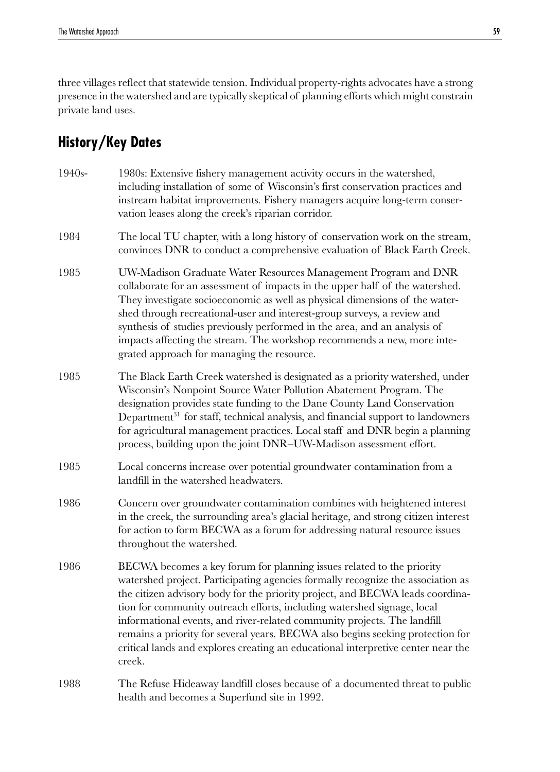three villages reflect that statewide tension. Individual property-rights advocates have a strong presence in the watershed and are typically skeptical of planning efforts which might constrain private land uses.

# **History/Key Dates**

- 1940s- 1980s: Extensive fishery management activity occurs in the watershed, including installation of some of Wisconsin's first conservation practices and instream habitat improvements. Fishery managers acquire long-term conservation leases along the creek's riparian corridor. 1984 The local TU chapter, with a long history of conservation work on the stream, convinces DNR to conduct a comprehensive evaluation of Black Earth Creek. 1985 UW-Madison Graduate Water Resources Management Program and DNR collaborate for an assessment of impacts in the upper half of the watershed. They investigate socioeconomic as well as physical dimensions of the watershed through recreational-user and interest-group surveys, a review and synthesis of studies previously performed in the area, and an analysis of impacts affecting the stream. The workshop recommends a new, more integrated approach for managing the resource. 1985 The Black Earth Creek watershed is designated as a priority watershed, under Wisconsin's Nonpoint Source Water Pollution Abatement Program. The designation provides state funding to the Dane County Land Conservation Department<sup>31</sup> for staff, technical analysis, and financial support to landowners for agricultural management practices. Local staff and DNR begin a planning process, building upon the joint DNR–UW-Madison assessment effort. 1985 Local concerns increase over potential groundwater contamination from a landfill in the watershed headwaters. 1986 Concern over groundwater contamination combines with heightened interest in the creek, the surrounding area's glacial heritage, and strong citizen interest for action to form BECWA as a forum for addressing natural resource issues throughout the watershed. 1986 BECWA becomes a key forum for planning issues related to the priority watershed project. Participating agencies formally recognize the association as the citizen advisory body for the priority project, and BECWA leads coordination for community outreach efforts, including watershed signage, local informational events, and river-related community projects. The landfill remains a priority for several years. BECWA also begins seeking protection for critical lands and explores creating an educational interpretive center near the creek.
- 1988 The Refuse Hideaway landfill closes because of a documented threat to public health and becomes a Superfund site in 1992.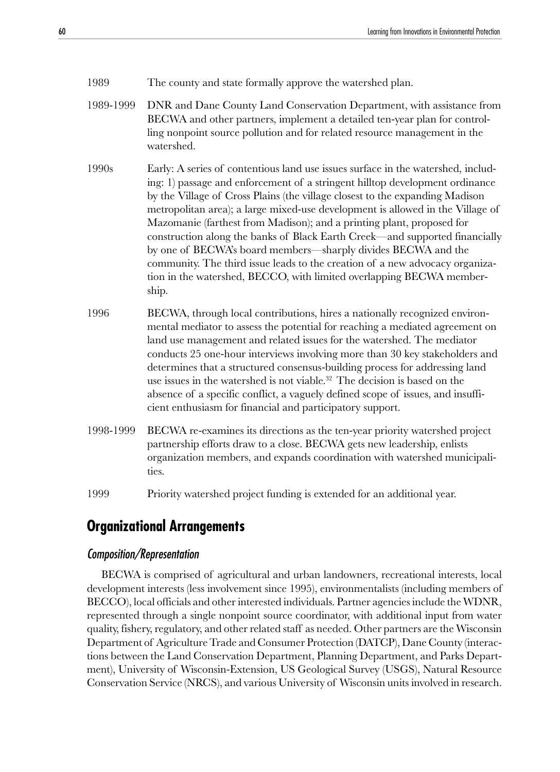- 1989 The county and state formally approve the watershed plan.
- 1989-1999 DNR and Dane County Land Conservation Department, with assistance from BECWA and other partners, implement a detailed ten-year plan for controlling nonpoint source pollution and for related resource management in the watershed.
- 1990s Early: A series of contentious land use issues surface in the watershed, including: 1) passage and enforcement of a stringent hilltop development ordinance by the Village of Cross Plains (the village closest to the expanding Madison metropolitan area); a large mixed-use development is allowed in the Village of Mazomanie (farthest from Madison); and a printing plant, proposed for construction along the banks of Black Earth Creek—and supported financially by one of BECWA's board members—sharply divides BECWA and the community. The third issue leads to the creation of a new advocacy organization in the watershed, BECCO, with limited overlapping BECWA membership.
- 1996 BECWA, through local contributions, hires a nationally recognized environmental mediator to assess the potential for reaching a mediated agreement on land use management and related issues for the watershed. The mediator conducts 25 one-hour interviews involving more than 30 key stakeholders and determines that a structured consensus-building process for addressing land use issues in the watershed is not viable.<sup>32</sup> The decision is based on the absence of a specific conflict, a vaguely defined scope of issues, and insufficient enthusiasm for financial and participatory support.
- 1998-1999 BECWA re-examines its directions as the ten-year priority watershed project partnership efforts draw to a close. BECWA gets new leadership, enlists organization members, and expands coordination with watershed municipalities.
- 1999 Priority watershed project funding is extended for an additional year.

## **Organizational Arrangements**

## Composition/Representation

BECWA is comprised of agricultural and urban landowners, recreational interests, local development interests (less involvement since 1995), environmentalists (including members of BECCO), local officials and other interested individuals. Partner agencies include the WDNR, represented through a single nonpoint source coordinator, with additional input from water quality, fishery, regulatory, and other related staff as needed. Other partners are the Wisconsin Department of Agriculture Trade and Consumer Protection (DATCP), Dane County (interactions between the Land Conservation Department, Planning Department, and Parks Department), University of Wisconsin-Extension, US Geological Survey (USGS), Natural Resource Conservation Service (NRCS), and various University of Wisconsin units involved in research.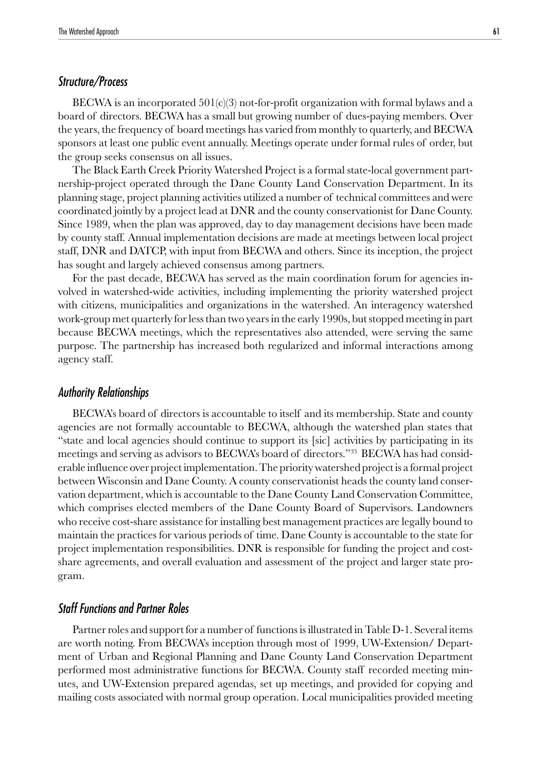## Structure/Process

BECWA is an incorporated  $501(c)(3)$  not-for-profit organization with formal bylaws and a board of directors. BECWA has a small but growing number of dues-paying members. Over the years, the frequency of board meetings has varied from monthly to quarterly, and BECWA sponsors at least one public event annually. Meetings operate under formal rules of order, but the group seeks consensus on all issues.

The Black Earth Creek Priority Watershed Project is a formal state-local government partnership-project operated through the Dane County Land Conservation Department. In its planning stage, project planning activities utilized a number of technical committees and were coordinated jointly by a project lead at DNR and the county conservationist for Dane County. Since 1989, when the plan was approved, day to day management decisions have been made by county staff. Annual implementation decisions are made at meetings between local project staff, DNR and DATCP, with input from BECWA and others. Since its inception, the project has sought and largely achieved consensus among partners.

For the past decade, BECWA has served as the main coordination forum for agencies involved in watershed-wide activities, including implementing the priority watershed project with citizens, municipalities and organizations in the watershed. An interagency watershed work-group met quarterly for less than two years in the early 1990s, but stopped meeting in part because BECWA meetings, which the representatives also attended, were serving the same purpose. The partnership has increased both regularized and informal interactions among agency staff.

#### Authority Relationships

BECWA's board of directors is accountable to itself and its membership. State and county agencies are not formally accountable to BECWA, although the watershed plan states that "state and local agencies should continue to support its [sic] activities by participating in its meetings and serving as advisors to BECWA's board of directors."33 BECWA has had considerable influence over project implementation. The priority watershed project is a formal project between Wisconsin and Dane County. A county conservationist heads the county land conservation department, which is accountable to the Dane County Land Conservation Committee, which comprises elected members of the Dane County Board of Supervisors. Landowners who receive cost-share assistance for installing best management practices are legally bound to maintain the practices for various periods of time. Dane County is accountable to the state for project implementation responsibilities. DNR is responsible for funding the project and costshare agreements, and overall evaluation and assessment of the project and larger state program.

## Staff Functions and Partner Roles

Partner roles and support for a number of functions is illustrated in Table D-1. Several items are worth noting. From BECWA's inception through most of 1999, UW-Extension/ Department of Urban and Regional Planning and Dane County Land Conservation Department performed most administrative functions for BECWA. County staff recorded meeting minutes, and UW-Extension prepared agendas, set up meetings, and provided for copying and mailing costs associated with normal group operation. Local municipalities provided meeting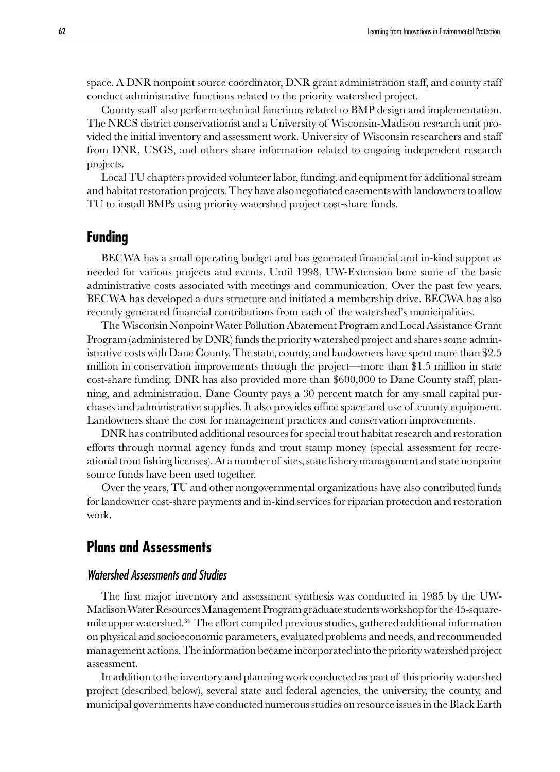space. A DNR nonpoint source coordinator, DNR grant administration staff, and county staff conduct administrative functions related to the priority watershed project.

County staff also perform technical functions related to BMP design and implementation. The NRCS district conservationist and a University of Wisconsin-Madison research unit provided the initial inventory and assessment work. University of Wisconsin researchers and staff from DNR, USGS, and others share information related to ongoing independent research projects.

Local TU chapters provided volunteer labor, funding, and equipment for additional stream and habitat restoration projects. They have also negotiated easements with landowners to allow TU to install BMPs using priority watershed project cost-share funds.

## **Funding**

BECWA has a small operating budget and has generated financial and in-kind support as needed for various projects and events. Until 1998, UW-Extension bore some of the basic administrative costs associated with meetings and communication. Over the past few years, BECWA has developed a dues structure and initiated a membership drive. BECWA has also recently generated financial contributions from each of the watershed's municipalities.

The Wisconsin Nonpoint Water Pollution Abatement Program and Local Assistance Grant Program (administered by DNR) funds the priority watershed project and shares some administrative costs with Dane County. The state, county, and landowners have spent more than \$2.5 million in conservation improvements through the project—more than \$1.5 million in state cost-share funding. DNR has also provided more than \$600,000 to Dane County staff, planning, and administration. Dane County pays a 30 percent match for any small capital purchases and administrative supplies. It also provides office space and use of county equipment. Landowners share the cost for management practices and conservation improvements.

DNR has contributed additional resources for special trout habitat research and restoration efforts through normal agency funds and trout stamp money (special assessment for recreational trout fishing licenses). At a number of sites, state fishery management and state nonpoint source funds have been used together.

Over the years, TU and other nongovernmental organizations have also contributed funds for landowner cost-share payments and in-kind services for riparian protection and restoration work.

# **Plans and Assessments**

## Watershed Assessments and Studies

The first major inventory and assessment synthesis was conducted in 1985 by the UW-Madison Water Resources Management Program graduate students workshop for the 45-squaremile upper watershed.34 The effort compiled previous studies, gathered additional information on physical and socioeconomic parameters, evaluated problems and needs, and recommended management actions. The information became incorporated into the priority watershed project assessment.

In addition to the inventory and planning work conducted as part of this priority watershed project (described below), several state and federal agencies, the university, the county, and municipal governments have conducted numerous studies on resource issues in the Black Earth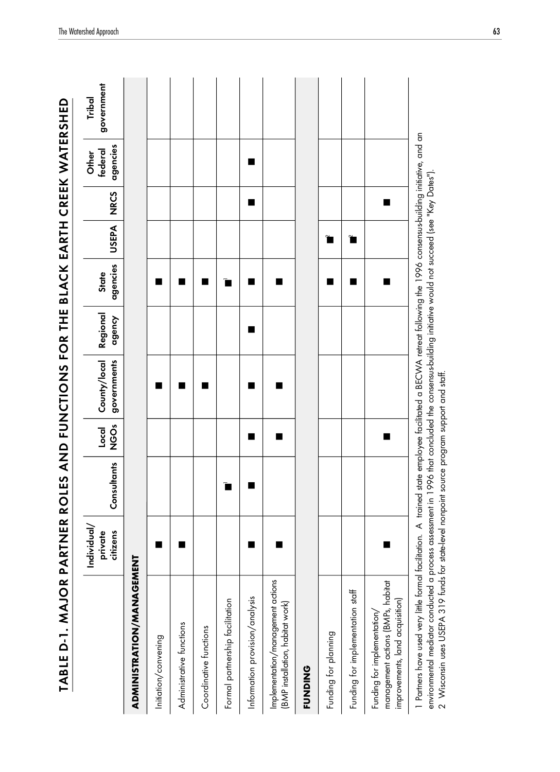| TABLE D-1. MAJOR PA                                                                                                                                                                                                                                                                                                                                                                                                       |                                    |             |                 | RTNER ROLES AND FUNCTIONS FOR THE BLACK EARTH CREEK WATERSHED |                    |                   |                      |             |                              |                      |
|---------------------------------------------------------------------------------------------------------------------------------------------------------------------------------------------------------------------------------------------------------------------------------------------------------------------------------------------------------------------------------------------------------------------------|------------------------------------|-------------|-----------------|---------------------------------------------------------------|--------------------|-------------------|----------------------|-------------|------------------------------|----------------------|
|                                                                                                                                                                                                                                                                                                                                                                                                                           | Individual/<br>private<br>citizens | Consultants | Ő<br>Z<br>Local | governments<br>County/local                                   | Regional<br>agency | agencies<br>State | <b>USEPA</b>         | <b>NRCS</b> | agencies<br>federal<br>Other | government<br>Tribal |
| ADMINISTRATION/MANAGEMENT                                                                                                                                                                                                                                                                                                                                                                                                 |                                    |             |                 |                                                               |                    |                   |                      |             |                              |                      |
|                                                                                                                                                                                                                                                                                                                                                                                                                           |                                    |             |                 |                                                               |                    |                   |                      |             |                              |                      |
| Initiation/convening                                                                                                                                                                                                                                                                                                                                                                                                      |                                    |             |                 |                                                               |                    |                   |                      |             |                              |                      |
| Administrative functions                                                                                                                                                                                                                                                                                                                                                                                                  |                                    |             |                 | ▄                                                             |                    | ■                 |                      |             |                              |                      |
| Coordinative functions                                                                                                                                                                                                                                                                                                                                                                                                    |                                    |             |                 |                                                               |                    |                   |                      |             |                              |                      |
| Formal partnership facilitation                                                                                                                                                                                                                                                                                                                                                                                           |                                    |             |                 |                                                               |                    | ■                 |                      |             |                              |                      |
| Information provision/analysis                                                                                                                                                                                                                                                                                                                                                                                            |                                    |             |                 |                                                               |                    |                   |                      |             |                              |                      |
| Implementation/management actions<br>(BMP installation, habitat work)                                                                                                                                                                                                                                                                                                                                                     |                                    |             |                 |                                                               |                    |                   |                      |             |                              |                      |
| <b>FUNDING</b>                                                                                                                                                                                                                                                                                                                                                                                                            |                                    |             |                 |                                                               |                    |                   |                      |             |                              |                      |
| Funding for planning                                                                                                                                                                                                                                                                                                                                                                                                      |                                    |             |                 |                                                               |                    |                   | $\tilde{\mathbf{r}}$ |             |                              |                      |
| Funding for implementation staff                                                                                                                                                                                                                                                                                                                                                                                          |                                    |             |                 |                                                               |                    | ■                 | $\tilde{\mathbf{r}}$ |             |                              |                      |
| management actions (BMPs, habitat<br>improvements, land acquisition)<br>Funding for implementation,                                                                                                                                                                                                                                                                                                                       |                                    |             | ■               |                                                               |                    |                   |                      | ■           |                              |                      |
| 1 Partners have used very little formal facilitation. A trained state employee facilitated a BECWA retreat following the 1996 consensus-building initiative, and an<br>environmental mediator conducted a process assessment in 1996 that concluded the consensus-building initiative would not succeed (see "Key Dates").<br>2 Wisconsin uses USEPA 319 funds for state-level nonpoint source program support and staff. |                                    |             |                 |                                                               |                    |                   |                      |             |                              |                      |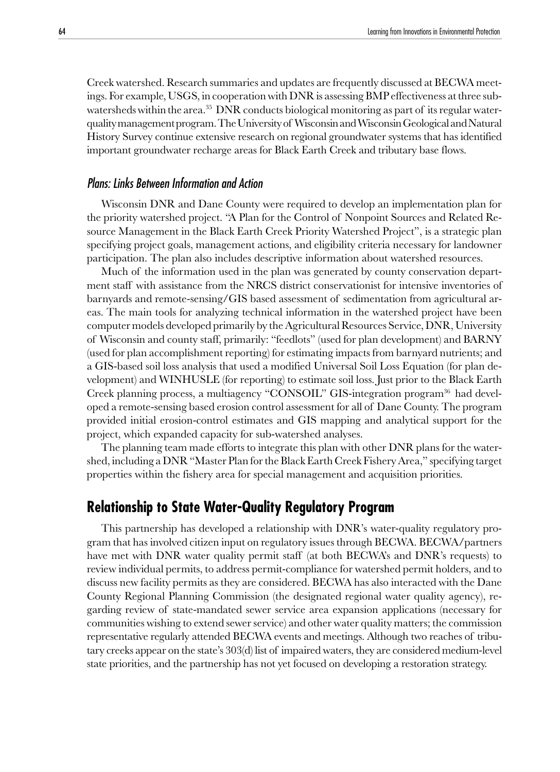Creek watershed. Research summaries and updates are frequently discussed at BECWA meetings. For example, USGS, in cooperation with DNR is assessing BMP effectiveness at three subwatersheds within the area.<sup>35</sup> DNR conducts biological monitoring as part of its regular waterquality management program. The University of Wisconsin and Wisconsin Geological and Natural History Survey continue extensive research on regional groundwater systems that has identified important groundwater recharge areas for Black Earth Creek and tributary base flows.

## Plans: Links Between Information and Action

Wisconsin DNR and Dane County were required to develop an implementation plan for the priority watershed project. "A Plan for the Control of Nonpoint Sources and Related Resource Management in the Black Earth Creek Priority Watershed Project", is a strategic plan specifying project goals, management actions, and eligibility criteria necessary for landowner participation. The plan also includes descriptive information about watershed resources.

Much of the information used in the plan was generated by county conservation department staff with assistance from the NRCS district conservationist for intensive inventories of barnyards and remote-sensing/GIS based assessment of sedimentation from agricultural areas. The main tools for analyzing technical information in the watershed project have been computer models developed primarily by the Agricultural Resources Service, DNR, University of Wisconsin and county staff, primarily: "feedlots" (used for plan development) and BARNY (used for plan accomplishment reporting) for estimating impacts from barnyard nutrients; and a GIS-based soil loss analysis that used a modified Universal Soil Loss Equation (for plan development) and WINHUSLE (for reporting) to estimate soil loss. Just prior to the Black Earth Creek planning process, a multiagency "CONSOIL" GIS-integration program<sup>36</sup> had developed a remote-sensing based erosion control assessment for all of Dane County. The program provided initial erosion-control estimates and GIS mapping and analytical support for the project, which expanded capacity for sub-watershed analyses.

The planning team made efforts to integrate this plan with other DNR plans for the watershed, including a DNR "Master Plan for the Black Earth Creek Fishery Area," specifying target properties within the fishery area for special management and acquisition priorities.

## **Relationship to State Water-Quality Regulatory Program**

This partnership has developed a relationship with DNR's water-quality regulatory program that has involved citizen input on regulatory issues through BECWA. BECWA/partners have met with DNR water quality permit staff (at both BECWA's and DNR's requests) to review individual permits, to address permit-compliance for watershed permit holders, and to discuss new facility permits as they are considered. BECWA has also interacted with the Dane County Regional Planning Commission (the designated regional water quality agency), regarding review of state-mandated sewer service area expansion applications (necessary for communities wishing to extend sewer service) and other water quality matters; the commission representative regularly attended BECWA events and meetings. Although two reaches of tributary creeks appear on the state's 303(d) list of impaired waters, they are considered medium-level state priorities, and the partnership has not yet focused on developing a restoration strategy.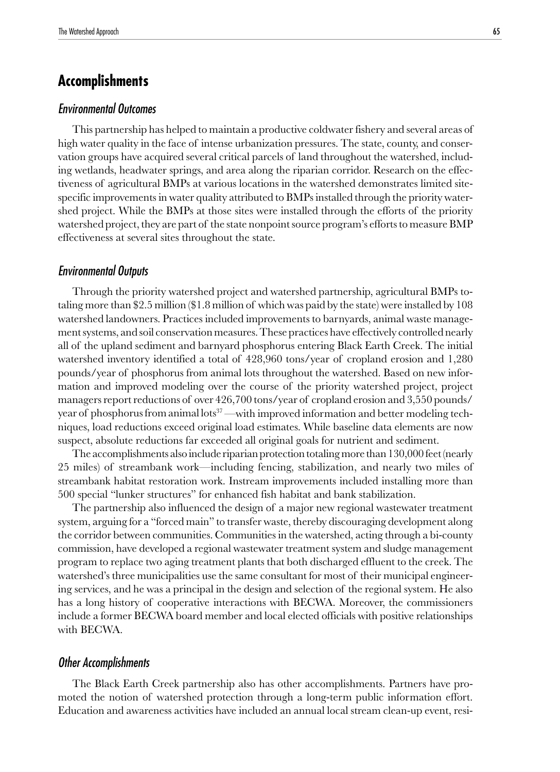# **Accomplishments**

## Environmental Outcomes

This partnership has helped to maintain a productive coldwater fishery and several areas of high water quality in the face of intense urbanization pressures. The state, county, and conservation groups have acquired several critical parcels of land throughout the watershed, including wetlands, headwater springs, and area along the riparian corridor. Research on the effectiveness of agricultural BMPs at various locations in the watershed demonstrates limited sitespecific improvements in water quality attributed to BMPs installed through the priority watershed project. While the BMPs at those sites were installed through the efforts of the priority watershed project, they are part of the state nonpoint source program's efforts to measure BMP effectiveness at several sites throughout the state.

#### Environmental Outputs

Through the priority watershed project and watershed partnership, agricultural BMPs totaling more than \$2.5 million (\$1.8 million of which was paid by the state) were installed by 108 watershed landowners. Practices included improvements to barnyards, animal waste management systems, and soil conservation measures. These practices have effectively controlled nearly all of the upland sediment and barnyard phosphorus entering Black Earth Creek. The initial watershed inventory identified a total of 428,960 tons/year of cropland erosion and 1,280 pounds/year of phosphorus from animal lots throughout the watershed. Based on new information and improved modeling over the course of the priority watershed project, project managers report reductions of over 426,700 tons/year of cropland erosion and 3,550 pounds/ year of phosphorus from animal lots<sup>37</sup>—with improved information and better modeling techniques, load reductions exceed original load estimates. While baseline data elements are now suspect, absolute reductions far exceeded all original goals for nutrient and sediment.

The accomplishments also include riparian protection totaling more than 130,000 feet (nearly 25 miles) of streambank work—including fencing, stabilization, and nearly two miles of streambank habitat restoration work. Instream improvements included installing more than 500 special "lunker structures" for enhanced fish habitat and bank stabilization.

The partnership also influenced the design of a major new regional wastewater treatment system, arguing for a "forced main" to transfer waste, thereby discouraging development along the corridor between communities. Communities in the watershed, acting through a bi-county commission, have developed a regional wastewater treatment system and sludge management program to replace two aging treatment plants that both discharged effluent to the creek. The watershed's three municipalities use the same consultant for most of their municipal engineering services, and he was a principal in the design and selection of the regional system. He also has a long history of cooperative interactions with BECWA. Moreover, the commissioners include a former BECWA board member and local elected officials with positive relationships with BECWA.

## Other Accomplishments

The Black Earth Creek partnership also has other accomplishments. Partners have promoted the notion of watershed protection through a long-term public information effort. Education and awareness activities have included an annual local stream clean-up event, resi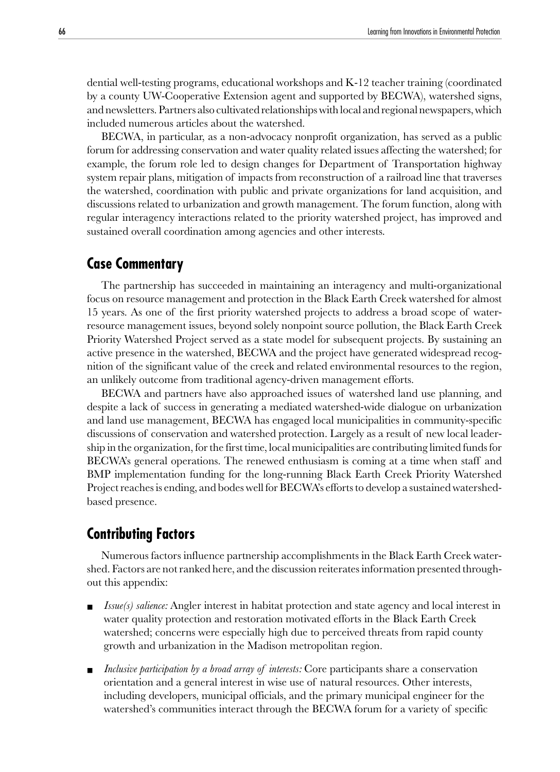dential well-testing programs, educational workshops and K-12 teacher training (coordinated by a county UW-Cooperative Extension agent and supported by BECWA), watershed signs, and newsletters. Partners also cultivated relationships with local and regional newspapers, which included numerous articles about the watershed.

BECWA, in particular, as a non-advocacy nonprofit organization, has served as a public forum for addressing conservation and water quality related issues affecting the watershed; for example, the forum role led to design changes for Department of Transportation highway system repair plans, mitigation of impacts from reconstruction of a railroad line that traverses the watershed, coordination with public and private organizations for land acquisition, and discussions related to urbanization and growth management. The forum function, along with regular interagency interactions related to the priority watershed project, has improved and sustained overall coordination among agencies and other interests.

## **Case Commentary**

The partnership has succeeded in maintaining an interagency and multi-organizational focus on resource management and protection in the Black Earth Creek watershed for almost 15 years. As one of the first priority watershed projects to address a broad scope of waterresource management issues, beyond solely nonpoint source pollution, the Black Earth Creek Priority Watershed Project served as a state model for subsequent projects. By sustaining an active presence in the watershed, BECWA and the project have generated widespread recognition of the significant value of the creek and related environmental resources to the region, an unlikely outcome from traditional agency-driven management efforts.

BECWA and partners have also approached issues of watershed land use planning, and despite a lack of success in generating a mediated watershed-wide dialogue on urbanization and land use management, BECWA has engaged local municipalities in community-specific discussions of conservation and watershed protection. Largely as a result of new local leadership in the organization, for the first time, local municipalities are contributing limited funds for BECWA's general operations. The renewed enthusiasm is coming at a time when staff and BMP implementation funding for the long-running Black Earth Creek Priority Watershed Project reaches is ending, and bodes well for BECWA's efforts to develop a sustained watershedbased presence.

## **Contributing Factors**

Numerous factors influence partnership accomplishments in the Black Earth Creek watershed. Factors are not ranked here, and the discussion reiterates information presented throughout this appendix:

- *Issue(s) salience:* Angler interest in habitat protection and state agency and local interest in water quality protection and restoration motivated efforts in the Black Earth Creek watershed; concerns were especially high due to perceived threats from rapid county growth and urbanization in the Madison metropolitan region.
- *Inclusive participation by a broad array of interests:* Core participants share a conservation orientation and a general interest in wise use of natural resources. Other interests, including developers, municipal officials, and the primary municipal engineer for the watershed's communities interact through the BECWA forum for a variety of specific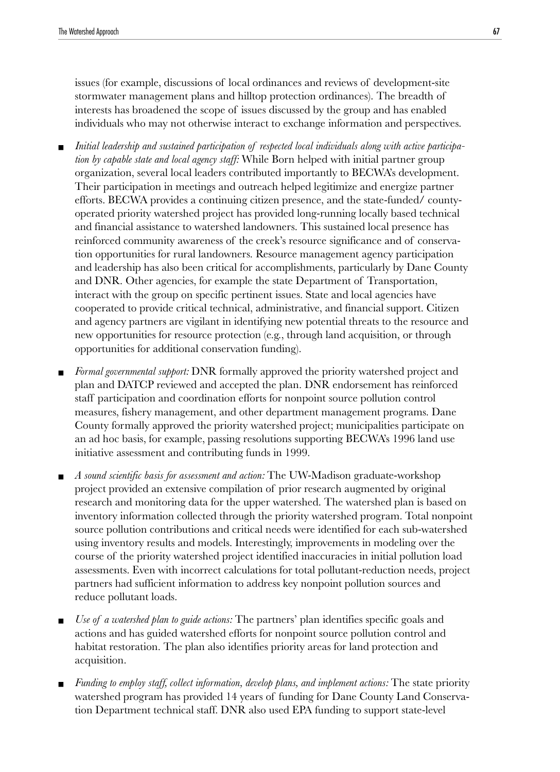issues (for example, discussions of local ordinances and reviews of development-site stormwater management plans and hilltop protection ordinances). The breadth of interests has broadened the scope of issues discussed by the group and has enabled individuals who may not otherwise interact to exchange information and perspectives.

- Initial leadership and sustained participation of respected local individuals along with active participa*tion by capable state and local agency staff:* While Born helped with initial partner group organization, several local leaders contributed importantly to BECWA's development. Their participation in meetings and outreach helped legitimize and energize partner efforts. BECWA provides a continuing citizen presence, and the state-funded/ countyoperated priority watershed project has provided long-running locally based technical and financial assistance to watershed landowners. This sustained local presence has reinforced community awareness of the creek's resource significance and of conservation opportunities for rural landowners. Resource management agency participation and leadership has also been critical for accomplishments, particularly by Dane County and DNR. Other agencies, for example the state Department of Transportation, interact with the group on specific pertinent issues. State and local agencies have cooperated to provide critical technical, administrative, and financial support. Citizen and agency partners are vigilant in identifying new potential threats to the resource and new opportunities for resource protection (e.g., through land acquisition, or through opportunities for additional conservation funding).
- *Formal governmental support:* DNR formally approved the priority watershed project and plan and DATCP reviewed and accepted the plan. DNR endorsement has reinforced staff participation and coordination efforts for nonpoint source pollution control measures, fishery management, and other department management programs. Dane County formally approved the priority watershed project; municipalities participate on an ad hoc basis, for example, passing resolutions supporting BECWA's 1996 land use initiative assessment and contributing funds in 1999.
- *A sound scientific basis for assessment and action:* The UW-Madison graduate-workshop project provided an extensive compilation of prior research augmented by original research and monitoring data for the upper watershed. The watershed plan is based on inventory information collected through the priority watershed program. Total nonpoint source pollution contributions and critical needs were identified for each sub-watershed using inventory results and models. Interestingly, improvements in modeling over the course of the priority watershed project identified inaccuracies in initial pollution load assessments. Even with incorrect calculations for total pollutant-reduction needs, project partners had sufficient information to address key nonpoint pollution sources and reduce pollutant loads.
- *Use of a watershed plan to guide actions:* The partners' plan identifies specific goals and actions and has guided watershed efforts for nonpoint source pollution control and habitat restoration. The plan also identifies priority areas for land protection and acquisition.
- *Funding to employ staff, collect information, develop plans, and implement actions:* The state priority watershed program has provided 14 years of funding for Dane County Land Conservation Department technical staff. DNR also used EPA funding to support state-level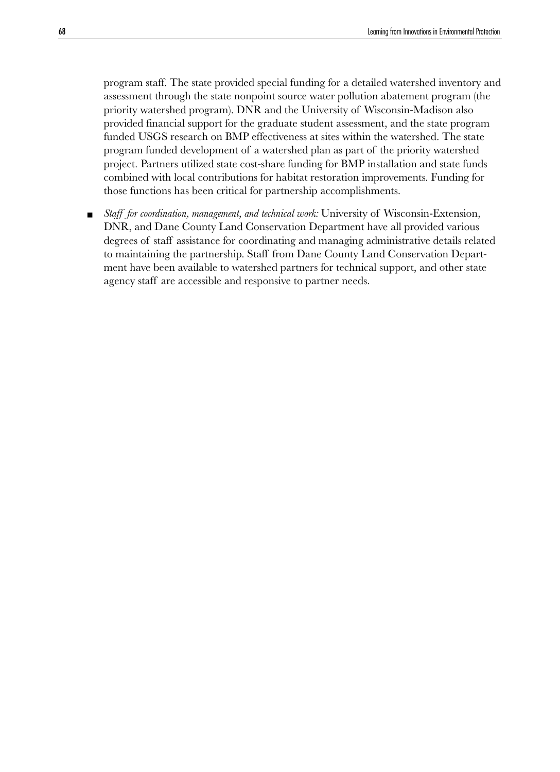program staff. The state provided special funding for a detailed watershed inventory and assessment through the state nonpoint source water pollution abatement program (the priority watershed program). DNR and the University of Wisconsin-Madison also provided financial support for the graduate student assessment, and the state program funded USGS research on BMP effectiveness at sites within the watershed. The state program funded development of a watershed plan as part of the priority watershed project. Partners utilized state cost-share funding for BMP installation and state funds combined with local contributions for habitat restoration improvements. Funding for those functions has been critical for partnership accomplishments.

■ *Staff for coordination, management, and technical work:* University of Wisconsin-Extension, DNR, and Dane County Land Conservation Department have all provided various degrees of staff assistance for coordinating and managing administrative details related to maintaining the partnership. Staff from Dane County Land Conservation Department have been available to watershed partners for technical support, and other state agency staff are accessible and responsive to partner needs.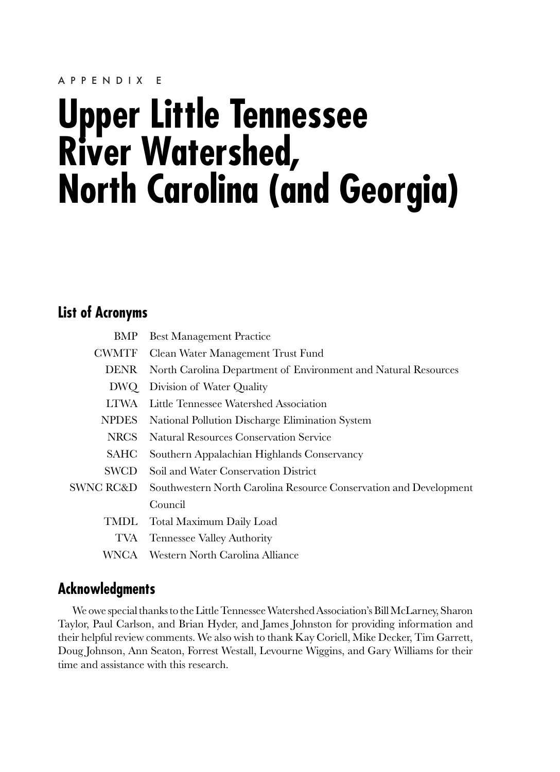#### APPENDIX E

# **Upper Little Tennessee River Watershed, North Carolina (and Georgia)**

# **List of Acronyms**

| BMP          | <b>Best Management Practice</b>                                   |
|--------------|-------------------------------------------------------------------|
| <b>CWMTF</b> | Clean Water Management Trust Fund                                 |
| <b>DENR</b>  | North Carolina Department of Environment and Natural Resources    |
| DWQ          | Division of Water Quality                                         |
| <b>LTWA</b>  | Little Tennessee Watershed Association                            |
| <b>NPDES</b> | National Pollution Discharge Elimination System                   |
| NRCS         | Natural Resources Conservation Service                            |
| SAHC         | Southern Appalachian Highlands Conservancy                        |
| SWCD         | Soil and Water Conservation District                              |
| SWNC RC&D    | Southwestern North Carolina Resource Conservation and Development |
|              | Council                                                           |
| TMDL-        | Total Maximum Daily Load                                          |
| TVA          | <b>Tennessee Valley Authority</b>                                 |
| WNCA-        | - Western North Carolina Alliance                                 |

## **Acknowledgments**

We owe special thanks to the Little Tennessee Watershed Association's Bill McLarney, Sharon Taylor, Paul Carlson, and Brian Hyder, and James Johnston for providing information and their helpful review comments. We also wish to thank Kay Coriell, Mike Decker, Tim Garrett, Doug Johnson, Ann Seaton, Forrest Westall, Levourne Wiggins, and Gary Williams for their time and assistance with this research.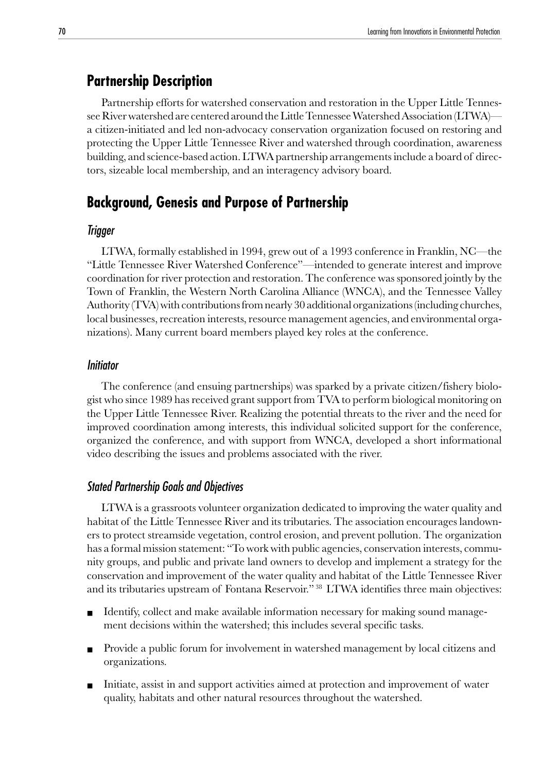## **Partnership Description**

Partnership efforts for watershed conservation and restoration in the Upper Little Tennessee River watershed are centered around the Little Tennessee Watershed Association (LTWA) a citizen-initiated and led non-advocacy conservation organization focused on restoring and protecting the Upper Little Tennessee River and watershed through coordination, awareness building, and science-based action. LTWA partnership arrangements include a board of directors, sizeable local membership, and an interagency advisory board.

## **Background, Genesis and Purpose of Partnership**

#### Trigger

LTWA, formally established in 1994, grew out of a 1993 conference in Franklin, NC—the "Little Tennessee River Watershed Conference"—intended to generate interest and improve coordination for river protection and restoration. The conference was sponsored jointly by the Town of Franklin, the Western North Carolina Alliance (WNCA), and the Tennessee Valley Authority (TVA) with contributions from nearly 30 additional organizations (including churches, local businesses, recreation interests, resource management agencies, and environmental organizations). Many current board members played key roles at the conference.

#### Initiator

The conference (and ensuing partnerships) was sparked by a private citizen/fishery biologist who since 1989 has received grant support from TVA to perform biological monitoring on the Upper Little Tennessee River. Realizing the potential threats to the river and the need for improved coordination among interests, this individual solicited support for the conference, organized the conference, and with support from WNCA, developed a short informational video describing the issues and problems associated with the river.

## Stated Partnership Goals and Objectives

LTWA is a grassroots volunteer organization dedicated to improving the water quality and habitat of the Little Tennessee River and its tributaries. The association encourages landowners to protect streamside vegetation, control erosion, and prevent pollution. The organization has a formal mission statement: "To work with public agencies, conservation interests, community groups, and public and private land owners to develop and implement a strategy for the conservation and improvement of the water quality and habitat of the Little Tennessee River and its tributaries upstream of Fontana Reservoir." 38 LTWA identifies three main objectives:

- Identify, collect and make available information necessary for making sound management decisions within the watershed; this includes several specific tasks.
- Provide a public forum for involvement in watershed management by local citizens and organizations.
- Initiate, assist in and support activities aimed at protection and improvement of water quality, habitats and other natural resources throughout the watershed.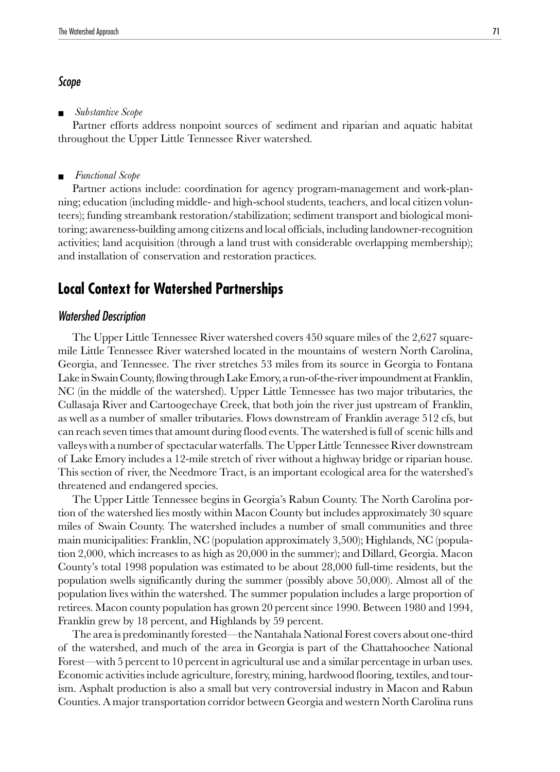## Scope

■ *Substantive Scope*

Partner efforts address nonpoint sources of sediment and riparian and aquatic habitat throughout the Upper Little Tennessee River watershed.

■ *Functional Scope*

Partner actions include: coordination for agency program-management and work-planning; education (including middle- and high-school students, teachers, and local citizen volunteers); funding streambank restoration/stabilization; sediment transport and biological monitoring; awareness-building among citizens and local officials, including landowner-recognition activities; land acquisition (through a land trust with considerable overlapping membership); and installation of conservation and restoration practices.

## **Local Context for Watershed Partnerships**

#### Watershed Description

The Upper Little Tennessee River watershed covers 450 square miles of the 2,627 squaremile Little Tennessee River watershed located in the mountains of western North Carolina, Georgia, and Tennessee. The river stretches 53 miles from its source in Georgia to Fontana Lake in Swain County, flowing through Lake Emory, a run-of-the-river impoundment at Franklin, NC (in the middle of the watershed). Upper Little Tennessee has two major tributaries, the Cullasaja River and Cartoogechaye Creek, that both join the river just upstream of Franklin, as well as a number of smaller tributaries. Flows downstream of Franklin average 512 cfs, but can reach seven times that amount during flood events. The watershed is full of scenic hills and valleys with a number of spectacular waterfalls. The Upper Little Tennessee River downstream of Lake Emory includes a 12-mile stretch of river without a highway bridge or riparian house. This section of river, the Needmore Tract, is an important ecological area for the watershed's threatened and endangered species.

The Upper Little Tennessee begins in Georgia's Rabun County. The North Carolina portion of the watershed lies mostly within Macon County but includes approximately 30 square miles of Swain County. The watershed includes a number of small communities and three main municipalities: Franklin, NC (population approximately 3,500); Highlands, NC (population 2,000, which increases to as high as 20,000 in the summer); and Dillard, Georgia. Macon County's total 1998 population was estimated to be about 28,000 full-time residents, but the population swells significantly during the summer (possibly above 50,000). Almost all of the population lives within the watershed. The summer population includes a large proportion of retirees. Macon county population has grown 20 percent since 1990. Between 1980 and 1994, Franklin grew by 18 percent, and Highlands by 59 percent.

The area is predominantly forested—the Nantahala National Forest covers about one-third of the watershed, and much of the area in Georgia is part of the Chattahoochee National Forest—with 5 percent to 10 percent in agricultural use and a similar percentage in urban uses. Economic activities include agriculture, forestry, mining, hardwood flooring, textiles, and tourism. Asphalt production is also a small but very controversial industry in Macon and Rabun Counties. A major transportation corridor between Georgia and western North Carolina runs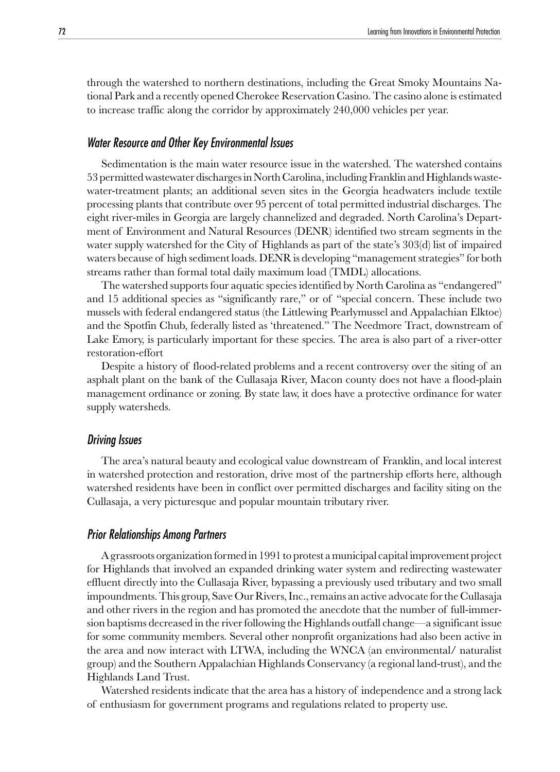through the watershed to northern destinations, including the Great Smoky Mountains National Park and a recently opened Cherokee Reservation Casino. The casino alone is estimated to increase traffic along the corridor by approximately 240,000 vehicles per year.

#### Water Resource and Other Key Environmental Issues

Sedimentation is the main water resource issue in the watershed. The watershed contains 53 permitted wastewater discharges in North Carolina, including Franklin and Highlands wastewater-treatment plants; an additional seven sites in the Georgia headwaters include textile processing plants that contribute over 95 percent of total permitted industrial discharges. The eight river-miles in Georgia are largely channelized and degraded. North Carolina's Department of Environment and Natural Resources (DENR) identified two stream segments in the water supply watershed for the City of Highlands as part of the state's 303(d) list of impaired waters because of high sediment loads. DENR is developing "management strategies" for both streams rather than formal total daily maximum load (TMDL) allocations.

The watershed supports four aquatic species identified by North Carolina as "endangered" and 15 additional species as "significantly rare," or of "special concern. These include two mussels with federal endangered status (the Littlewing Pearlymussel and Appalachian Elktoe) and the Spotfin Chub, federally listed as 'threatened." The Needmore Tract, downstream of Lake Emory, is particularly important for these species. The area is also part of a river-otter restoration-effort

Despite a history of flood-related problems and a recent controversy over the siting of an asphalt plant on the bank of the Cullasaja River, Macon county does not have a flood-plain management ordinance or zoning. By state law, it does have a protective ordinance for water supply watersheds.

#### Driving Issues

The area's natural beauty and ecological value downstream of Franklin, and local interest in watershed protection and restoration, drive most of the partnership efforts here, although watershed residents have been in conflict over permitted discharges and facility siting on the Cullasaja, a very picturesque and popular mountain tributary river.

### Prior Relationships Among Partners

A grassroots organization formed in 1991 to protest a municipal capital improvement project for Highlands that involved an expanded drinking water system and redirecting wastewater effluent directly into the Cullasaja River, bypassing a previously used tributary and two small impoundments. This group, Save Our Rivers, Inc., remains an active advocate for the Cullasaja and other rivers in the region and has promoted the anecdote that the number of full-immersion baptisms decreased in the river following the Highlands outfall change—a significant issue for some community members. Several other nonprofit organizations had also been active in the area and now interact with LTWA, including the WNCA (an environmental/ naturalist group) and the Southern Appalachian Highlands Conservancy (a regional land-trust), and the Highlands Land Trust.

Watershed residents indicate that the area has a history of independence and a strong lack of enthusiasm for government programs and regulations related to property use.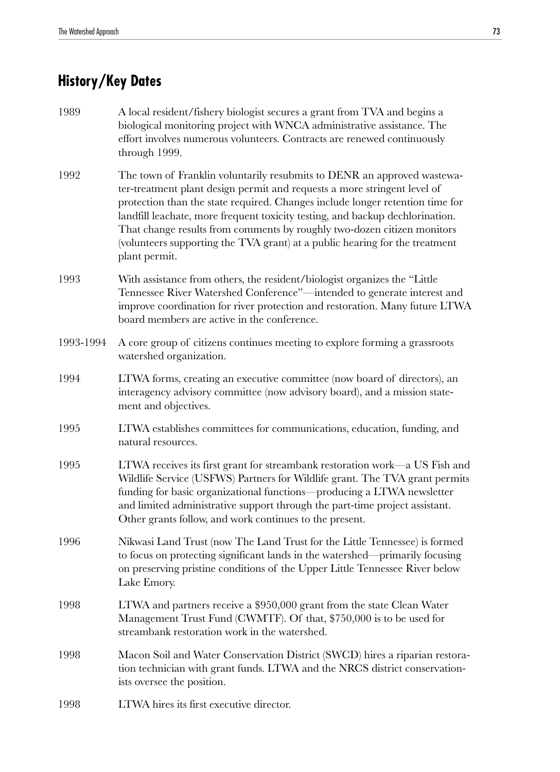## **History/Key Dates**

- 1989 A local resident/fishery biologist secures a grant from TVA and begins a biological monitoring project with WNCA administrative assistance. The effort involves numerous volunteers. Contracts are renewed continuously through 1999.
- 1992 The town of Franklin voluntarily resubmits to DENR an approved wastewater-treatment plant design permit and requests a more stringent level of protection than the state required. Changes include longer retention time for landfill leachate, more frequent toxicity testing, and backup dechlorination. That change results from comments by roughly two-dozen citizen monitors (volunteers supporting the TVA grant) at a public hearing for the treatment plant permit.
- 1993 With assistance from others, the resident/biologist organizes the "Little Tennessee River Watershed Conference"—intended to generate interest and improve coordination for river protection and restoration. Many future LTWA board members are active in the conference.
- 1993-1994 A core group of citizens continues meeting to explore forming a grassroots watershed organization.
- 1994 LTWA forms, creating an executive committee (now board of directors), an interagency advisory committee (now advisory board), and a mission statement and objectives.
- 1995 LTWA establishes committees for communications, education, funding, and natural resources.
- 1995 LTWA receives its first grant for streambank restoration work—a US Fish and Wildlife Service (USFWS) Partners for Wildlife grant. The TVA grant permits funding for basic organizational functions—producing a LTWA newsletter and limited administrative support through the part-time project assistant. Other grants follow, and work continues to the present.
- 1996 Nikwasi Land Trust (now The Land Trust for the Little Tennessee) is formed to focus on protecting significant lands in the watershed—primarily focusing on preserving pristine conditions of the Upper Little Tennessee River below Lake Emory.
- 1998 LTWA and partners receive a \$950,000 grant from the state Clean Water Management Trust Fund (CWMTF). Of that, \$750,000 is to be used for streambank restoration work in the watershed.
- 1998 Macon Soil and Water Conservation District (SWCD) hires a riparian restoration technician with grant funds. LTWA and the NRCS district conservationists oversee the position.
- 1998 LTWA hires its first executive director.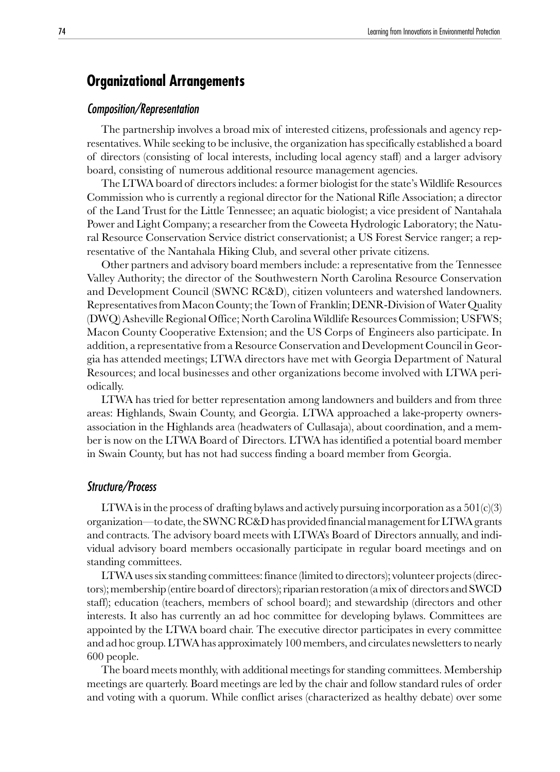## **Organizational Arrangements**

#### Composition/Representation

The partnership involves a broad mix of interested citizens, professionals and agency representatives. While seeking to be inclusive, the organization has specifically established a board of directors (consisting of local interests, including local agency staff) and a larger advisory board, consisting of numerous additional resource management agencies.

The LTWA board of directors includes: a former biologist for the state's Wildlife Resources Commission who is currently a regional director for the National Rifle Association; a director of the Land Trust for the Little Tennessee; an aquatic biologist; a vice president of Nantahala Power and Light Company; a researcher from the Coweeta Hydrologic Laboratory; the Natural Resource Conservation Service district conservationist; a US Forest Service ranger; a representative of the Nantahala Hiking Club, and several other private citizens.

Other partners and advisory board members include: a representative from the Tennessee Valley Authority; the director of the Southwestern North Carolina Resource Conservation and Development Council (SWNC RC&D), citizen volunteers and watershed landowners. Representatives from Macon County; the Town of Franklin; DENR-Division of Water Quality (DWQ) Asheville Regional Office; North Carolina Wildlife Resources Commission; USFWS; Macon County Cooperative Extension; and the US Corps of Engineers also participate. In addition, a representative from a Resource Conservation and Development Council in Georgia has attended meetings; LTWA directors have met with Georgia Department of Natural Resources; and local businesses and other organizations become involved with LTWA periodically.

LTWA has tried for better representation among landowners and builders and from three areas: Highlands, Swain County, and Georgia. LTWA approached a lake-property ownersassociation in the Highlands area (headwaters of Cullasaja), about coordination, and a member is now on the LTWA Board of Directors. LTWA has identified a potential board member in Swain County, but has not had success finding a board member from Georgia.

#### Structure/Process

LTWA is in the process of drafting bylaws and actively pursuing incorporation as a  $501(c)(3)$ organization—to date, the SWNC RC&D has provided financial management for LTWA grants and contracts. The advisory board meets with LTWA's Board of Directors annually, and individual advisory board members occasionally participate in regular board meetings and on standing committees.

LTWA uses six standing committees: finance (limited to directors); volunteer projects (directors); membership (entire board of directors); riparian restoration (a mix of directors and SWCD staff); education (teachers, members of school board); and stewardship (directors and other interests. It also has currently an ad hoc committee for developing bylaws. Committees are appointed by the LTWA board chair. The executive director participates in every committee and ad hoc group. LTWA has approximately 100 members, and circulates newsletters to nearly 600 people.

The board meets monthly, with additional meetings for standing committees. Membership meetings are quarterly. Board meetings are led by the chair and follow standard rules of order and voting with a quorum. While conflict arises (characterized as healthy debate) over some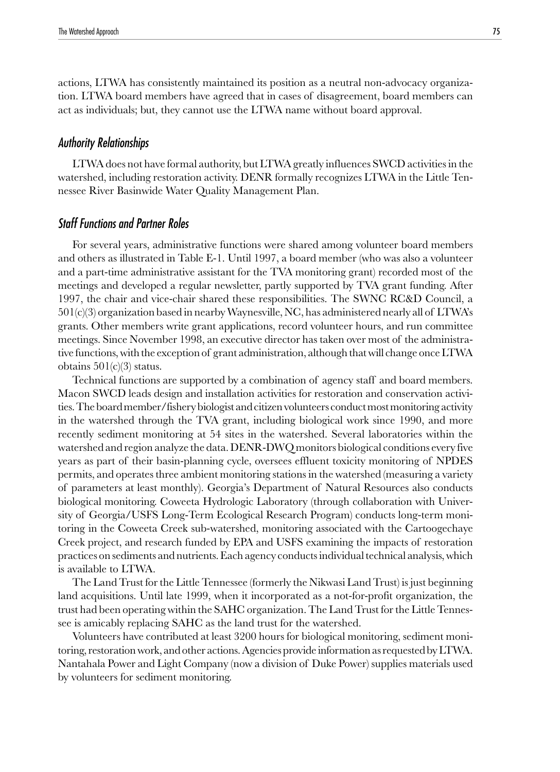actions, LTWA has consistently maintained its position as a neutral non-advocacy organization. LTWA board members have agreed that in cases of disagreement, board members can act as individuals; but, they cannot use the LTWA name without board approval.

#### Authority Relationships

LTWA does not have formal authority, but LTWA greatly influences SWCD activities in the watershed, including restoration activity. DENR formally recognizes LTWA in the Little Tennessee River Basinwide Water Quality Management Plan.

#### Staff Functions and Partner Roles

For several years, administrative functions were shared among volunteer board members and others as illustrated in Table E-1. Until 1997, a board member (who was also a volunteer and a part-time administrative assistant for the TVA monitoring grant) recorded most of the meetings and developed a regular newsletter, partly supported by TVA grant funding. After 1997, the chair and vice-chair shared these responsibilities. The SWNC RC&D Council, a  $501(c)(3)$  organization based in nearby Waynesville, NC, has administered nearly all of LTWA's grants. Other members write grant applications, record volunteer hours, and run committee meetings. Since November 1998, an executive director has taken over most of the administrative functions, with the exception of grant administration, although that will change once LTWA obtains  $501(c)(3)$  status.

Technical functions are supported by a combination of agency staff and board members. Macon SWCD leads design and installation activities for restoration and conservation activities. The board member/fishery biologist and citizen volunteers conduct most monitoring activity in the watershed through the TVA grant, including biological work since 1990, and more recently sediment monitoring at 54 sites in the watershed. Several laboratories within the watershed and region analyze the data. DENR-DWQ monitors biological conditions every five years as part of their basin-planning cycle, oversees effluent toxicity monitoring of NPDES permits, and operates three ambient monitoring stations in the watershed (measuring a variety of parameters at least monthly). Georgia's Department of Natural Resources also conducts biological monitoring. Coweeta Hydrologic Laboratory (through collaboration with University of Georgia/USFS Long-Term Ecological Research Program) conducts long-term monitoring in the Coweeta Creek sub-watershed, monitoring associated with the Cartoogechaye Creek project, and research funded by EPA and USFS examining the impacts of restoration practices on sediments and nutrients. Each agency conducts individual technical analysis, which is available to LTWA.

The Land Trust for the Little Tennessee (formerly the Nikwasi Land Trust) is just beginning land acquisitions. Until late 1999, when it incorporated as a not-for-profit organization, the trust had been operating within the SAHC organization. The Land Trust for the Little Tennessee is amicably replacing SAHC as the land trust for the watershed.

Volunteers have contributed at least 3200 hours for biological monitoring, sediment monitoring, restoration work, and other actions. Agencies provide information as requested by LTWA. Nantahala Power and Light Company (now a division of Duke Power) supplies materials used by volunteers for sediment monitoring.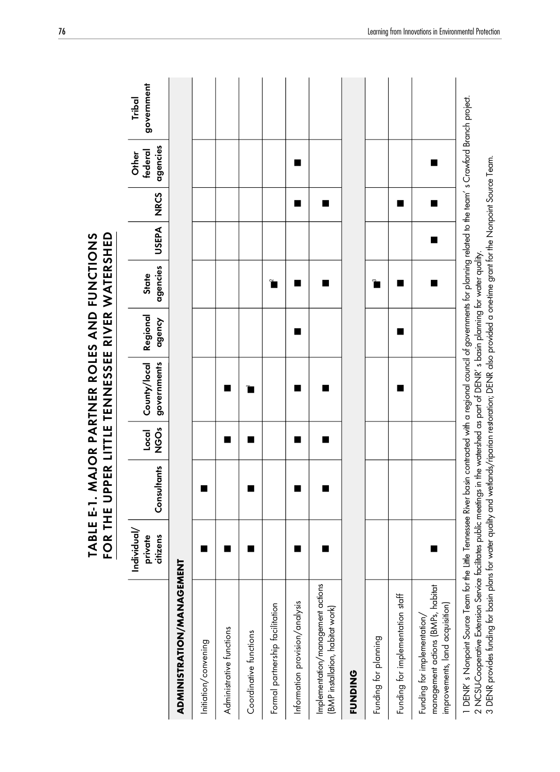|                                                                                                                                                                                                                                                                                   |                                  |             |                    | ABLE E-1. MAJOR PARTNER ROLES AND FUNCTIONS<br>FOR THE UPPER LITTLE TENNESSEE RIVER WATERSHED                                       |                    |                          |              |             |                              |                      |
|-----------------------------------------------------------------------------------------------------------------------------------------------------------------------------------------------------------------------------------------------------------------------------------|----------------------------------|-------------|--------------------|-------------------------------------------------------------------------------------------------------------------------------------|--------------------|--------------------------|--------------|-------------|------------------------------|----------------------|
|                                                                                                                                                                                                                                                                                   | Individual/<br>citizens<br>ivate | Consultants | <b>ÖS</b><br>Local | governments<br>County/local                                                                                                         | Regional<br>dgency | agencies<br><b>State</b> | <b>USEPA</b> | <b>NRCS</b> | agencies<br>federal<br>Other | government<br>Tribal |
| ADMINISTRATION/MANAGEMENT                                                                                                                                                                                                                                                         |                                  |             |                    |                                                                                                                                     |                    |                          |              |             |                              |                      |
| Initiation/convening                                                                                                                                                                                                                                                              |                                  | ■           |                    |                                                                                                                                     |                    |                          |              |             |                              |                      |
| Administrative functions                                                                                                                                                                                                                                                          |                                  |             |                    |                                                                                                                                     |                    |                          |              |             |                              |                      |
| Coordinative functions                                                                                                                                                                                                                                                            |                                  | ■           |                    | ī                                                                                                                                   |                    |                          |              |             |                              |                      |
| Formal partnership facilitation                                                                                                                                                                                                                                                   |                                  |             |                    |                                                                                                                                     |                    | $\tilde{\mathbf{r}}$     |              |             |                              |                      |
| Information provision/analysis                                                                                                                                                                                                                                                    |                                  |             |                    |                                                                                                                                     | ■                  | ■                        |              | ■           | ٠                            |                      |
| Implementation/management actions<br>(BMP installation, habitat work)                                                                                                                                                                                                             |                                  |             |                    |                                                                                                                                     |                    |                          |              | ■           |                              |                      |
| <b>FUNDING</b>                                                                                                                                                                                                                                                                    |                                  |             |                    |                                                                                                                                     |                    |                          |              |             |                              |                      |
| Funding for planning                                                                                                                                                                                                                                                              |                                  |             |                    |                                                                                                                                     |                    | $\tilde{\mathbf{r}}$     |              |             |                              |                      |
| Funding for implementation staff                                                                                                                                                                                                                                                  |                                  |             |                    |                                                                                                                                     | П                  | ■                        |              | ■           |                              |                      |
| management actions (BMPs, habitat<br>improvements, land acquisition)<br>Funding for implementation/                                                                                                                                                                               |                                  |             |                    |                                                                                                                                     |                    |                          |              | ■           |                              |                      |
| 2 NCSU-Cooperative Extension Service facilitates public meetings in the watershed as part of DENR' s basin planning for water quality.<br>3 DENR provides funding for basin plans for water quality and weltands/riparian restora<br>1 DENR's Nonpoint Source Team for the Little |                                  |             |                    | Tennessee River basin contracted with a regional council of governments for planning related to the team's Crawford Branch project. |                    |                          |              |             |                              |                      |

TABLE E-1. MAJOR PARTNER ROLES AND FUNCTIONS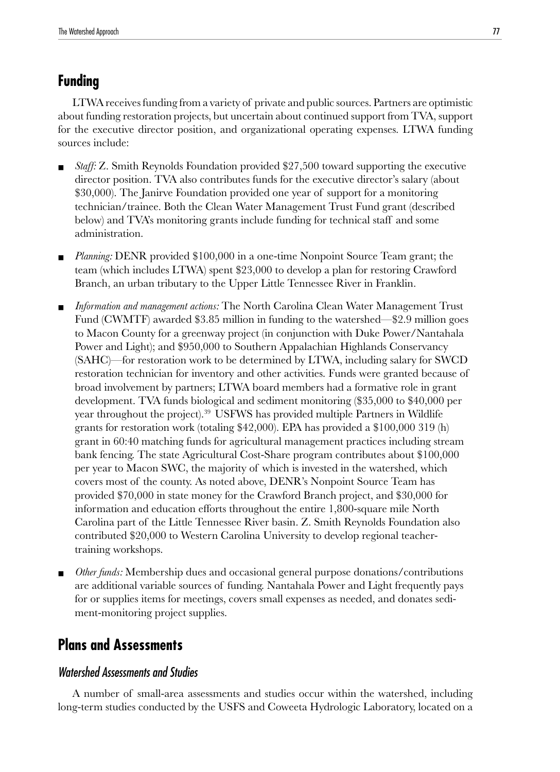## **Funding**

LTWA receives funding from a variety of private and public sources. Partners are optimistic about funding restoration projects, but uncertain about continued support from TVA, support for the executive director position, and organizational operating expenses. LTWA funding sources include:

- *Staff: Z.* Smith Reynolds Foundation provided \$27,500 toward supporting the executive director position. TVA also contributes funds for the executive director's salary (about \$30,000). The Janirve Foundation provided one year of support for a monitoring technician/trainee. Both the Clean Water Management Trust Fund grant (described below) and TVA's monitoring grants include funding for technical staff and some administration.
- *Planning:* DENR provided \$100,000 in a one-time Nonpoint Source Team grant; the team (which includes LTWA) spent \$23,000 to develop a plan for restoring Crawford Branch, an urban tributary to the Upper Little Tennessee River in Franklin.
- Information and management actions: The North Carolina Clean Water Management Trust Fund (CWMTF) awarded \$3.85 million in funding to the watershed—\$2.9 million goes to Macon County for a greenway project (in conjunction with Duke Power/Nantahala Power and Light); and \$950,000 to Southern Appalachian Highlands Conservancy (SAHC)—for restoration work to be determined by LTWA, including salary for SWCD restoration technician for inventory and other activities. Funds were granted because of broad involvement by partners; LTWA board members had a formative role in grant development. TVA funds biological and sediment monitoring (\$35,000 to \$40,000 per year throughout the project).<sup>39</sup> USFWS has provided multiple Partners in Wildlife grants for restoration work (totaling \$42,000). EPA has provided a \$100,000 319 (h) grant in 60:40 matching funds for agricultural management practices including stream bank fencing. The state Agricultural Cost-Share program contributes about \$100,000 per year to Macon SWC, the majority of which is invested in the watershed, which covers most of the county. As noted above, DENR's Nonpoint Source Team has provided \$70,000 in state money for the Crawford Branch project, and \$30,000 for information and education efforts throughout the entire 1,800-square mile North Carolina part of the Little Tennessee River basin. Z. Smith Reynolds Foundation also contributed \$20,000 to Western Carolina University to develop regional teachertraining workshops.
- *Other funds:* Membership dues and occasional general purpose donations/contributions are additional variable sources of funding. Nantahala Power and Light frequently pays for or supplies items for meetings, covers small expenses as needed, and donates sediment-monitoring project supplies.

## **Plans and Assessments**

#### Watershed Assessments and Studies

A number of small-area assessments and studies occur within the watershed, including long-term studies conducted by the USFS and Coweeta Hydrologic Laboratory, located on a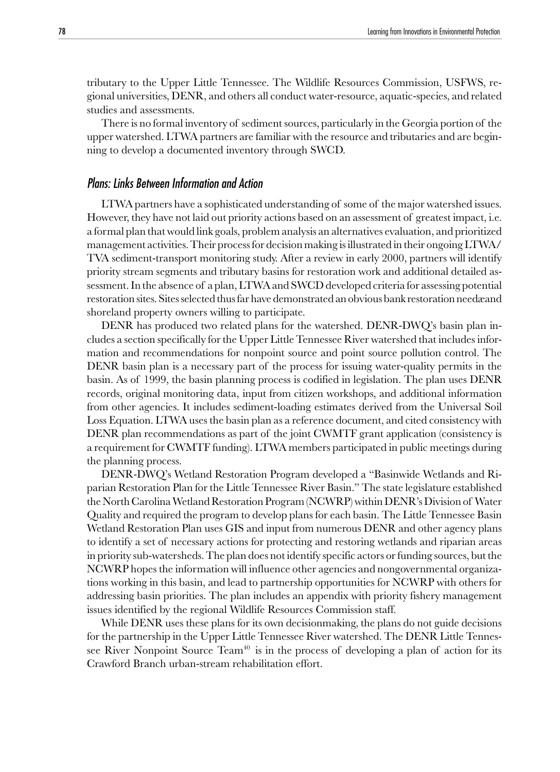tributary to the Upper Little Tennessee. The Wildlife Resources Commission, USFWS, regional universities, DENR, and others all conduct water-resource, aquatic-species, and related studies and assessments.

There is no formal inventory of sediment sources, particularly in the Georgia portion of the upper watershed. LTWA partners are familiar with the resource and tributaries and are beginning to develop a documented inventory through SWCD.

#### Plans: Links Between Information and Action

LTWA partners have a sophisticated understanding of some of the major watershed issues. However, they have not laid out priority actions based on an assessment of greatest impact, i.e. a formal plan that would link goals, problem analysis an alternatives evaluation, and prioritized management activities. Their process for decision making is illustrated in their ongoing LTWA/ TVA sediment-transport monitoring study. After a review in early 2000, partners will identify priority stream segments and tributary basins for restoration work and additional detailed assessment. In the absence of a plan, LTWA and SWCD developed criteria for assessing potential restoration sites. Sites selected thus far have demonstrated an obvious bank restoration needæand shoreland property owners willing to participate.

DENR has produced two related plans for the watershed. DENR-DWQ's basin plan includes a section specifically for the Upper Little Tennessee River watershed that includes information and recommendations for nonpoint source and point source pollution control. The DENR basin plan is a necessary part of the process for issuing water-quality permits in the basin. As of 1999, the basin planning process is codified in legislation. The plan uses DENR records, original monitoring data, input from citizen workshops, and additional information from other agencies. It includes sediment-loading estimates derived from the Universal Soil Loss Equation. LTWA uses the basin plan as a reference document, and cited consistency with DENR plan recommendations as part of the joint CWMTF grant application (consistency is a requirement for CWMTF funding). LTWA members participated in public meetings during the planning process.

DENR-DWQ's Wetland Restoration Program developed a "Basinwide Wetlands and Riparian Restoration Plan for the Little Tennessee River Basin." The state legislature established the North Carolina Wetland Restoration Program (NCWRP) within DENR's Division of Water Quality and required the program to develop plans for each basin. The Little Tennessee Basin Wetland Restoration Plan uses GIS and input from numerous DENR and other agency plans to identify a set of necessary actions for protecting and restoring wetlands and riparian areas in priority sub-watersheds. The plan does not identify specific actors or funding sources, but the NCWRP hopes the information will influence other agencies and nongovernmental organizations working in this basin, and lead to partnership opportunities for NCWRP with others for addressing basin priorities. The plan includes an appendix with priority fishery management issues identified by the regional Wildlife Resources Commission staff.

While DENR uses these plans for its own decisionmaking, the plans do not guide decisions for the partnership in the Upper Little Tennessee River watershed. The DENR Little Tennessee River Nonpoint Source Team<sup>40</sup> is in the process of developing a plan of action for its Crawford Branch urban-stream rehabilitation effort.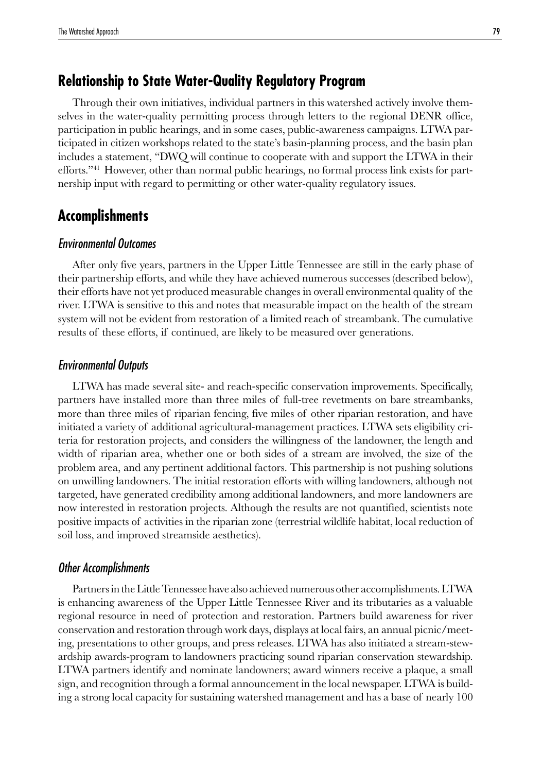## **Relationship to State Water-Quality Regulatory Program**

Through their own initiatives, individual partners in this watershed actively involve themselves in the water-quality permitting process through letters to the regional DENR office, participation in public hearings, and in some cases, public-awareness campaigns. LTWA participated in citizen workshops related to the state's basin-planning process, and the basin plan includes a statement, "DWQ will continue to cooperate with and support the LTWA in their efforts."41 However, other than normal public hearings, no formal process link exists for partnership input with regard to permitting or other water-quality regulatory issues.

## **Accomplishments**

#### Environmental Outcomes

After only five years, partners in the Upper Little Tennessee are still in the early phase of their partnership efforts, and while they have achieved numerous successes (described below), their efforts have not yet produced measurable changes in overall environmental quality of the river. LTWA is sensitive to this and notes that measurable impact on the health of the stream system will not be evident from restoration of a limited reach of streambank. The cumulative results of these efforts, if continued, are likely to be measured over generations.

#### Environmental Outputs

LTWA has made several site- and reach-specific conservation improvements. Specifically, partners have installed more than three miles of full-tree revetments on bare streambanks, more than three miles of riparian fencing, five miles of other riparian restoration, and have initiated a variety of additional agricultural-management practices. LTWA sets eligibility criteria for restoration projects, and considers the willingness of the landowner, the length and width of riparian area, whether one or both sides of a stream are involved, the size of the problem area, and any pertinent additional factors. This partnership is not pushing solutions on unwilling landowners. The initial restoration efforts with willing landowners, although not targeted, have generated credibility among additional landowners, and more landowners are now interested in restoration projects. Although the results are not quantified, scientists note positive impacts of activities in the riparian zone (terrestrial wildlife habitat, local reduction of soil loss, and improved streamside aesthetics).

#### Other Accomplishments

Partners in the Little Tennessee have also achieved numerous other accomplishments. LTWA is enhancing awareness of the Upper Little Tennessee River and its tributaries as a valuable regional resource in need of protection and restoration. Partners build awareness for river conservation and restoration through work days, displays at local fairs, an annual picnic/meeting, presentations to other groups, and press releases. LTWA has also initiated a stream-stewardship awards-program to landowners practicing sound riparian conservation stewardship. LTWA partners identify and nominate landowners; award winners receive a plaque, a small sign, and recognition through a formal announcement in the local newspaper. LTWA is building a strong local capacity for sustaining watershed management and has a base of nearly 100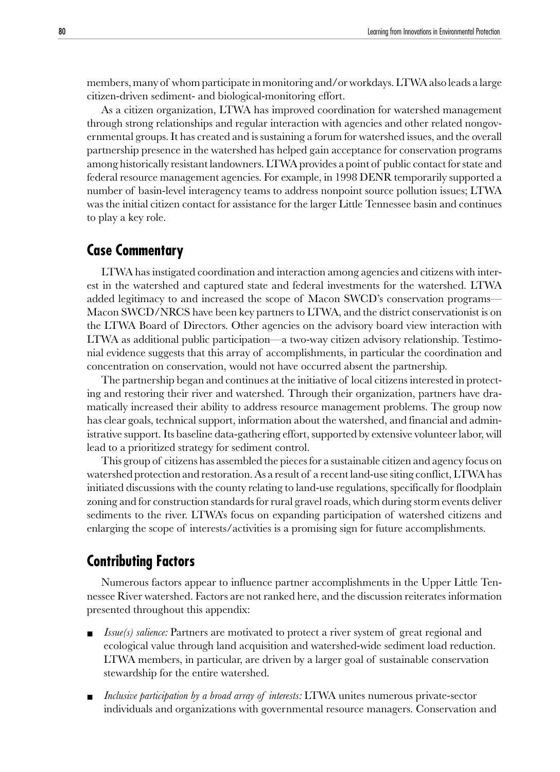members, many of whom participate in monitoring and/or workdays. LTWA also leads a large citizen-driven sediment- and biological-monitoring effort.

As a citizen organization, LTWA has improved coordination for watershed management through strong relationships and regular interaction with agencies and other related nongovernmental groups. It has created and is sustaining a forum for watershed issues, and the overall partnership presence in the watershed has helped gain acceptance for conservation programs among historically resistant landowners. LTWA provides a point of public contact for state and federal resource management agencies. For example, in 1998 DENR temporarily supported a number of basin-level interagency teams to address nonpoint source pollution issues; LTWA was the initial citizen contact for assistance for the larger Little Tennessee basin and continues to play a key role.

## **Case Commentary**

LTWA has instigated coordination and interaction among agencies and citizens with interest in the watershed and captured state and federal investments for the watershed. LTWA added legitimacy to and increased the scope of Macon SWCD's conservation programs— Macon SWCD/NRCS have been key partners to LTWA, and the district conservationist is on the LTWA Board of Directors. Other agencies on the advisory board view interaction with LTWA as additional public participation—a two-way citizen advisory relationship. Testimonial evidence suggests that this array of accomplishments, in particular the coordination and concentration on conservation, would not have occurred absent the partnership.

The partnership began and continues at the initiative of local citizens interested in protecting and restoring their river and watershed. Through their organization, partners have dramatically increased their ability to address resource management problems. The group now has clear goals, technical support, information about the watershed, and financial and administrative support. Its baseline data-gathering effort, supported by extensive volunteer labor, will lead to a prioritized strategy for sediment control.

This group of citizens has assembled the pieces for a sustainable citizen and agency focus on watershed protection and restoration. As a result of a recent land-use siting conflict, LTWA has initiated discussions with the county relating to land-use regulations, specifically for floodplain zoning and for construction standards for rural gravel roads, which during storm events deliver sediments to the river. LTWA's focus on expanding participation of watershed citizens and enlarging the scope of interests/activities is a promising sign for future accomplishments.

## **Contributing Factors**

Numerous factors appear to influence partner accomplishments in the Upper Little Tennessee River watershed. Factors are not ranked here, and the discussion reiterates information presented throughout this appendix:

- *Issue(s) salience:* Partners are motivated to protect a river system of great regional and ecological value through land acquisition and watershed-wide sediment load reduction. LTWA members, in particular, are driven by a larger goal of sustainable conservation stewardship for the entire watershed.
- Inclusive participation by a broad array of interests: LTWA unites numerous private-sector individuals and organizations with governmental resource managers. Conservation and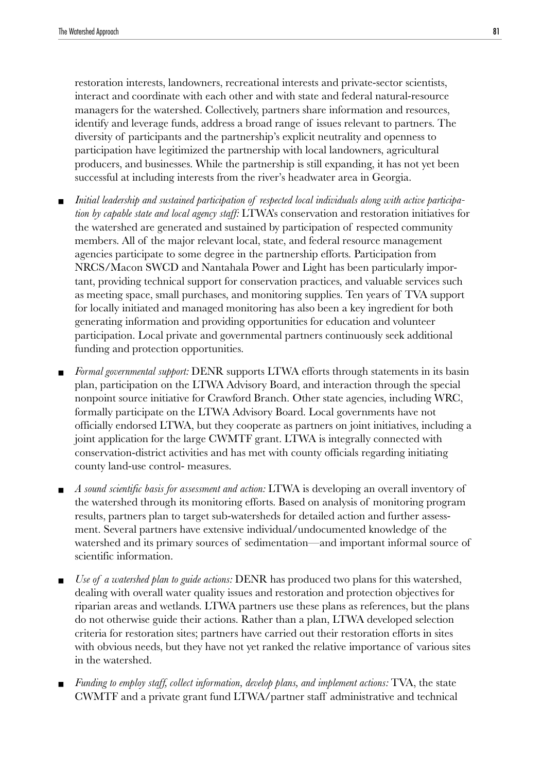restoration interests, landowners, recreational interests and private-sector scientists, interact and coordinate with each other and with state and federal natural-resource managers for the watershed. Collectively, partners share information and resources, identify and leverage funds, address a broad range of issues relevant to partners. The diversity of participants and the partnership's explicit neutrality and openness to participation have legitimized the partnership with local landowners, agricultural producers, and businesses. While the partnership is still expanding, it has not yet been successful at including interests from the river's headwater area in Georgia.

- Initial leadership and sustained participation of respected local individuals along with active participa*tion by capable state and local agency staff:* LTWA's conservation and restoration initiatives for the watershed are generated and sustained by participation of respected community members. All of the major relevant local, state, and federal resource management agencies participate to some degree in the partnership efforts. Participation from NRCS/Macon SWCD and Nantahala Power and Light has been particularly important, providing technical support for conservation practices, and valuable services such as meeting space, small purchases, and monitoring supplies. Ten years of TVA support for locally initiated and managed monitoring has also been a key ingredient for both generating information and providing opportunities for education and volunteer participation. Local private and governmental partners continuously seek additional funding and protection opportunities.
- *Formal governmental support:* DENR supports LTWA efforts through statements in its basin plan, participation on the LTWA Advisory Board, and interaction through the special nonpoint source initiative for Crawford Branch. Other state agencies, including WRC, formally participate on the LTWA Advisory Board. Local governments have not officially endorsed LTWA, but they cooperate as partners on joint initiatives, including a joint application for the large CWMTF grant. LTWA is integrally connected with conservation-district activities and has met with county officials regarding initiating county land-use control- measures.
- *A sound scientific basis for assessment and action:* LTWA is developing an overall inventory of the watershed through its monitoring efforts. Based on analysis of monitoring program results, partners plan to target sub-watersheds for detailed action and further assessment. Several partners have extensive individual/undocumented knowledge of the watershed and its primary sources of sedimentation—and important informal source of scientific information.
- *Use of a watershed plan to guide actions:* DENR has produced two plans for this watershed, dealing with overall water quality issues and restoration and protection objectives for riparian areas and wetlands. LTWA partners use these plans as references, but the plans do not otherwise guide their actions. Rather than a plan, LTWA developed selection criteria for restoration sites; partners have carried out their restoration efforts in sites with obvious needs, but they have not yet ranked the relative importance of various sites in the watershed.
- *Funding to employ staff, collect information, develop plans, and implement actions:* TVA, the state CWMTF and a private grant fund LTWA/partner staff administrative and technical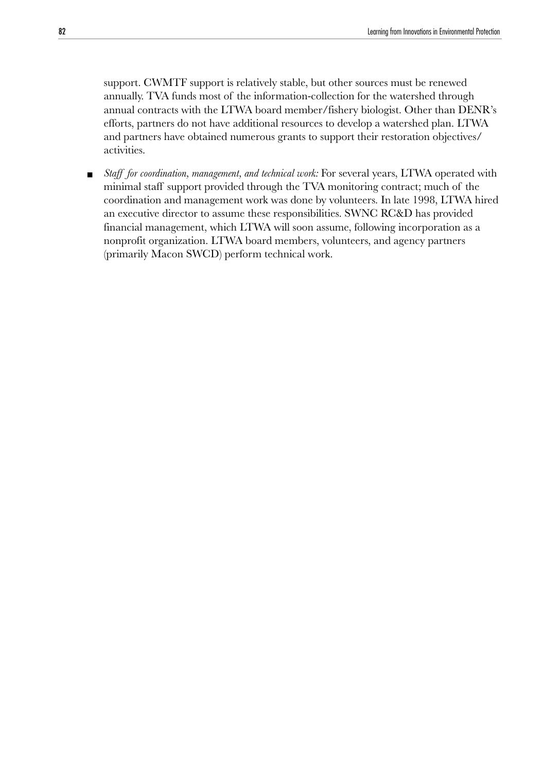support. CWMTF support is relatively stable, but other sources must be renewed annually. TVA funds most of the information-collection for the watershed through annual contracts with the LTWA board member/fishery biologist. Other than DENR's efforts, partners do not have additional resources to develop a watershed plan. LTWA and partners have obtained numerous grants to support their restoration objectives/ activities.

■ *Staff for coordination, management, and technical work:* For several years, LTWA operated with minimal staff support provided through the TVA monitoring contract; much of the coordination and management work was done by volunteers. In late 1998, LTWA hired an executive director to assume these responsibilities. SWNC RC&D has provided financial management, which LTWA will soon assume, following incorporation as a nonprofit organization. LTWA board members, volunteers, and agency partners (primarily Macon SWCD) perform technical work.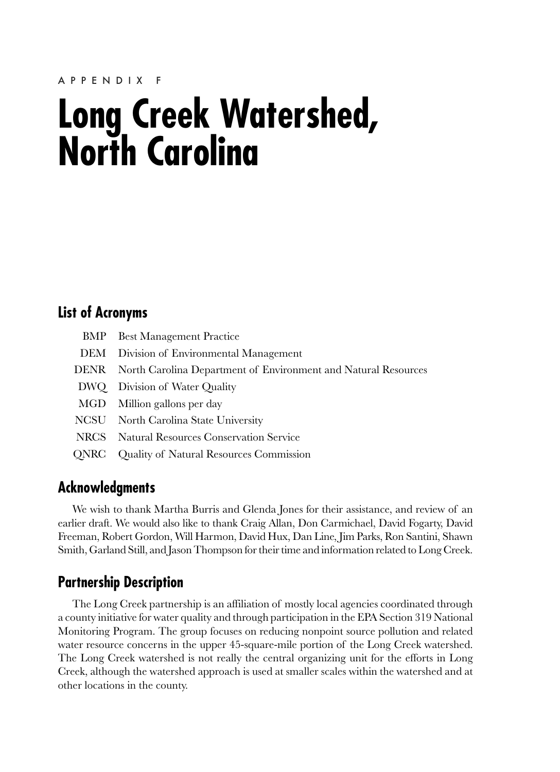## **Long Creek Watershed, North Carolina**

## **List of Acronyms**

| <b>BMP</b> Best Management Practice                                 |
|---------------------------------------------------------------------|
| DEM Division of Environmental Management                            |
| DENR North Carolina Department of Environment and Natural Resources |
| DWQ Division of Water Quality                                       |
| MGD Million gallons per day                                         |
| NCSU North Carolina State University                                |
| NRCS Natural Resources Conservation Service                         |
| <b>QNRC</b> Quality of Natural Resources Commission                 |

## **Acknowledgments**

We wish to thank Martha Burris and Glenda Jones for their assistance, and review of an earlier draft. We would also like to thank Craig Allan, Don Carmichael, David Fogarty, David Freeman, Robert Gordon, Will Harmon, David Hux, Dan Line, Jim Parks, Ron Santini, Shawn Smith, Garland Still, and Jason Thompson for their time and information related to Long Creek.

## **Partnership Description**

The Long Creek partnership is an affiliation of mostly local agencies coordinated through a county initiative for water quality and through participation in the EPA Section 319 National Monitoring Program. The group focuses on reducing nonpoint source pollution and related water resource concerns in the upper 45-square-mile portion of the Long Creek watershed. The Long Creek watershed is not really the central organizing unit for the efforts in Long Creek, although the watershed approach is used at smaller scales within the watershed and at other locations in the county.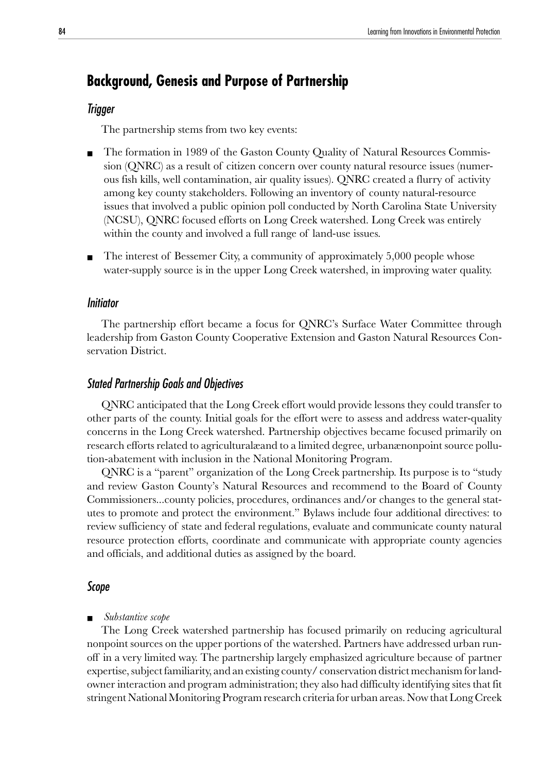## **Background, Genesis and Purpose of Partnership**

#### Trigger

The partnership stems from two key events:

- The formation in 1989 of the Gaston County Quality of Natural Resources Commission (QNRC) as a result of citizen concern over county natural resource issues (numerous fish kills, well contamination, air quality issues). QNRC created a flurry of activity among key county stakeholders. Following an inventory of county natural-resource issues that involved a public opinion poll conducted by North Carolina State University (NCSU), QNRC focused efforts on Long Creek watershed. Long Creek was entirely within the county and involved a full range of land-use issues.
- The interest of Bessemer City, a community of approximately 5,000 people whose water-supply source is in the upper Long Creek watershed, in improving water quality.

#### Initiator

The partnership effort became a focus for QNRC's Surface Water Committee through leadership from Gaston County Cooperative Extension and Gaston Natural Resources Conservation District.

#### Stated Partnership Goals and Objectives

QNRC anticipated that the Long Creek effort would provide lessons they could transfer to other parts of the county. Initial goals for the effort were to assess and address water-quality concerns in the Long Creek watershed. Partnership objectives became focused primarily on research efforts related to agriculturalæand to a limited degree, urbanænonpoint source pollution-abatement with inclusion in the National Monitoring Program.

QNRC is a "parent" organization of the Long Creek partnership. Its purpose is to "study and review Gaston County's Natural Resources and recommend to the Board of County Commissioners...county policies, procedures, ordinances and/or changes to the general statutes to promote and protect the environment." Bylaws include four additional directives: to review sufficiency of state and federal regulations, evaluate and communicate county natural resource protection efforts, coordinate and communicate with appropriate county agencies and officials, and additional duties as assigned by the board.

#### Scope

#### ■ *Substantive scope*

The Long Creek watershed partnership has focused primarily on reducing agricultural nonpoint sources on the upper portions of the watershed. Partners have addressed urban runoff in a very limited way. The partnership largely emphasized agriculture because of partner expertise, subject familiarity, and an existing county/ conservation district mechanism for landowner interaction and program administration; they also had difficulty identifying sites that fit stringent National Monitoring Program research criteria for urban areas. Now that Long Creek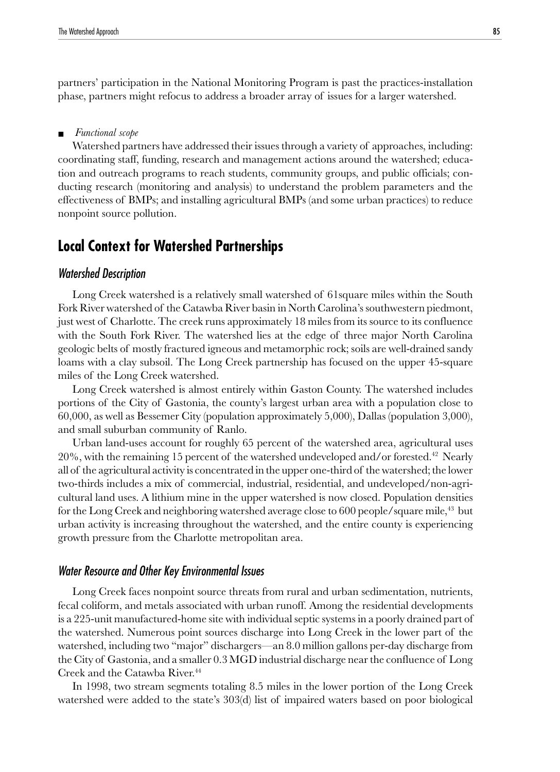partners' participation in the National Monitoring Program is past the practices-installation phase, partners might refocus to address a broader array of issues for a larger watershed.

#### ■ *Functional scope*

Watershed partners have addressed their issues through a variety of approaches, including: coordinating staff, funding, research and management actions around the watershed; education and outreach programs to reach students, community groups, and public officials; conducting research (monitoring and analysis) to understand the problem parameters and the effectiveness of BMPs; and installing agricultural BMPs (and some urban practices) to reduce nonpoint source pollution.

## **Local Context for Watershed Partnerships**

#### Watershed Description

Long Creek watershed is a relatively small watershed of 61square miles within the South Fork River watershed of the Catawba River basin in North Carolina's southwestern piedmont, just west of Charlotte. The creek runs approximately 18 miles from its source to its confluence with the South Fork River. The watershed lies at the edge of three major North Carolina geologic belts of mostly fractured igneous and metamorphic rock; soils are well-drained sandy loams with a clay subsoil. The Long Creek partnership has focused on the upper 45-square miles of the Long Creek watershed.

Long Creek watershed is almost entirely within Gaston County. The watershed includes portions of the City of Gastonia, the county's largest urban area with a population close to 60,000, as well as Bessemer City (population approximately 5,000), Dallas (population 3,000), and small suburban community of Ranlo.

Urban land-uses account for roughly 65 percent of the watershed area, agricultural uses  $20\%$ , with the remaining 15 percent of the watershed undeveloped and/or forested.<sup>42</sup> Nearly all of the agricultural activity is concentrated in the upper one-third of the watershed; the lower two-thirds includes a mix of commercial, industrial, residential, and undeveloped/non-agricultural land uses. A lithium mine in the upper watershed is now closed. Population densities for the Long Creek and neighboring watershed average close to  $600$  people/square mile,<sup>43</sup> but urban activity is increasing throughout the watershed, and the entire county is experiencing growth pressure from the Charlotte metropolitan area.

#### Water Resource and Other Key Environmental Issues

Long Creek faces nonpoint source threats from rural and urban sedimentation, nutrients, fecal coliform, and metals associated with urban runoff. Among the residential developments is a 225-unit manufactured-home site with individual septic systems in a poorly drained part of the watershed. Numerous point sources discharge into Long Creek in the lower part of the watershed, including two "major" dischargers—an 8.0 million gallons per-day discharge from the City of Gastonia, and a smaller 0.3 MGD industrial discharge near the confluence of Long Creek and the Catawba River.44

In 1998, two stream segments totaling 8.5 miles in the lower portion of the Long Creek watershed were added to the state's 303(d) list of impaired waters based on poor biological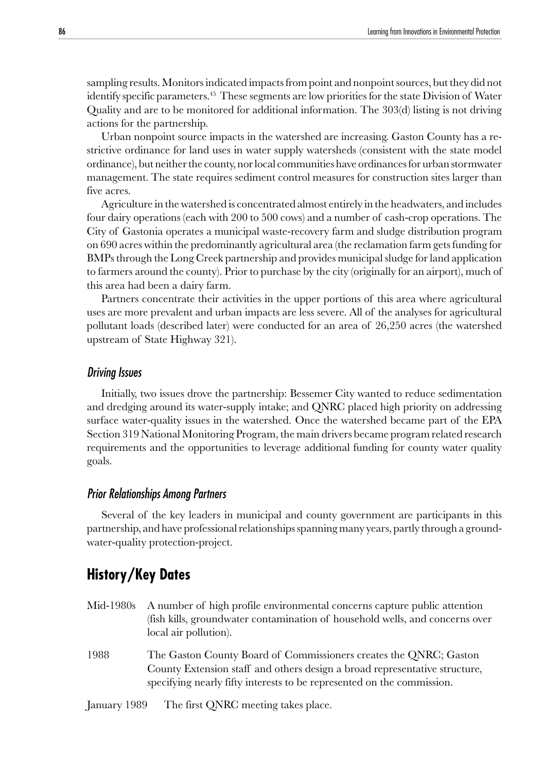sampling results. Monitors indicated impacts from point and nonpoint sources, but they did not identify specific parameters.45 These segments are low priorities for the state Division of Water Quality and are to be monitored for additional information. The 303(d) listing is not driving actions for the partnership.

Urban nonpoint source impacts in the watershed are increasing. Gaston County has a restrictive ordinance for land uses in water supply watersheds (consistent with the state model ordinance), but neither the county, nor local communities have ordinances for urban stormwater management. The state requires sediment control measures for construction sites larger than five acres.

Agriculture in the watershed is concentrated almost entirely in the headwaters, and includes four dairy operations (each with 200 to 500 cows) and a number of cash-crop operations. The City of Gastonia operates a municipal waste-recovery farm and sludge distribution program on 690 acres within the predominantly agricultural area (the reclamation farm gets funding for BMPs through the Long Creek partnership and provides municipal sludge for land application to farmers around the county). Prior to purchase by the city (originally for an airport), much of this area had been a dairy farm.

Partners concentrate their activities in the upper portions of this area where agricultural uses are more prevalent and urban impacts are less severe. All of the analyses for agricultural pollutant loads (described later) were conducted for an area of 26,250 acres (the watershed upstream of State Highway 321).

#### Driving Issues

Initially, two issues drove the partnership: Bessemer City wanted to reduce sedimentation and dredging around its water-supply intake; and QNRC placed high priority on addressing surface water-quality issues in the watershed. Once the watershed became part of the EPA Section 319 National Monitoring Program, the main drivers became program related research requirements and the opportunities to leverage additional funding for county water quality goals.

#### Prior Relationships Among Partners

Several of the key leaders in municipal and county government are participants in this partnership, and have professional relationships spanning many years, partly through a groundwater-quality protection-project.

## **History/Key Dates**

- Mid-1980s A number of high profile environmental concerns capture public attention (fish kills, groundwater contamination of household wells, and concerns over local air pollution).
- 1988 The Gaston County Board of Commissioners creates the QNRC; Gaston County Extension staff and others design a broad representative structure, specifying nearly fifty interests to be represented on the commission.

January 1989 The first QNRC meeting takes place.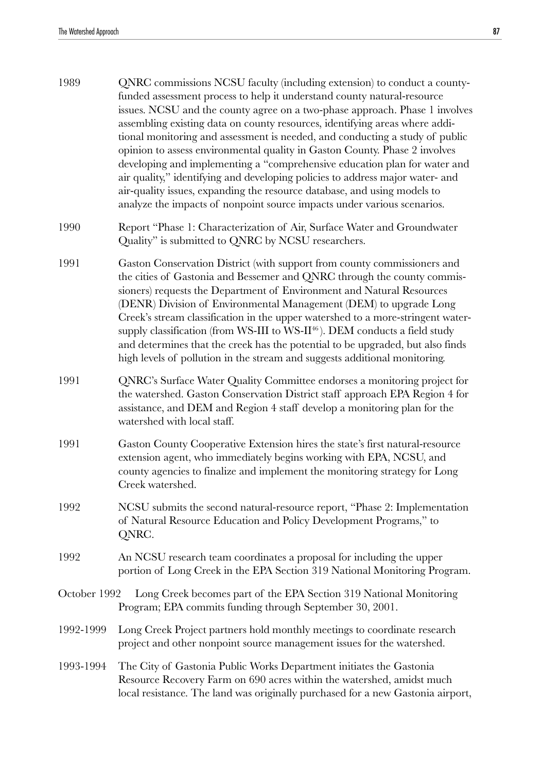| 1989         | QNRC commissions NCSU faculty (including extension) to conduct a county-<br>funded assessment process to help it understand county natural-resource<br>issues. NCSU and the county agree on a two-phase approach. Phase 1 involves<br>assembling existing data on county resources, identifying areas where addi-<br>tional monitoring and assessment is needed, and conducting a study of public<br>opinion to assess environmental quality in Gaston County. Phase 2 involves<br>developing and implementing a "comprehensive education plan for water and<br>air quality," identifying and developing policies to address major water- and<br>air-quality issues, expanding the resource database, and using models to<br>analyze the impacts of nonpoint source impacts under various scenarios. |
|--------------|------------------------------------------------------------------------------------------------------------------------------------------------------------------------------------------------------------------------------------------------------------------------------------------------------------------------------------------------------------------------------------------------------------------------------------------------------------------------------------------------------------------------------------------------------------------------------------------------------------------------------------------------------------------------------------------------------------------------------------------------------------------------------------------------------|
| 1990         | Report "Phase 1: Characterization of Air, Surface Water and Groundwater<br>Quality" is submitted to QNRC by NCSU researchers.                                                                                                                                                                                                                                                                                                                                                                                                                                                                                                                                                                                                                                                                        |
| 1991         | Gaston Conservation District (with support from county commissioners and<br>the cities of Gastonia and Bessemer and QNRC through the county commis-<br>sioners) requests the Department of Environment and Natural Resources<br>(DENR) Division of Environmental Management (DEM) to upgrade Long<br>Creek's stream classification in the upper watershed to a more-stringent water-<br>supply classification (from WS-III to WS-II <sup>46</sup> ). DEM conducts a field study<br>and determines that the creek has the potential to be upgraded, but also finds<br>high levels of pollution in the stream and suggests additional monitoring.                                                                                                                                                      |
| 1991         | QNRC's Surface Water Quality Committee endorses a monitoring project for<br>the watershed. Gaston Conservation District staff approach EPA Region 4 for<br>assistance, and DEM and Region 4 staff develop a monitoring plan for the<br>watershed with local staff.                                                                                                                                                                                                                                                                                                                                                                                                                                                                                                                                   |
| 1991         | Gaston County Cooperative Extension hires the state's first natural-resource<br>extension agent, who immediately begins working with EPA, NCSU, and<br>county agencies to finalize and implement the monitoring strategy for Long<br>Creek watershed.                                                                                                                                                                                                                                                                                                                                                                                                                                                                                                                                                |
| 1992         | NCSU submits the second natural-resource report, "Phase 2: Implementation<br>of Natural Resource Education and Policy Development Programs," to<br>QNRC.                                                                                                                                                                                                                                                                                                                                                                                                                                                                                                                                                                                                                                             |
| 1992         | An NCSU research team coordinates a proposal for including the upper<br>portion of Long Creek in the EPA Section 319 National Monitoring Program.                                                                                                                                                                                                                                                                                                                                                                                                                                                                                                                                                                                                                                                    |
| October 1992 | Long Creek becomes part of the EPA Section 319 National Monitoring<br>Program; EPA commits funding through September 30, 2001.                                                                                                                                                                                                                                                                                                                                                                                                                                                                                                                                                                                                                                                                       |
| 1992-1999    | Long Creek Project partners hold monthly meetings to coordinate research<br>project and other nonpoint source management issues for the watershed.                                                                                                                                                                                                                                                                                                                                                                                                                                                                                                                                                                                                                                                   |
| 1993-1994    | The City of Gastonia Public Works Department initiates the Gastonia<br>Resource Recovery Farm on 690 acres within the watershed, amidst much<br>local resistance. The land was originally purchased for a new Gastonia airport,                                                                                                                                                                                                                                                                                                                                                                                                                                                                                                                                                                      |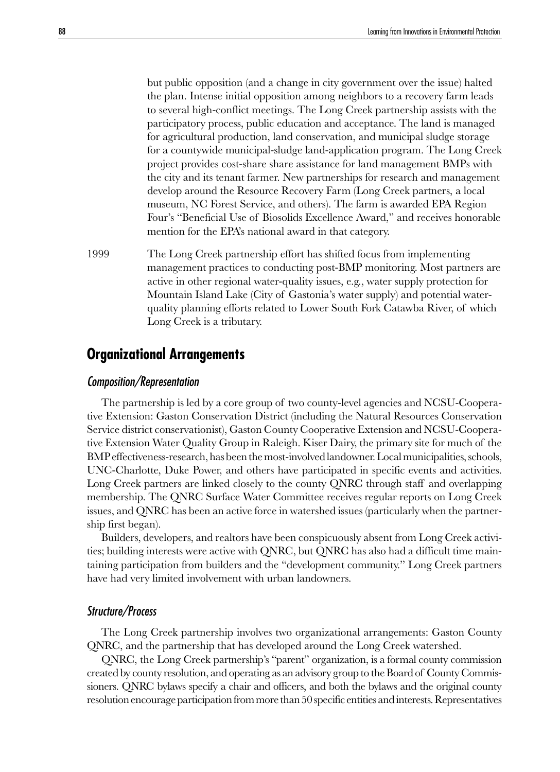but public opposition (and a change in city government over the issue) halted the plan. Intense initial opposition among neighbors to a recovery farm leads to several high-conflict meetings. The Long Creek partnership assists with the participatory process, public education and acceptance. The land is managed for agricultural production, land conservation, and municipal sludge storage for a countywide municipal-sludge land-application program. The Long Creek project provides cost-share share assistance for land management BMPs with the city and its tenant farmer. New partnerships for research and management develop around the Resource Recovery Farm (Long Creek partners, a local museum, NC Forest Service, and others). The farm is awarded EPA Region Four's "Beneficial Use of Biosolids Excellence Award," and receives honorable mention for the EPA's national award in that category.

1999 The Long Creek partnership effort has shifted focus from implementing management practices to conducting post-BMP monitoring. Most partners are active in other regional water-quality issues, e.g., water supply protection for Mountain Island Lake (City of Gastonia's water supply) and potential waterquality planning efforts related to Lower South Fork Catawba River, of which Long Creek is a tributary.

## **Organizational Arrangements**

#### Composition/Representation

The partnership is led by a core group of two county-level agencies and NCSU-Cooperative Extension: Gaston Conservation District (including the Natural Resources Conservation Service district conservationist), Gaston County Cooperative Extension and NCSU-Cooperative Extension Water Quality Group in Raleigh. Kiser Dairy, the primary site for much of the BMP effectiveness-research, has been the most-involved landowner. Local municipalities, schools, UNC-Charlotte, Duke Power, and others have participated in specific events and activities. Long Creek partners are linked closely to the county QNRC through staff and overlapping membership. The QNRC Surface Water Committee receives regular reports on Long Creek issues, and QNRC has been an active force in watershed issues (particularly when the partnership first began).

Builders, developers, and realtors have been conspicuously absent from Long Creek activities; building interests were active with QNRC, but QNRC has also had a difficult time maintaining participation from builders and the "development community." Long Creek partners have had very limited involvement with urban landowners.

#### Structure/Process

The Long Creek partnership involves two organizational arrangements: Gaston County QNRC, and the partnership that has developed around the Long Creek watershed.

QNRC, the Long Creek partnership's "parent" organization, is a formal county commission created by county resolution, and operating as an advisory group to the Board of County Commissioners. QNRC bylaws specify a chair and officers, and both the bylaws and the original county resolution encourage participation from more than 50 specific entities and interests. Representatives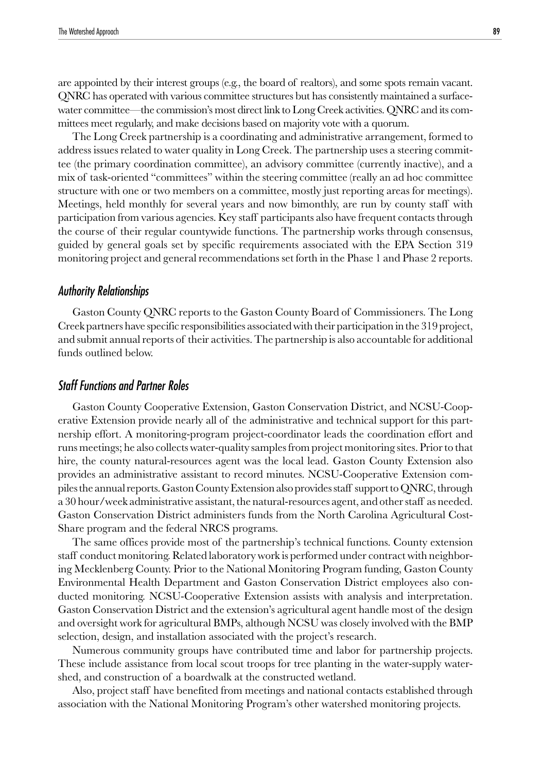are appointed by their interest groups (e.g., the board of realtors), and some spots remain vacant. QNRC has operated with various committee structures but has consistently maintained a surfacewater committee—the commission's most direct link to Long Creek activities. QNRC and its committees meet regularly, and make decisions based on majority vote with a quorum.

The Long Creek partnership is a coordinating and administrative arrangement, formed to address issues related to water quality in Long Creek. The partnership uses a steering committee (the primary coordination committee), an advisory committee (currently inactive), and a mix of task-oriented "committees" within the steering committee (really an ad hoc committee structure with one or two members on a committee, mostly just reporting areas for meetings). Meetings, held monthly for several years and now bimonthly, are run by county staff with participation from various agencies. Key staff participants also have frequent contacts through the course of their regular countywide functions. The partnership works through consensus, guided by general goals set by specific requirements associated with the EPA Section 319 monitoring project and general recommendations set forth in the Phase 1 and Phase 2 reports.

#### Authority Relationships

Gaston County QNRC reports to the Gaston County Board of Commissioners. The Long Creek partners have specific responsibilities associated with their participation in the 319 project, and submit annual reports of their activities. The partnership is also accountable for additional funds outlined below.

#### Staff Functions and Partner Roles

Gaston County Cooperative Extension, Gaston Conservation District, and NCSU-Cooperative Extension provide nearly all of the administrative and technical support for this partnership effort. A monitoring-program project-coordinator leads the coordination effort and runs meetings; he also collects water-quality samples from project monitoring sites. Prior to that hire, the county natural-resources agent was the local lead. Gaston County Extension also provides an administrative assistant to record minutes. NCSU-Cooperative Extension compiles the annual reports. Gaston County Extension also provides staff support to QNRC, through a 30 hour/week administrative assistant, the natural-resources agent, and other staff as needed. Gaston Conservation District administers funds from the North Carolina Agricultural Cost-Share program and the federal NRCS programs.

The same offices provide most of the partnership's technical functions. County extension staff conduct monitoring. Related laboratory work is performed under contract with neighboring Mecklenberg County. Prior to the National Monitoring Program funding, Gaston County Environmental Health Department and Gaston Conservation District employees also conducted monitoring. NCSU-Cooperative Extension assists with analysis and interpretation. Gaston Conservation District and the extension's agricultural agent handle most of the design and oversight work for agricultural BMPs, although NCSU was closely involved with the BMP selection, design, and installation associated with the project's research.

Numerous community groups have contributed time and labor for partnership projects. These include assistance from local scout troops for tree planting in the water-supply watershed, and construction of a boardwalk at the constructed wetland.

Also, project staff have benefited from meetings and national contacts established through association with the National Monitoring Program's other watershed monitoring projects.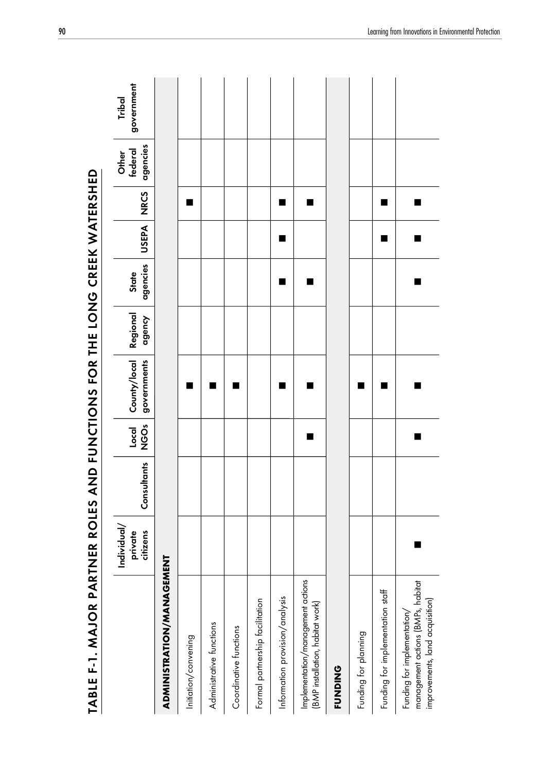| TABLE F-1. MAJOR PARTNER ROLES AND FUNCTIOR THE LONG CREEK WATERSHED                                |                                    |             |                   |                             |                    |                   |       |             |                              |                      |
|-----------------------------------------------------------------------------------------------------|------------------------------------|-------------|-------------------|-----------------------------|--------------------|-------------------|-------|-------------|------------------------------|----------------------|
|                                                                                                     | Individual/<br>private<br>citizens | Consultants | Ő<br>NGS<br>Local | governments<br>County/local | Regional<br>dgency | agencies<br>State | USEPA | <b>NRCS</b> | agencies<br>federal<br>Other | government<br>Tribal |
| ADMINISTRATION/MANAGEMENT                                                                           |                                    |             |                   |                             |                    |                   |       |             |                              |                      |
| Initiation/convening                                                                                |                                    |             |                   | ٠                           |                    |                   |       | ■           |                              |                      |
| Administrative functions                                                                            |                                    |             |                   | ■                           |                    |                   |       |             |                              |                      |
| Coordinative functions                                                                              |                                    |             |                   | ■                           |                    |                   |       |             |                              |                      |
| Formal partnership facilitation                                                                     |                                    |             |                   |                             |                    |                   |       |             |                              |                      |
| Information provision/analysis                                                                      |                                    |             |                   | ٠                           |                    |                   |       | ■           |                              |                      |
| Implementation/management actions<br>[BMP installation, habitat work]                               |                                    |             |                   | ■                           |                    |                   |       | ш           |                              |                      |
| <b>FUNDING</b>                                                                                      |                                    |             |                   |                             |                    |                   |       |             |                              |                      |
| Funding for planning                                                                                |                                    |             |                   | ■                           |                    |                   |       |             |                              |                      |
| Funding for implementation staff                                                                    |                                    |             |                   | ■                           |                    |                   | ■     | ■           |                              |                      |
| management actions (BMPs, habitat<br>improvements, land acquisition)<br>Funding for implementation/ |                                    |             |                   | ■                           |                    |                   |       | ш           |                              |                      |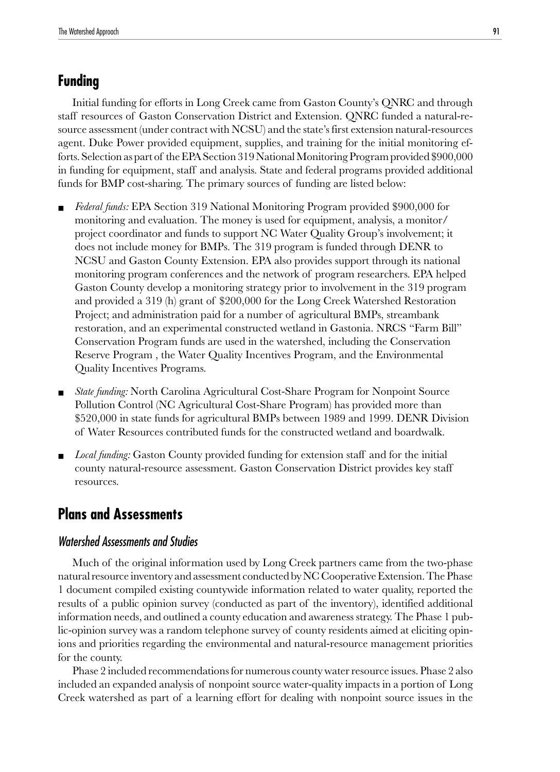## **Funding**

Initial funding for efforts in Long Creek came from Gaston County's QNRC and through staff resources of Gaston Conservation District and Extension. QNRC funded a natural-resource assessment (under contract with NCSU) and the state's first extension natural-resources agent. Duke Power provided equipment, supplies, and training for the initial monitoring efforts. Selection as part of the EPA Section 319 National Monitoring Program provided \$900,000 in funding for equipment, staff and analysis. State and federal programs provided additional funds for BMP cost-sharing. The primary sources of funding are listed below:

- *Federal funds:* EPA Section 319 National Monitoring Program provided \$900,000 for monitoring and evaluation. The money is used for equipment, analysis, a monitor/ project coordinator and funds to support NC Water Quality Group's involvement; it does not include money for BMPs. The 319 program is funded through DENR to NCSU and Gaston County Extension. EPA also provides support through its national monitoring program conferences and the network of program researchers. EPA helped Gaston County develop a monitoring strategy prior to involvement in the 319 program and provided a 319 (h) grant of \$200,000 for the Long Creek Watershed Restoration Project; and administration paid for a number of agricultural BMPs, streambank restoration, and an experimental constructed wetland in Gastonia. NRCS "Farm Bill" Conservation Program funds are used in the watershed, including the Conservation Reserve Program , the Water Quality Incentives Program, and the Environmental Quality Incentives Programs.
- *State funding:* North Carolina Agricultural Cost-Share Program for Nonpoint Source Pollution Control (NC Agricultural Cost-Share Program) has provided more than \$520,000 in state funds for agricultural BMPs between 1989 and 1999. DENR Division of Water Resources contributed funds for the constructed wetland and boardwalk.
- Local funding: Gaston County provided funding for extension staff and for the initial county natural-resource assessment. Gaston Conservation District provides key staff resources.

## **Plans and Assessments**

### Watershed Assessments and Studies

Much of the original information used by Long Creek partners came from the two-phase natural resource inventory and assessment conducted by NC Cooperative Extension. The Phase 1 document compiled existing countywide information related to water quality, reported the results of a public opinion survey (conducted as part of the inventory), identified additional information needs, and outlined a county education and awareness strategy. The Phase 1 public-opinion survey was a random telephone survey of county residents aimed at eliciting opinions and priorities regarding the environmental and natural-resource management priorities for the county.

Phase 2 included recommendations for numerous county water resource issues. Phase 2 also included an expanded analysis of nonpoint source water-quality impacts in a portion of Long Creek watershed as part of a learning effort for dealing with nonpoint source issues in the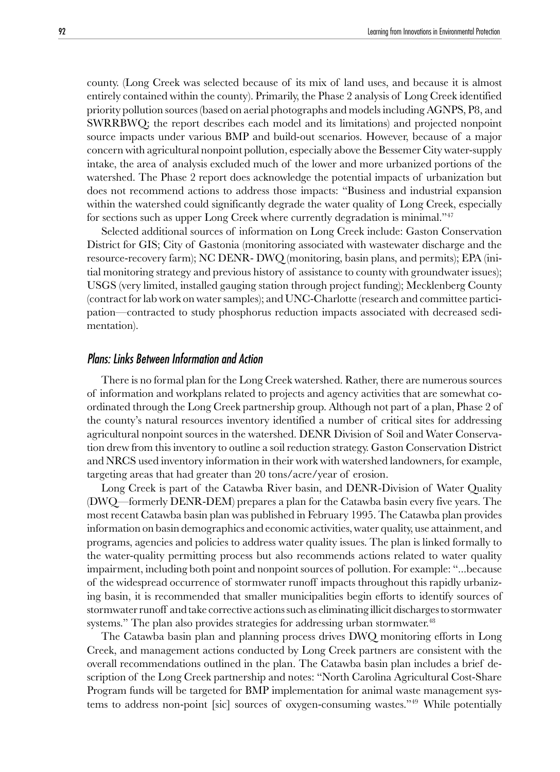county. (Long Creek was selected because of its mix of land uses, and because it is almost entirely contained within the county). Primarily, the Phase 2 analysis of Long Creek identified priority pollution sources (based on aerial photographs and models including AGNPS, P8, and SWRRBWQ; the report describes each model and its limitations) and projected nonpoint source impacts under various BMP and build-out scenarios. However, because of a major concern with agricultural nonpoint pollution, especially above the Bessemer City water-supply intake, the area of analysis excluded much of the lower and more urbanized portions of the watershed. The Phase 2 report does acknowledge the potential impacts of urbanization but does not recommend actions to address those impacts: "Business and industrial expansion within the watershed could significantly degrade the water quality of Long Creek, especially for sections such as upper Long Creek where currently degradation is minimal."47

Selected additional sources of information on Long Creek include: Gaston Conservation District for GIS; City of Gastonia (monitoring associated with wastewater discharge and the resource-recovery farm); NC DENR- DWQ (monitoring, basin plans, and permits); EPA (initial monitoring strategy and previous history of assistance to county with groundwater issues); USGS (very limited, installed gauging station through project funding); Mecklenberg County (contract for lab work on water samples); and UNC-Charlotte (research and committee participation—contracted to study phosphorus reduction impacts associated with decreased sedimentation).

#### Plans: Links Between Information and Action

There is no formal plan for the Long Creek watershed. Rather, there are numerous sources of information and workplans related to projects and agency activities that are somewhat coordinated through the Long Creek partnership group. Although not part of a plan, Phase 2 of the county's natural resources inventory identified a number of critical sites for addressing agricultural nonpoint sources in the watershed. DENR Division of Soil and Water Conservation drew from this inventory to outline a soil reduction strategy. Gaston Conservation District and NRCS used inventory information in their work with watershed landowners, for example, targeting areas that had greater than 20 tons/acre/year of erosion.

Long Creek is part of the Catawba River basin, and DENR-Division of Water Quality (DWQ—formerly DENR-DEM) prepares a plan for the Catawba basin every five years. The most recent Catawba basin plan was published in February 1995. The Catawba plan provides information on basin demographics and economic activities, water quality, use attainment, and programs, agencies and policies to address water quality issues. The plan is linked formally to the water-quality permitting process but also recommends actions related to water quality impairment, including both point and nonpoint sources of pollution. For example: "...because of the widespread occurrence of stormwater runoff impacts throughout this rapidly urbanizing basin, it is recommended that smaller municipalities begin efforts to identify sources of stormwater runoff and take corrective actions such as eliminating illicit discharges to stormwater systems." The plan also provides strategies for addressing urban stormwater.<sup>48</sup>

The Catawba basin plan and planning process drives DWQ monitoring efforts in Long Creek, and management actions conducted by Long Creek partners are consistent with the overall recommendations outlined in the plan. The Catawba basin plan includes a brief description of the Long Creek partnership and notes: "North Carolina Agricultural Cost-Share Program funds will be targeted for BMP implementation for animal waste management systems to address non-point [sic] sources of oxygen-consuming wastes."49 While potentially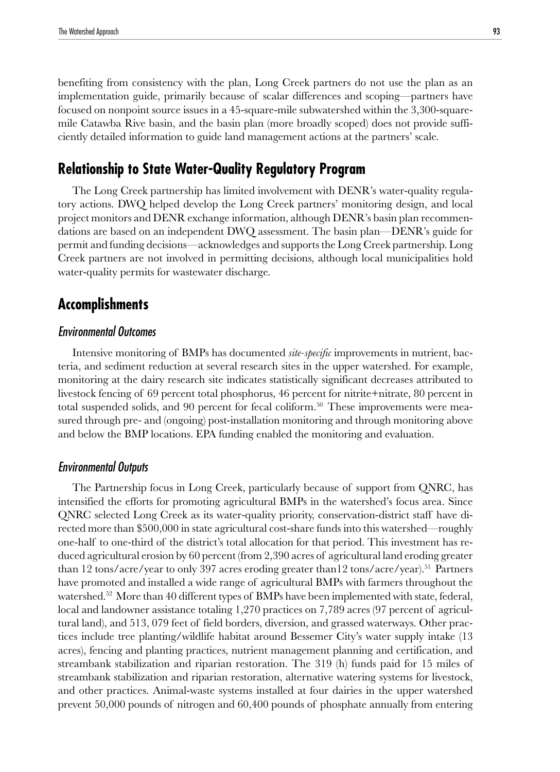benefiting from consistency with the plan, Long Creek partners do not use the plan as an implementation guide, primarily because of scalar differences and scoping—partners have focused on nonpoint source issues in a 45-square-mile subwatershed within the 3,300-squaremile Catawba Rive basin, and the basin plan (more broadly scoped) does not provide sufficiently detailed information to guide land management actions at the partners' scale.

## **Relationship to State Water-Quality Regulatory Program**

The Long Creek partnership has limited involvement with DENR's water-quality regulatory actions. DWQ helped develop the Long Creek partners' monitoring design, and local project monitors and DENR exchange information, although DENR's basin plan recommendations are based on an independent DWQ assessment. The basin plan—DENR's guide for permit and funding decisions—acknowledges and supports the Long Creek partnership. Long Creek partners are not involved in permitting decisions, although local municipalities hold water-quality permits for wastewater discharge.

## **Accomplishments**

#### Environmental Outcomes

Intensive monitoring of BMPs has documented *site-specific* improvements in nutrient, bacteria, and sediment reduction at several research sites in the upper watershed. For example, monitoring at the dairy research site indicates statistically significant decreases attributed to livestock fencing of 69 percent total phosphorus, 46 percent for nitrite+nitrate, 80 percent in total suspended solids, and 90 percent for fecal coliform.<sup>50</sup> These improvements were measured through pre- and (ongoing) post-installation monitoring and through monitoring above and below the BMP locations. EPA funding enabled the monitoring and evaluation.

#### Environmental Outputs

The Partnership focus in Long Creek, particularly because of support from QNRC, has intensified the efforts for promoting agricultural BMPs in the watershed's focus area. Since QNRC selected Long Creek as its water-quality priority, conservation-district staff have directed more than \$500,000 in state agricultural cost-share funds into this watershed—roughly one-half to one-third of the district's total allocation for that period. This investment has reduced agricultural erosion by 60 percent (from 2,390 acres of agricultural land eroding greater than 12 tons/acre/year to only 397 acres eroding greater than 12 tons/acre/year).<sup>51</sup> Partners have promoted and installed a wide range of agricultural BMPs with farmers throughout the watershed.<sup>52</sup> More than 40 different types of BMPs have been implemented with state, federal, local and landowner assistance totaling 1,270 practices on 7,789 acres (97 percent of agricultural land), and 513, 079 feet of field borders, diversion, and grassed waterways. Other practices include tree planting/wildlife habitat around Bessemer City's water supply intake (13 acres), fencing and planting practices, nutrient management planning and certification, and streambank stabilization and riparian restoration. The 319 (h) funds paid for 15 miles of streambank stabilization and riparian restoration, alternative watering systems for livestock, and other practices. Animal-waste systems installed at four dairies in the upper watershed prevent 50,000 pounds of nitrogen and 60,400 pounds of phosphate annually from entering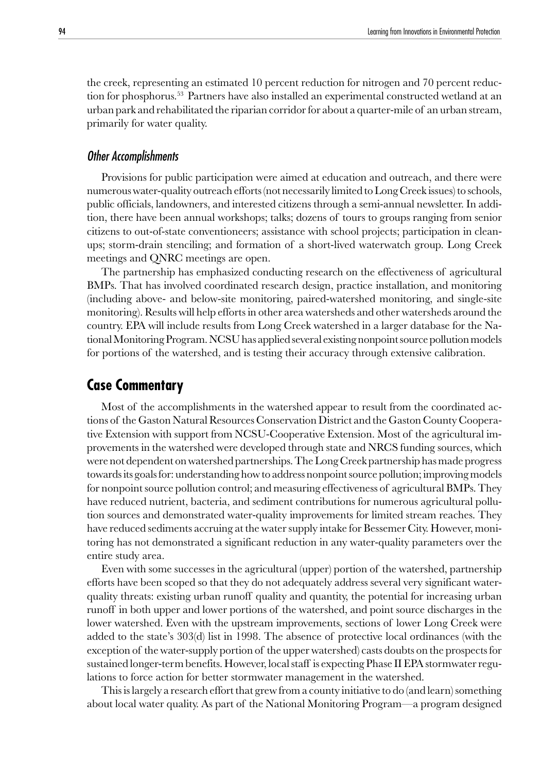the creek, representing an estimated 10 percent reduction for nitrogen and 70 percent reduction for phosphorus.<sup>53</sup> Partners have also installed an experimental constructed wetland at an urban park and rehabilitated the riparian corridor for about a quarter-mile of an urban stream, primarily for water quality.

#### Other Accomplishments

Provisions for public participation were aimed at education and outreach, and there were numerous water-quality outreach efforts (not necessarily limited to Long Creek issues) to schools, public officials, landowners, and interested citizens through a semi-annual newsletter. In addition, there have been annual workshops; talks; dozens of tours to groups ranging from senior citizens to out-of-state conventioneers; assistance with school projects; participation in cleanups; storm-drain stenciling; and formation of a short-lived waterwatch group. Long Creek meetings and QNRC meetings are open.

The partnership has emphasized conducting research on the effectiveness of agricultural BMPs. That has involved coordinated research design, practice installation, and monitoring (including above- and below-site monitoring, paired-watershed monitoring, and single-site monitoring). Results will help efforts in other area watersheds and other watersheds around the country. EPA will include results from Long Creek watershed in a larger database for the National Monitoring Program. NCSU has applied several existing nonpoint source pollution models for portions of the watershed, and is testing their accuracy through extensive calibration.

#### **Case Commentary**

Most of the accomplishments in the watershed appear to result from the coordinated actions of the Gaston Natural Resources Conservation District and the Gaston County Cooperative Extension with support from NCSU-Cooperative Extension. Most of the agricultural improvements in the watershed were developed through state and NRCS funding sources, which were not dependent on watershed partnerships. The Long Creek partnership has made progress towards its goals for: understanding how to address nonpoint source pollution; improving models for nonpoint source pollution control; and measuring effectiveness of agricultural BMPs. They have reduced nutrient, bacteria, and sediment contributions for numerous agricultural pollution sources and demonstrated water-quality improvements for limited stream reaches. They have reduced sediments accruing at the water supply intake for Bessemer City. However, monitoring has not demonstrated a significant reduction in any water-quality parameters over the entire study area.

Even with some successes in the agricultural (upper) portion of the watershed, partnership efforts have been scoped so that they do not adequately address several very significant waterquality threats: existing urban runoff quality and quantity, the potential for increasing urban runoff in both upper and lower portions of the watershed, and point source discharges in the lower watershed. Even with the upstream improvements, sections of lower Long Creek were added to the state's 303(d) list in 1998. The absence of protective local ordinances (with the exception of the water-supply portion of the upper watershed) casts doubts on the prospects for sustained longer-term benefits. However, local staff is expecting Phase II EPA stormwater regulations to force action for better stormwater management in the watershed.

This is largely a research effort that grew from a county initiative to do (and learn) something about local water quality. As part of the National Monitoring Program—a program designed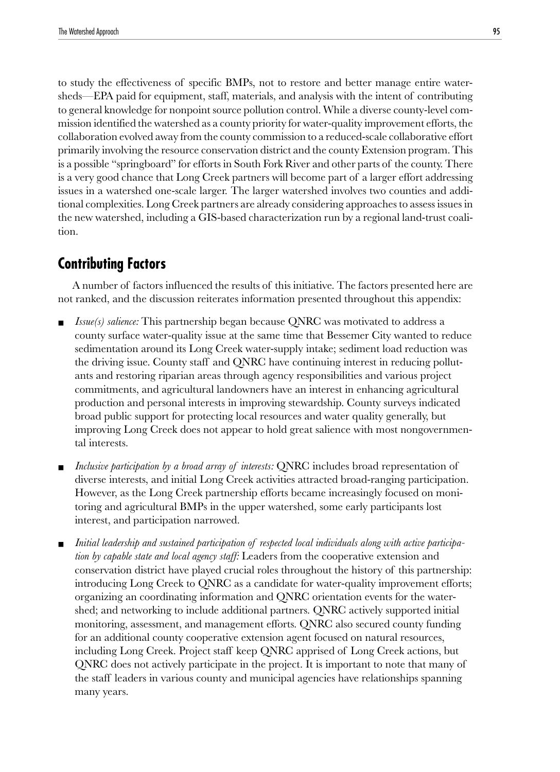to study the effectiveness of specific BMPs, not to restore and better manage entire watersheds—EPA paid for equipment, staff, materials, and analysis with the intent of contributing to general knowledge for nonpoint source pollution control. While a diverse county-level commission identified the watershed as a county priority for water-quality improvement efforts, the collaboration evolved away from the county commission to a reduced-scale collaborative effort primarily involving the resource conservation district and the county Extension program. This is a possible "springboard" for efforts in South Fork River and other parts of the county. There is a very good chance that Long Creek partners will become part of a larger effort addressing issues in a watershed one-scale larger. The larger watershed involves two counties and additional complexities. Long Creek partners are already considering approaches to assess issues in the new watershed, including a GIS-based characterization run by a regional land-trust coalition.

## **Contributing Factors**

A number of factors influenced the results of this initiative. The factors presented here are not ranked, and the discussion reiterates information presented throughout this appendix:

- *Issue(s) salience:* This partnership began because QNRC was motivated to address a county surface water-quality issue at the same time that Bessemer City wanted to reduce sedimentation around its Long Creek water-supply intake; sediment load reduction was the driving issue. County staff and QNRC have continuing interest in reducing pollutants and restoring riparian areas through agency responsibilities and various project commitments, and agricultural landowners have an interest in enhancing agricultural production and personal interests in improving stewardship. County surveys indicated broad public support for protecting local resources and water quality generally, but improving Long Creek does not appear to hold great salience with most nongovernmental interests.
- *Inclusive participation by a broad array of interests:* QNRC includes broad representation of diverse interests, and initial Long Creek activities attracted broad-ranging participation. However, as the Long Creek partnership efforts became increasingly focused on monitoring and agricultural BMPs in the upper watershed, some early participants lost interest, and participation narrowed.
- Initial leadership and sustained participation of respected local individuals along with active participa*tion by capable state and local agency staff:* Leaders from the cooperative extension and conservation district have played crucial roles throughout the history of this partnership: introducing Long Creek to QNRC as a candidate for water-quality improvement efforts; organizing an coordinating information and QNRC orientation events for the watershed; and networking to include additional partners. QNRC actively supported initial monitoring, assessment, and management efforts. QNRC also secured county funding for an additional county cooperative extension agent focused on natural resources, including Long Creek. Project staff keep QNRC apprised of Long Creek actions, but QNRC does not actively participate in the project. It is important to note that many of the staff leaders in various county and municipal agencies have relationships spanning many years.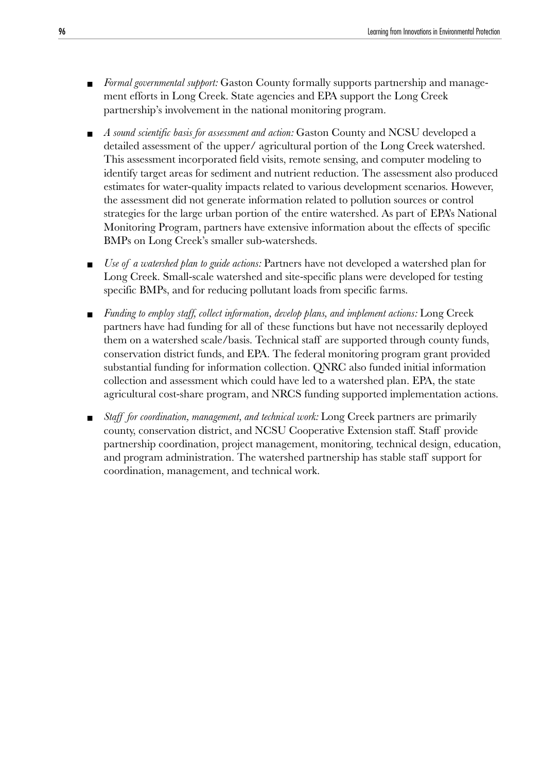- *Formal governmental support:* Gaston County formally supports partnership and management efforts in Long Creek. State agencies and EPA support the Long Creek partnership's involvement in the national monitoring program.
- *A sound scientific basis for assessment and action:* Gaston County and NCSU developed a detailed assessment of the upper/ agricultural portion of the Long Creek watershed. This assessment incorporated field visits, remote sensing, and computer modeling to identify target areas for sediment and nutrient reduction. The assessment also produced estimates for water-quality impacts related to various development scenarios. However, the assessment did not generate information related to pollution sources or control strategies for the large urban portion of the entire watershed. As part of EPA's National Monitoring Program, partners have extensive information about the effects of specific BMPs on Long Creek's smaller sub-watersheds.
- *Use of a watershed plan to guide actions:* Partners have not developed a watershed plan for Long Creek. Small-scale watershed and site-specific plans were developed for testing specific BMPs, and for reducing pollutant loads from specific farms.
- *Funding to employ staff, collect information, develop plans, and implement actions:* Long Creek partners have had funding for all of these functions but have not necessarily deployed them on a watershed scale/basis. Technical staff are supported through county funds, conservation district funds, and EPA. The federal monitoring program grant provided substantial funding for information collection. QNRC also funded initial information collection and assessment which could have led to a watershed plan. EPA, the state agricultural cost-share program, and NRCS funding supported implementation actions.
- *Staff for coordination, management, and technical work:* Long Creek partners are primarily county, conservation district, and NCSU Cooperative Extension staff. Staff provide partnership coordination, project management, monitoring, technical design, education, and program administration. The watershed partnership has stable staff support for coordination, management, and technical work.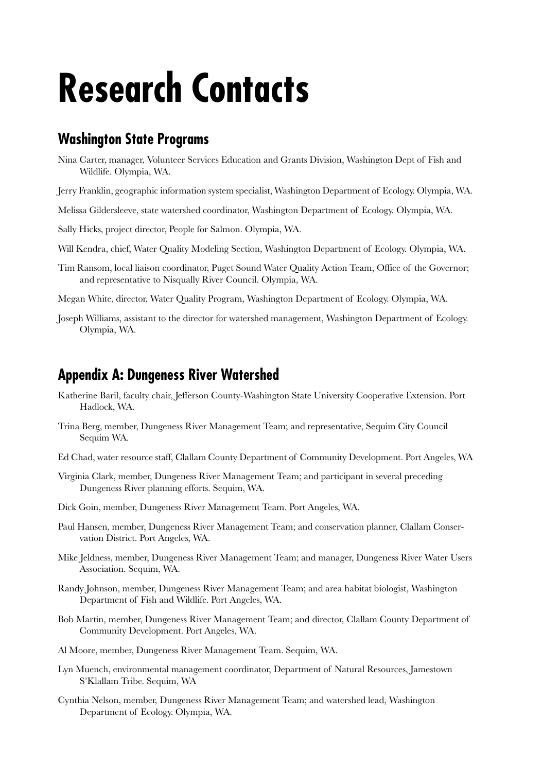## **Research Contacts**

## **Washington State Programs**

- Nina Carter, manager, Volunteer Services Education and Grants Division, Washington Dept of Fish and Wildlife. Olympia, WA.
- Jerry Franklin, geographic information system specialist, Washington Department of Ecology. Olympia, WA.
- Melissa Gildersleeve, state watershed coordinator, Washington Department of Ecology. Olympia, WA.
- Sally Hicks, project director, People for Salmon. Olympia, WA.
- Will Kendra, chief, Water Quality Modeling Section, Washington Department of Ecology. Olympia, WA.
- Tim Ransom, local liaison coordinator, Puget Sound Water Quality Action Team, Office of the Governor; and representative to Nisqually River Council. Olympia, WA.
- Megan White, director, Water Quality Program, Washington Department of Ecology. Olympia, WA.
- Joseph Williams, assistant to the director for watershed management, Washington Department of Ecology. Olympia, WA.

## **Appendix A: Dungeness River Watershed**

- Katherine Baril, faculty chair, Jefferson County-Washington State University Cooperative Extension. Port Hadlock, WA.
- Trina Berg, member, Dungeness River Management Team; and representative, Sequim City Council Sequim WA.
- Ed Chad, water resource staff, Clallam County Department of Community Development. Port Angeles, WA
- Virginia Clark, member, Dungeness River Management Team; and participant in several preceding Dungeness River planning efforts. Sequim, WA.
- Dick Goin, member, Dungeness River Management Team. Port Angeles, WA.
- Paul Hansen, member, Dungeness River Management Team; and conservation planner, Clallam Conservation District. Port Angeles, WA.
- Mike Jeldness, member, Dungeness River Management Team; and manager, Dungeness River Water Users Association. Sequim, WA.
- Randy Johnson, member, Dungeness River Management Team; and area habitat biologist, Washington Department of Fish and Wildlife. Port Angeles, WA.
- Bob Martin, member, Dungeness River Management Team; and director, Clallam County Department of Community Development. Port Angeles, WA.
- Al Moore, member, Dungeness River Management Team. Sequim, WA.
- Lyn Muench, environmental management coordinator, Department of Natural Resources, Jamestown S'Klallam Tribe. Sequim, WA
- Cynthia Nelson, member, Dungeness River Management Team; and watershed lead, Washington Department of Ecology. Olympia, WA.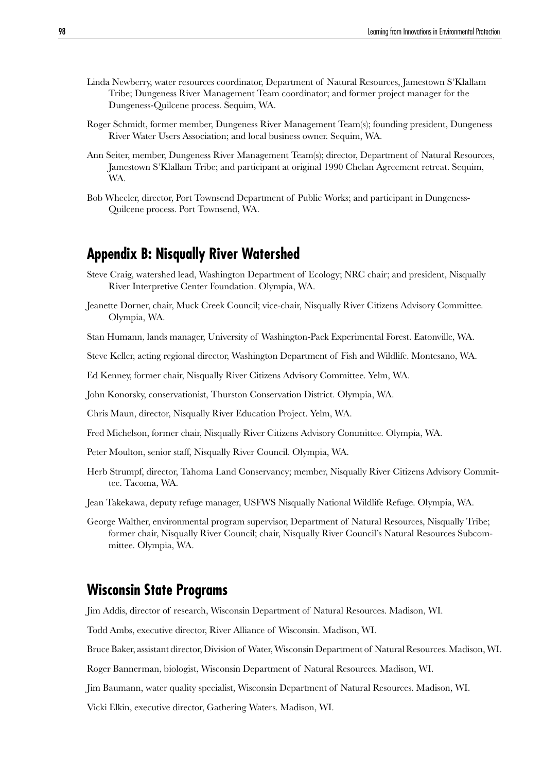- Linda Newberry, water resources coordinator, Department of Natural Resources, Jamestown S'Klallam Tribe; Dungeness River Management Team coordinator; and former project manager for the Dungeness-Quilcene process. Sequim, WA.
- Roger Schmidt, former member, Dungeness River Management Team(s); founding president, Dungeness River Water Users Association; and local business owner. Sequim, WA.
- Ann Seiter, member, Dungeness River Management Team(s); director, Department of Natural Resources, Jamestown S'Klallam Tribe; and participant at original 1990 Chelan Agreement retreat. Sequim, WA.
- Bob Wheeler, director, Port Townsend Department of Public Works; and participant in Dungeness-Quilcene process. Port Townsend, WA.

## **Appendix B: Nisqually River Watershed**

- Steve Craig, watershed lead, Washington Department of Ecology; NRC chair; and president, Nisqually River Interpretive Center Foundation. Olympia, WA.
- Jeanette Dorner, chair, Muck Creek Council; vice-chair, Nisqually River Citizens Advisory Committee. Olympia, WA.

Stan Humann, lands manager, University of Washington-Pack Experimental Forest. Eatonville, WA.

- Steve Keller, acting regional director, Washington Department of Fish and Wildlife. Montesano, WA.
- Ed Kenney, former chair, Nisqually River Citizens Advisory Committee. Yelm, WA.

John Konorsky, conservationist, Thurston Conservation District. Olympia, WA.

Chris Maun, director, Nisqually River Education Project. Yelm, WA.

Fred Michelson, former chair, Nisqually River Citizens Advisory Committee. Olympia, WA.

- Peter Moulton, senior staff, Nisqually River Council. Olympia, WA.
- Herb Strumpf, director, Tahoma Land Conservancy; member, Nisqually River Citizens Advisory Committee. Tacoma, WA.
- Jean Takekawa, deputy refuge manager, USFWS Nisqually National Wildlife Refuge. Olympia, WA.
- George Walther, environmental program supervisor, Department of Natural Resources, Nisqually Tribe; former chair, Nisqually River Council; chair, Nisqually River Council's Natural Resources Subcommittee. Olympia, WA.

### **Wisconsin State Programs**

Jim Addis, director of research, Wisconsin Department of Natural Resources. Madison, WI.

Todd Ambs, executive director, River Alliance of Wisconsin. Madison, WI.

Bruce Baker, assistant director, Division of Water, Wisconsin Department of Natural Resources. Madison, WI.

Roger Bannerman, biologist, Wisconsin Department of Natural Resources. Madison, WI.

Jim Baumann, water quality specialist, Wisconsin Department of Natural Resources. Madison, WI.

Vicki Elkin, executive director, Gathering Waters. Madison, WI.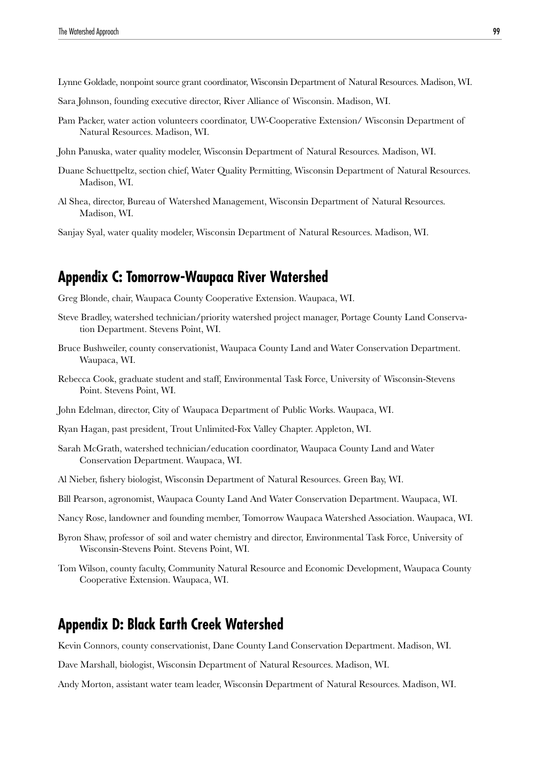Lynne Goldade, nonpoint source grant coordinator, Wisconsin Department of Natural Resources. Madison, WI.

- Sara Johnson, founding executive director, River Alliance of Wisconsin. Madison, WI.
- Pam Packer, water action volunteers coordinator, UW-Cooperative Extension/ Wisconsin Department of Natural Resources. Madison, WI.
- John Panuska, water quality modeler, Wisconsin Department of Natural Resources. Madison, WI.
- Duane Schuettpeltz, section chief, Water Quality Permitting, Wisconsin Department of Natural Resources. Madison, WI.
- Al Shea, director, Bureau of Watershed Management, Wisconsin Department of Natural Resources. Madison, WI.

Sanjay Syal, water quality modeler, Wisconsin Department of Natural Resources. Madison, WI.

## **Appendix C: Tomorrow-Waupaca River Watershed**

Greg Blonde, chair, Waupaca County Cooperative Extension. Waupaca, WI.

- Steve Bradley, watershed technician/priority watershed project manager, Portage County Land Conservation Department. Stevens Point, WI.
- Bruce Bushweiler, county conservationist, Waupaca County Land and Water Conservation Department. Waupaca, WI.
- Rebecca Cook, graduate student and staff, Environmental Task Force, University of Wisconsin-Stevens Point. Stevens Point, WI.
- John Edelman, director, City of Waupaca Department of Public Works. Waupaca, WI.
- Ryan Hagan, past president, Trout Unlimited-Fox Valley Chapter. Appleton, WI.
- Sarah McGrath, watershed technician/education coordinator, Waupaca County Land and Water Conservation Department. Waupaca, WI.
- Al Nieber, fishery biologist, Wisconsin Department of Natural Resources. Green Bay, WI.
- Bill Pearson, agronomist, Waupaca County Land And Water Conservation Department. Waupaca, WI.
- Nancy Rose, landowner and founding member, Tomorrow Waupaca Watershed Association. Waupaca, WI.
- Byron Shaw, professor of soil and water chemistry and director, Environmental Task Force, University of Wisconsin-Stevens Point. Stevens Point, WI.
- Tom Wilson, county faculty, Community Natural Resource and Economic Development, Waupaca County Cooperative Extension. Waupaca, WI.

## **Appendix D: Black Earth Creek Watershed**

Kevin Connors, county conservationist, Dane County Land Conservation Department. Madison, WI.

Dave Marshall, biologist, Wisconsin Department of Natural Resources. Madison, WI.

Andy Morton, assistant water team leader, Wisconsin Department of Natural Resources. Madison, WI.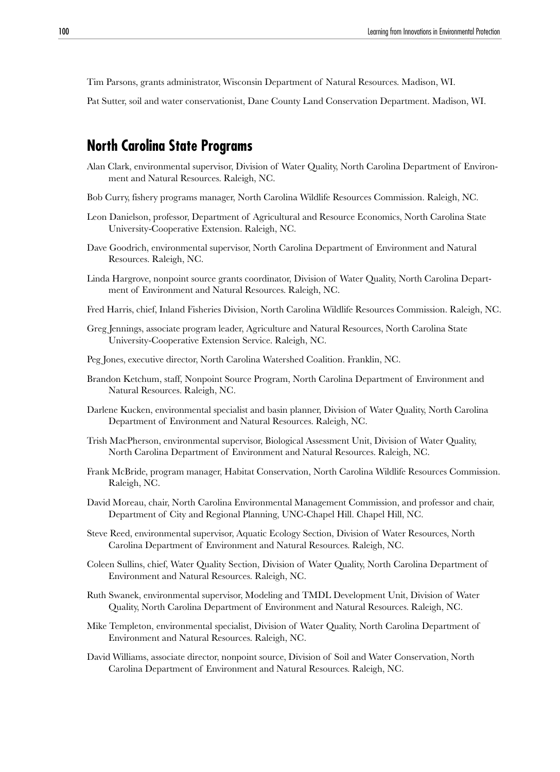Tim Parsons, grants administrator, Wisconsin Department of Natural Resources. Madison, WI.

Pat Sutter, soil and water conservationist, Dane County Land Conservation Department. Madison, WI.

## **North Carolina State Programs**

- Alan Clark, environmental supervisor, Division of Water Quality, North Carolina Department of Environment and Natural Resources. Raleigh, NC.
- Bob Curry, fishery programs manager, North Carolina Wildlife Resources Commission. Raleigh, NC.
- Leon Danielson, professor, Department of Agricultural and Resource Economics, North Carolina State University-Cooperative Extension. Raleigh, NC.
- Dave Goodrich, environmental supervisor, North Carolina Department of Environment and Natural Resources. Raleigh, NC.
- Linda Hargrove, nonpoint source grants coordinator, Division of Water Quality, North Carolina Department of Environment and Natural Resources. Raleigh, NC.
- Fred Harris, chief, Inland Fisheries Division, North Carolina Wildlife Resources Commission. Raleigh, NC.
- Greg Jennings, associate program leader, Agriculture and Natural Resources, North Carolina State University-Cooperative Extension Service. Raleigh, NC.
- Peg Jones, executive director, North Carolina Watershed Coalition. Franklin, NC.
- Brandon Ketchum, staff, Nonpoint Source Program, North Carolina Department of Environment and Natural Resources. Raleigh, NC.
- Darlene Kucken, environmental specialist and basin planner, Division of Water Quality, North Carolina Department of Environment and Natural Resources. Raleigh, NC.
- Trish MacPherson, environmental supervisor, Biological Assessment Unit, Division of Water Quality, North Carolina Department of Environment and Natural Resources. Raleigh, NC.
- Frank McBride, program manager, Habitat Conservation, North Carolina Wildlife Resources Commission. Raleigh, NC.
- David Moreau, chair, North Carolina Environmental Management Commission, and professor and chair, Department of City and Regional Planning, UNC-Chapel Hill. Chapel Hill, NC.
- Steve Reed, environmental supervisor, Aquatic Ecology Section, Division of Water Resources, North Carolina Department of Environment and Natural Resources. Raleigh, NC.
- Coleen Sullins, chief, Water Quality Section, Division of Water Quality, North Carolina Department of Environment and Natural Resources. Raleigh, NC.
- Ruth Swanek, environmental supervisor, Modeling and TMDL Development Unit, Division of Water Quality, North Carolina Department of Environment and Natural Resources. Raleigh, NC.
- Mike Templeton, environmental specialist, Division of Water Quality, North Carolina Department of Environment and Natural Resources. Raleigh, NC.
- David Williams, associate director, nonpoint source, Division of Soil and Water Conservation, North Carolina Department of Environment and Natural Resources. Raleigh, NC.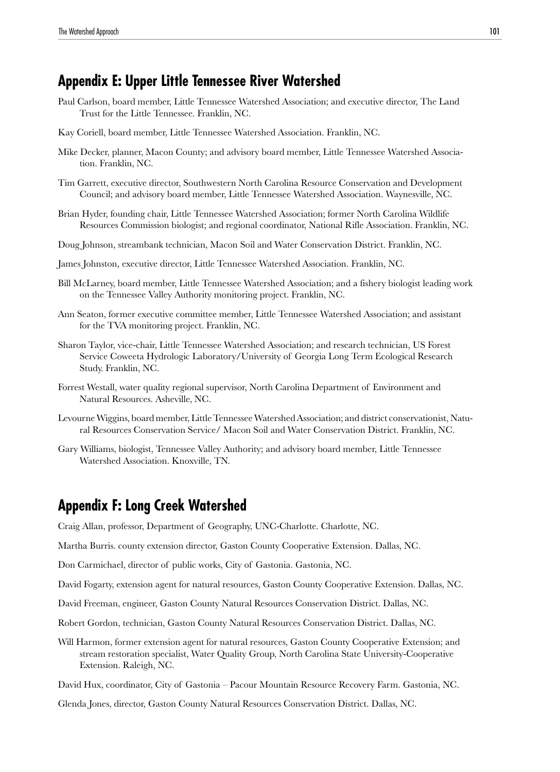## **Appendix E: Upper Little Tennessee River Watershed**

- Paul Carlson, board member, Little Tennessee Watershed Association; and executive director, The Land Trust for the Little Tennessee. Franklin, NC.
- Kay Coriell, board member, Little Tennessee Watershed Association. Franklin, NC.
- Mike Decker, planner, Macon County; and advisory board member, Little Tennessee Watershed Association. Franklin, NC.
- Tim Garrett, executive director, Southwestern North Carolina Resource Conservation and Development Council; and advisory board member, Little Tennessee Watershed Association. Waynesville, NC.
- Brian Hyder, founding chair, Little Tennessee Watershed Association; former North Carolina Wildlife Resources Commission biologist; and regional coordinator, National Rifle Association. Franklin, NC.
- Doug Johnson, streambank technician, Macon Soil and Water Conservation District. Franklin, NC.
- James Johnston, executive director, Little Tennessee Watershed Association. Franklin, NC.
- Bill McLarney, board member, Little Tennessee Watershed Association; and a fishery biologist leading work on the Tennessee Valley Authority monitoring project. Franklin, NC.
- Ann Seaton, former executive committee member, Little Tennessee Watershed Association; and assistant for the TVA monitoring project. Franklin, NC.
- Sharon Taylor, vice-chair, Little Tennessee Watershed Association; and research technician, US Forest Service Coweeta Hydrologic Laboratory/University of Georgia Long Term Ecological Research Study. Franklin, NC.
- Forrest Westall, water quality regional supervisor, North Carolina Department of Environment and Natural Resources. Asheville, NC.
- Levourne Wiggins, board member, Little Tennessee Watershed Association; and district conservationist, Natural Resources Conservation Service/ Macon Soil and Water Conservation District. Franklin, NC.
- Gary Williams, biologist, Tennessee Valley Authority; and advisory board member, Little Tennessee Watershed Association. Knoxville, TN.

## **Appendix F: Long Creek Watershed**

Craig Allan, professor, Department of Geography, UNC-Charlotte. Charlotte, NC.

Martha Burris. county extension director, Gaston County Cooperative Extension. Dallas, NC.

Don Carmichael, director of public works, City of Gastonia. Gastonia, NC.

David Fogarty, extension agent for natural resources, Gaston County Cooperative Extension. Dallas, NC.

- David Freeman, engineer, Gaston County Natural Resources Conservation District. Dallas, NC.
- Robert Gordon, technician, Gaston County Natural Resources Conservation District. Dallas, NC.
- Will Harmon, former extension agent for natural resources, Gaston County Cooperative Extension; and stream restoration specialist, Water Quality Group, North Carolina State University-Cooperative Extension. Raleigh, NC.
- David Hux, coordinator, City of Gastonia Pacour Mountain Resource Recovery Farm. Gastonia, NC.

Glenda Jones, director, Gaston County Natural Resources Conservation District. Dallas, NC.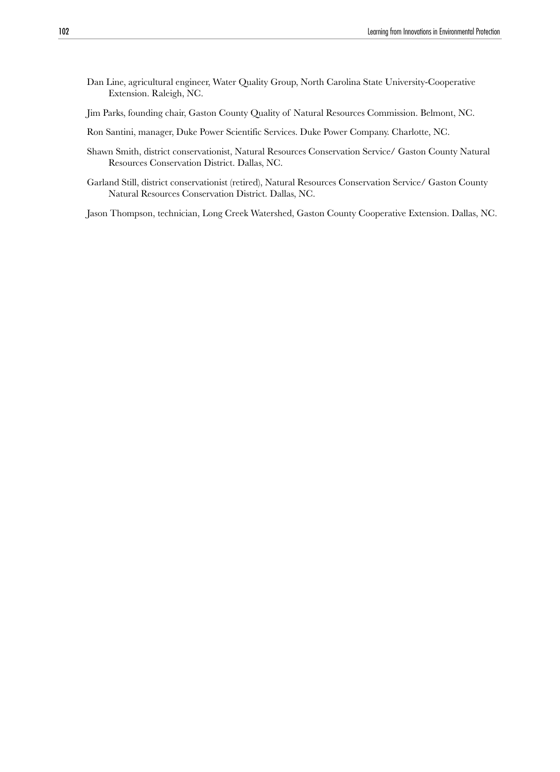- Dan Line, agricultural engineer, Water Quality Group, North Carolina State University-Cooperative Extension. Raleigh, NC.
- Jim Parks, founding chair, Gaston County Quality of Natural Resources Commission. Belmont, NC.
- Ron Santini, manager, Duke Power Scientific Services. Duke Power Company. Charlotte, NC.
- Shawn Smith, district conservationist, Natural Resources Conservation Service/ Gaston County Natural Resources Conservation District. Dallas, NC.
- Garland Still, district conservationist (retired), Natural Resources Conservation Service/ Gaston County Natural Resources Conservation District. Dallas, NC.

Jason Thompson, technician, Long Creek Watershed, Gaston County Cooperative Extension. Dallas, NC.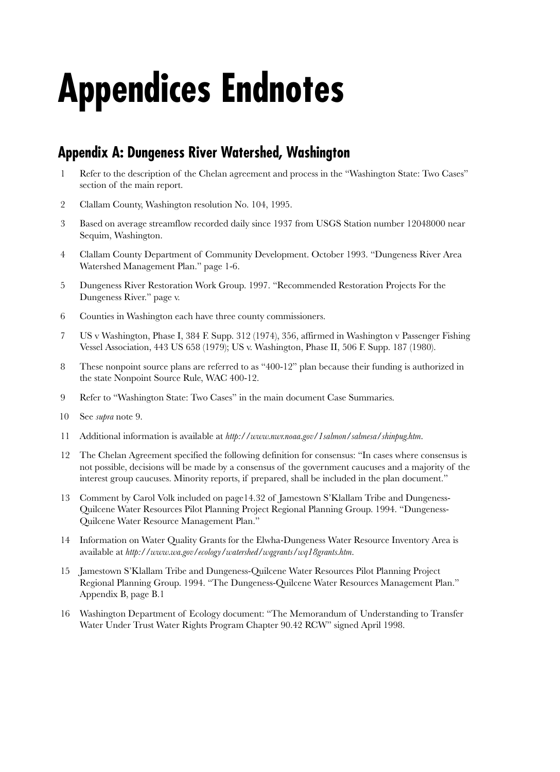# **Appendices Endnotes**

## **Appendix A: Dungeness River Watershed, Washington**

- 1 Refer to the description of the Chelan agreement and process in the "Washington State: Two Cases" section of the main report.
- 2 Clallam County, Washington resolution No. 104, 1995.
- 3 Based on average streamflow recorded daily since 1937 from USGS Station number 12048000 near Sequim, Washington.
- 4 Clallam County Department of Community Development. October 1993. "Dungeness River Area Watershed Management Plan." page 1-6.
- 5 Dungeness River Restoration Work Group. 1997. "Recommended Restoration Projects For the Dungeness River." page v.
- 6 Counties in Washington each have three county commissioners.
- 7 US v Washington, Phase I, 384 F. Supp. 312 (1974), 356, affirmed in Washington v Passenger Fishing Vessel Association, 443 US 658 (1979); US v. Washington, Phase II, 506 F. Supp. 187 (1980).
- 8 These nonpoint source plans are referred to as "400-12" plan because their funding is authorized in the state Nonpoint Source Rule, WAC 400-12.
- 9 Refer to "Washington State: Two Cases" in the main document Case Summaries.
- 10 See *supra* note 9.
- 11 Additional information is available at *http://www.nwr.noaa.gov/1salmon/salmesa/shinpug.htm*.
- 12 The Chelan Agreement specified the following definition for consensus: "In cases where consensus is not possible, decisions will be made by a consensus of the government caucuses and a majority of the interest group caucuses. Minority reports, if prepared, shall be included in the plan document."
- 13 Comment by Carol Volk included on page14.32 of Jamestown S'Klallam Tribe and Dungeness-Quilcene Water Resources Pilot Planning Project Regional Planning Group. 1994. "Dungeness-Quilcene Water Resource Management Plan."
- 14 Information on Water Quality Grants for the Elwha-Dungeness Water Resource Inventory Area is available at *http://www.wa.gov/ecology/watershed/wqgrants/wq18grants.htm*.
- 15 Jamestown S'Klallam Tribe and Dungeness-Quilcene Water Resources Pilot Planning Project Regional Planning Group. 1994. "The Dungeness-Quilcene Water Resources Management Plan." Appendix B, page B.1
- 16 Washington Department of Ecology document: "The Memorandum of Understanding to Transfer Water Under Trust Water Rights Program Chapter 90.42 RCW" signed April 1998.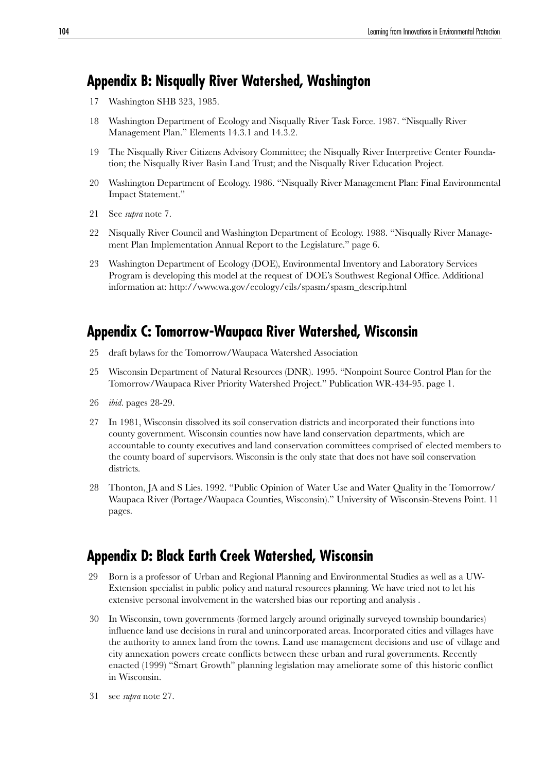## **Appendix B: Nisqually River Watershed, Washington**

- 17 Washington SHB 323, 1985.
- 18 Washington Department of Ecology and Nisqually River Task Force. 1987. "Nisqually River Management Plan." Elements 14.3.1 and 14.3.2.
- 19 The Nisqually River Citizens Advisory Committee; the Nisqually River Interpretive Center Foundation; the Nisqually River Basin Land Trust; and the Nisqually River Education Project.
- 20 Washington Department of Ecology. 1986. "Nisqually River Management Plan: Final Environmental Impact Statement."
- 21 See *supra* note 7.
- 22 Nisqually River Council and Washington Department of Ecology. 1988. "Nisqually River Management Plan Implementation Annual Report to the Legislature." page 6.
- 23 Washington Department of Ecology (DOE), Environmental Inventory and Laboratory Services Program is developing this model at the request of DOE's Southwest Regional Office. Additional information at: http://www.wa.gov/ecology/eils/spasm/spasm\_descrip.html

## **Appendix C: Tomorrow-Waupaca River Watershed, Wisconsin**

- 25 draft bylaws for the Tomorrow/Waupaca Watershed Association
- 25 Wisconsin Department of Natural Resources (DNR). 1995. "Nonpoint Source Control Plan for the Tomorrow/Waupaca River Priority Watershed Project." Publication WR-434-95. page 1.
- 26 *ibid*. pages 28-29.
- 27 In 1981, Wisconsin dissolved its soil conservation districts and incorporated their functions into county government. Wisconsin counties now have land conservation departments, which are accountable to county executives and land conservation committees comprised of elected members to the county board of supervisors. Wisconsin is the only state that does not have soil conservation districts.
- 28 Thonton, JA and S Lies. 1992. "Public Opinion of Water Use and Water Quality in the Tomorrow/ Waupaca River (Portage/Waupaca Counties, Wisconsin)." University of Wisconsin-Stevens Point. 11 pages.

## **Appendix D: Black Earth Creek Watershed, Wisconsin**

- 29 Born is a professor of Urban and Regional Planning and Environmental Studies as well as a UW-Extension specialist in public policy and natural resources planning. We have tried not to let his extensive personal involvement in the watershed bias our reporting and analysis .
- 30 In Wisconsin, town governments (formed largely around originally surveyed township boundaries) influence land use decisions in rural and unincorporated areas. Incorporated cities and villages have the authority to annex land from the towns. Land use management decisions and use of village and city annexation powers create conflicts between these urban and rural governments. Recently enacted (1999) "Smart Growth" planning legislation may ameliorate some of this historic conflict in Wisconsin.
- 31 see *supra* note 27.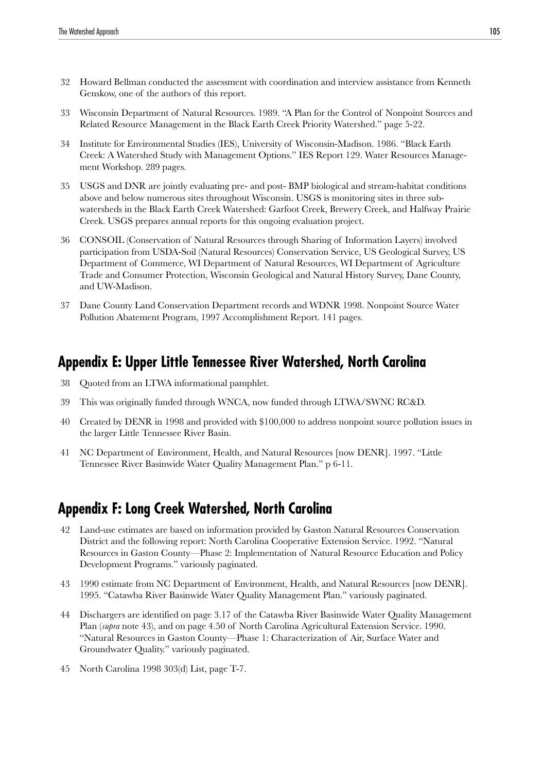- 32 Howard Bellman conducted the assessment with coordination and interview assistance from Kenneth Genskow, one of the authors of this report.
- 33 Wisconsin Department of Natural Resources. 1989. "A Plan for the Control of Nonpoint Sources and Related Resource Management in the Black Earth Creek Priority Watershed." page 5-22.
- 34 Institute for Environmental Studies (IES), University of Wisconsin-Madison. 1986. "Black Earth Creek: A Watershed Study with Management Options." IES Report 129. Water Resources Management Workshop. 289 pages.
- 35 USGS and DNR are jointly evaluating pre- and post- BMP biological and stream-habitat conditions above and below numerous sites throughout Wisconsin. USGS is monitoring sites in three subwatersheds in the Black Earth Creek Watershed: Garfoot Creek, Brewery Creek, and Halfway Prairie Creek. USGS prepares annual reports for this ongoing evaluation project.
- 36 CONSOIL (Conservation of Natural Resources through Sharing of Information Layers) involved participation from USDA-Soil (Natural Resources) Conservation Service, US Geological Survey, US Department of Commerce, WI Department of Natural Resources, WI Department of Agriculture Trade and Consumer Protection, Wisconsin Geological and Natural History Survey, Dane County, and UW-Madison.
- 37 Dane County Land Conservation Department records and WDNR 1998. Nonpoint Source Water Pollution Abatement Program, 1997 Accomplishment Report. 141 pages.

## **Appendix E: Upper Little Tennessee River Watershed, North Carolina**

- 38 Quoted from an LTWA informational pamphlet.
- 39 This was originally funded through WNCA, now funded through LTWA/SWNC RC&D.
- 40 Created by DENR in 1998 and provided with \$100,000 to address nonpoint source pollution issues in the larger Little Tennessee River Basin.
- 41 NC Department of Environment, Health, and Natural Resources [now DENR]. 1997. "Little Tennessee River Basinwide Water Quality Management Plan." p 6-11.

## **Appendix F: Long Creek Watershed, North Carolina**

- 42 Land-use estimates are based on information provided by Gaston Natural Resources Conservation District and the following report: North Carolina Cooperative Extension Service. 1992. "Natural Resources in Gaston County—Phase 2: Implementation of Natural Resource Education and Policy Development Programs." variously paginated.
- 43 1990 estimate from NC Department of Environment, Health, and Natural Resources [now DENR]. 1995. "Catawba River Basinwide Water Quality Management Plan." variously paginated.
- 44 Dischargers are identified on page 3.17 of the Catawba River Basinwide Water Quality Management Plan (*supra* note 43), and on page 4.50 of North Carolina Agricultural Extension Service. 1990. "Natural Resources in Gaston County—Phase 1: Characterization of Air, Surface Water and Groundwater Quality." variously paginated.
- 45 North Carolina 1998 303(d) List, page T-7.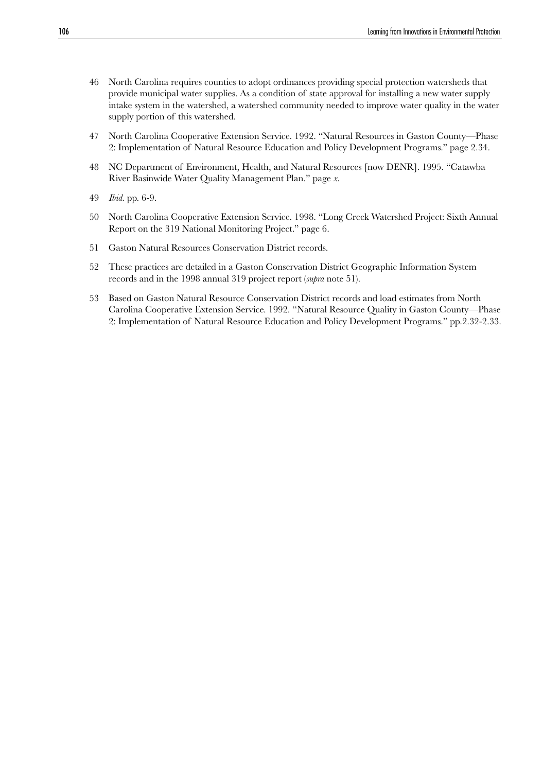- 46 North Carolina requires counties to adopt ordinances providing special protection watersheds that provide municipal water supplies. As a condition of state approval for installing a new water supply intake system in the watershed, a watershed community needed to improve water quality in the water supply portion of this watershed.
- 47 North Carolina Cooperative Extension Service. 1992. "Natural Resources in Gaston County—Phase 2: Implementation of Natural Resource Education and Policy Development Programs." page 2.34.
- 48 NC Department of Environment, Health, and Natural Resources [now DENR]. 1995. "Catawba River Basinwide Water Quality Management Plan." page *x.*
- 49 *Ibid*. pp. 6-9.
- 50 North Carolina Cooperative Extension Service. 1998. "Long Creek Watershed Project: Sixth Annual Report on the 319 National Monitoring Project." page 6.
- 51 Gaston Natural Resources Conservation District records.
- 52 These practices are detailed in a Gaston Conservation District Geographic Information System records and in the 1998 annual 319 project report (*supra* note 51).
- 53 Based on Gaston Natural Resource Conservation District records and load estimates from North Carolina Cooperative Extension Service. 1992. "Natural Resource Quality in Gaston County—Phase 2: Implementation of Natural Resource Education and Policy Development Programs." pp.2.32-2.33.